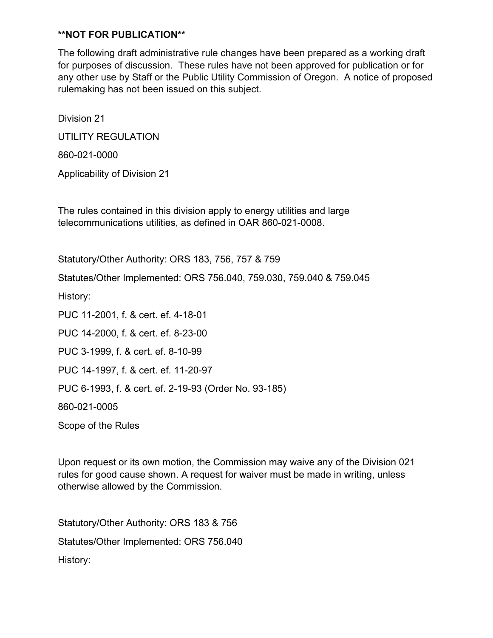The following draft administrative rule changes have been prepared as a working draft for purposes of discussion. These rules have not been approved for publication or for any other use by Staff or the Public Utility Commission of Oregon. A notice of proposed rulemaking has not been issued on this subject.

Division 21 UTILITY REGULATION

860-021-0000

Applicability of Division 21

The rules contained in this division apply to energy utilities and large telecommunications utilities, as defined in OAR 860-021-0008.

Statutory/Other Authority: ORS 183, 756, 757 & 759

Statutes/Other Implemented: ORS 756.040, 759.030, 759.040 & 759.045

History:

PUC 11-2001, f. & cert. ef. 4-18-01 PUC 14-2000, f. & cert. ef. 8-23-00 PUC 3-1999, f. & cert. ef. 8-10-99 PUC 14-1997, f. & cert. ef. 11-20-97 PUC 6-1993, f. & cert. ef. 2-19-93 (Order No. 93-185) 860-021-0005 Scope of the Rules

Upon request or its own motion, the Commission may waive any of the Division 021 rules for good cause shown. A request for waiver must be made in writing, unless otherwise allowed by the Commission.

Statutory/Other Authority: ORS 183 & 756 Statutes/Other Implemented: ORS 756.040 History: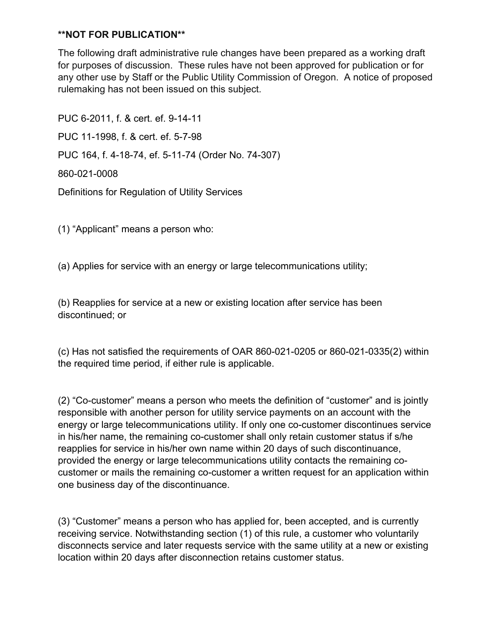The following draft administrative rule changes have been prepared as a working draft for purposes of discussion. These rules have not been approved for publication or for any other use by Staff or the Public Utility Commission of Oregon. A notice of proposed rulemaking has not been issued on this subject.

PUC 6-2011, f. & cert. ef. 9-14-11 PUC 11-1998, f. & cert. ef. 5-7-98 PUC 164, f. 4-18-74, ef. 5-11-74 (Order No. 74-307) 860-021-0008 Definitions for Regulation of Utility Services

(1) "Applicant" means a person who:

(a) Applies for service with an energy or large telecommunications utility;

(b) Reapplies for service at a new or existing location after service has been discontinued; or

(c) Has not satisfied the requirements of OAR 860-021-0205 or 860-021-0335(2) within the required time period, if either rule is applicable.

(2) "Co-customer" means a person who meets the definition of "customer" and is jointly responsible with another person for utility service payments on an account with the energy or large telecommunications utility. If only one co-customer discontinues service in his/her name, the remaining co-customer shall only retain customer status if s/he reapplies for service in his/her own name within 20 days of such discontinuance, provided the energy or large telecommunications utility contacts the remaining cocustomer or mails the remaining co-customer a written request for an application within one business day of the discontinuance.

(3) "Customer" means a person who has applied for, been accepted, and is currently receiving service. Notwithstanding section (1) of this rule, a customer who voluntarily disconnects service and later requests service with the same utility at a new or existing location within 20 days after disconnection retains customer status.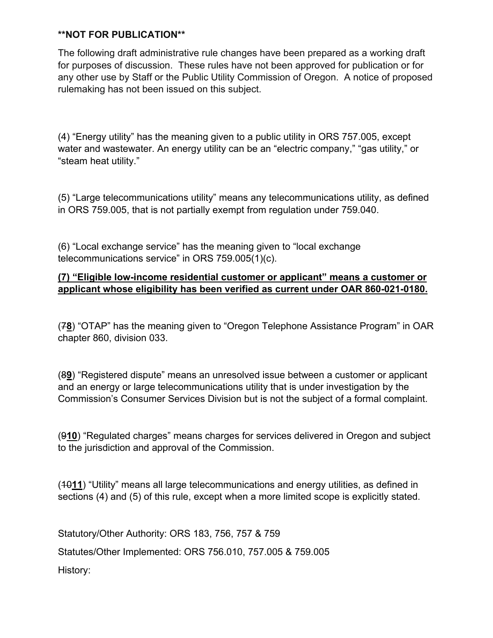The following draft administrative rule changes have been prepared as a working draft for purposes of discussion. These rules have not been approved for publication or for any other use by Staff or the Public Utility Commission of Oregon. A notice of proposed rulemaking has not been issued on this subject.

(4) "Energy utility" has the meaning given to a public utility in ORS 757.005, except water and wastewater. An energy utility can be an "electric company," "gas utility," or "steam heat utility."

(5) "Large telecommunications utility" means any telecommunications utility, as defined in ORS 759.005, that is not partially exempt from regulation under 759.040.

(6) "Local exchange service" has the meaning given to "local exchange telecommunications service" in ORS 759.005(1)(c).

## **(7) "Eligible low-income residential customer or applicant" means a customer or applicant whose eligibility has been verified as current under OAR 860-021-0180.**

(7**8**) "OTAP" has the meaning given to "Oregon Telephone Assistance Program" in OAR chapter 860, division 033.

(8**9**) "Registered dispute" means an unresolved issue between a customer or applicant and an energy or large telecommunications utility that is under investigation by the Commission's Consumer Services Division but is not the subject of a formal complaint.

(9**10**) "Regulated charges" means charges for services delivered in Oregon and subject to the jurisdiction and approval of the Commission.

(10**11**) "Utility" means all large telecommunications and energy utilities, as defined in sections (4) and (5) of this rule, except when a more limited scope is explicitly stated.

Statutory/Other Authority: ORS 183, 756, 757 & 759

Statutes/Other Implemented: ORS 756.010, 757.005 & 759.005

History: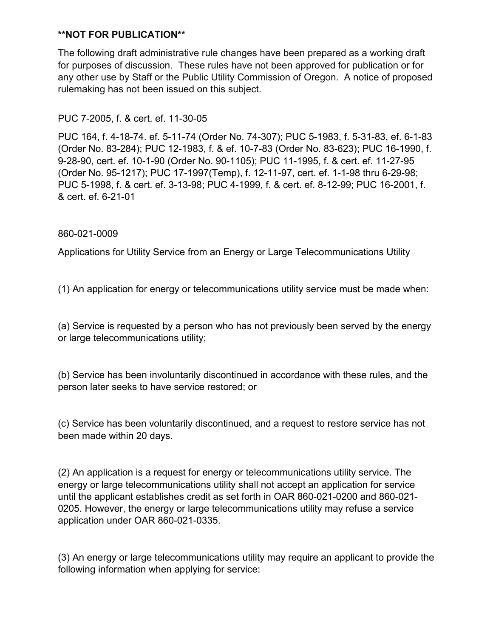The following draft administrative rule changes have been prepared as a working draft for purposes of discussion. These rules have not been approved for publication or for any other use by Staff or the Public Utility Commission of Oregon. A notice of proposed rulemaking has not been issued on this subject.

# PUC 7-2005, f. & cert. ef. 11-30-05

PUC 164, f. 4-18-74. ef. 5-11-74 (Order No. 74-307); PUC 5-1983, f. 5-31-83, ef. 6-1-83 (Order No. 83-284); PUC 12-1983, f. & ef. 10-7-83 (Order No. 83-623); PUC 16-1990, f. 9-28-90, cert. ef. 10-1-90 (Order No. 90-1105); PUC 11-1995, f. & cert. ef. 11-27-95 (Order No. 95-1217); PUC 17-1997(Temp), f. 12-11-97, cert. ef. 1-1-98 thru 6-29-98; PUC 5-1998, f. & cert. ef. 3-13-98; PUC 4-1999, f. & cert. ef. 8-12-99; PUC 16-2001, f. & cert. ef. 6-21-01

## 860-021-0009

Applications for Utility Service from an Energy or Large Telecommunications Utility

(1) An application for energy or telecommunications utility service must be made when:

(a) Service is requested by a person who has not previously been served by the energy or large telecommunications utility;

(b) Service has been involuntarily discontinued in accordance with these rules, and the person later seeks to have service restored; or

(c) Service has been voluntarily discontinued, and a request to restore service has not been made within 20 days.

(2) An application is a request for energy or telecommunications utility service. The energy or large telecommunications utility shall not accept an application for service until the applicant establishes credit as set forth in OAR 860-021-0200 and 860-021- 0205. However, the energy or large telecommunications utility may refuse a service application under OAR 860-021-0335.

(3) An energy or large telecommunications utility may require an applicant to provide the following information when applying for service: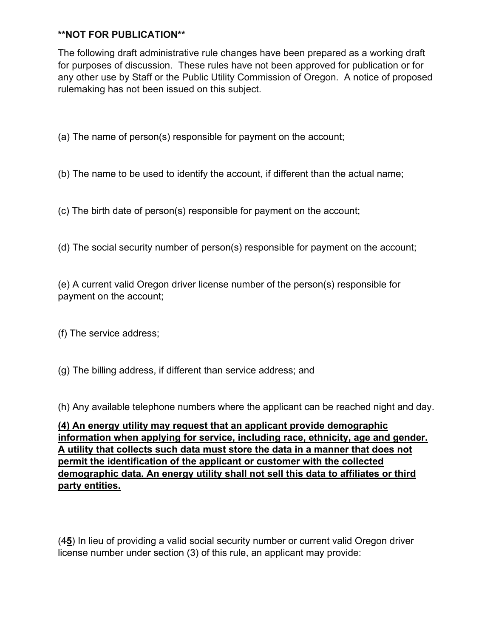The following draft administrative rule changes have been prepared as a working draft for purposes of discussion. These rules have not been approved for publication or for any other use by Staff or the Public Utility Commission of Oregon. A notice of proposed rulemaking has not been issued on this subject.

(a) The name of person(s) responsible for payment on the account;

(b) The name to be used to identify the account, if different than the actual name;

(c) The birth date of person(s) responsible for payment on the account;

(d) The social security number of person(s) responsible for payment on the account;

(e) A current valid Oregon driver license number of the person(s) responsible for payment on the account;

- (f) The service address;
- (g) The billing address, if different than service address; and

(h) Any available telephone numbers where the applicant can be reached night and day.

**(4) An energy utility may request that an applicant provide demographic information when applying for service, including race, ethnicity, age and gender. A utility that collects such data must store the data in a manner that does not permit the identification of the applicant or customer with the collected demographic data. An energy utility shall not sell this data to affiliates or third party entities.**

(4**5**) In lieu of providing a valid social security number or current valid Oregon driver license number under section (3) of this rule, an applicant may provide: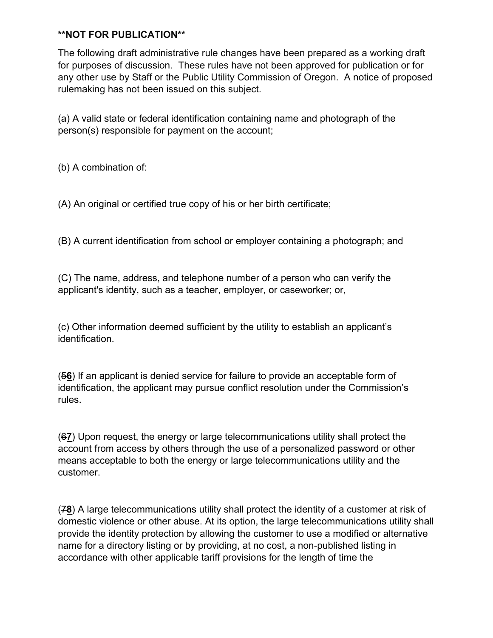The following draft administrative rule changes have been prepared as a working draft for purposes of discussion. These rules have not been approved for publication or for any other use by Staff or the Public Utility Commission of Oregon. A notice of proposed rulemaking has not been issued on this subject.

(a) A valid state or federal identification containing name and photograph of the person(s) responsible for payment on the account;

(b) A combination of:

(A) An original or certified true copy of his or her birth certificate;

(B) A current identification from school or employer containing a photograph; and

(C) The name, address, and telephone number of a person who can verify the applicant's identity, such as a teacher, employer, or caseworker; or,

(c) Other information deemed sufficient by the utility to establish an applicant's identification.

(5**6**) If an applicant is denied service for failure to provide an acceptable form of identification, the applicant may pursue conflict resolution under the Commission's rules.

(6**7**) Upon request, the energy or large telecommunications utility shall protect the account from access by others through the use of a personalized password or other means acceptable to both the energy or large telecommunications utility and the customer.

(7**8**) A large telecommunications utility shall protect the identity of a customer at risk of domestic violence or other abuse. At its option, the large telecommunications utility shall provide the identity protection by allowing the customer to use a modified or alternative name for a directory listing or by providing, at no cost, a non-published listing in accordance with other applicable tariff provisions for the length of time the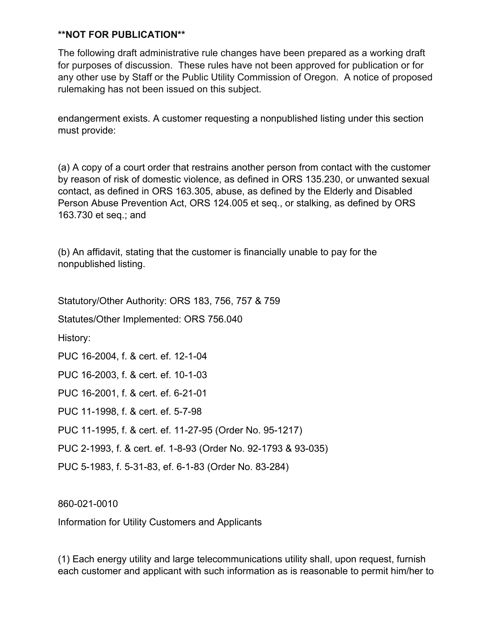The following draft administrative rule changes have been prepared as a working draft for purposes of discussion. These rules have not been approved for publication or for any other use by Staff or the Public Utility Commission of Oregon. A notice of proposed rulemaking has not been issued on this subject.

endangerment exists. A customer requesting a nonpublished listing under this section must provide:

(a) A copy of a court order that restrains another person from contact with the customer by reason of risk of domestic violence, as defined in ORS 135.230, or unwanted sexual contact, as defined in ORS 163.305, abuse, as defined by the Elderly and Disabled Person Abuse Prevention Act, ORS 124.005 et seq., or stalking, as defined by ORS 163.730 et seq.; and

(b) An affidavit, stating that the customer is financially unable to pay for the nonpublished listing.

Statutory/Other Authority: ORS 183, 756, 757 & 759

Statutes/Other Implemented: ORS 756.040

History:

PUC 16-2004, f. & cert. ef. 12-1-04

PUC 16-2003, f. & cert. ef. 10-1-03

PUC 16-2001, f. & cert. ef. 6-21-01

PUC 11-1998, f. & cert. ef. 5-7-98

PUC 11-1995, f. & cert. ef. 11-27-95 (Order No. 95-1217)

PUC 2-1993, f. & cert. ef. 1-8-93 (Order No. 92-1793 & 93-035)

PUC 5-1983, f. 5-31-83, ef. 6-1-83 (Order No. 83-284)

860-021-0010

Information for Utility Customers and Applicants

(1) Each energy utility and large telecommunications utility shall, upon request, furnish each customer and applicant with such information as is reasonable to permit him/her to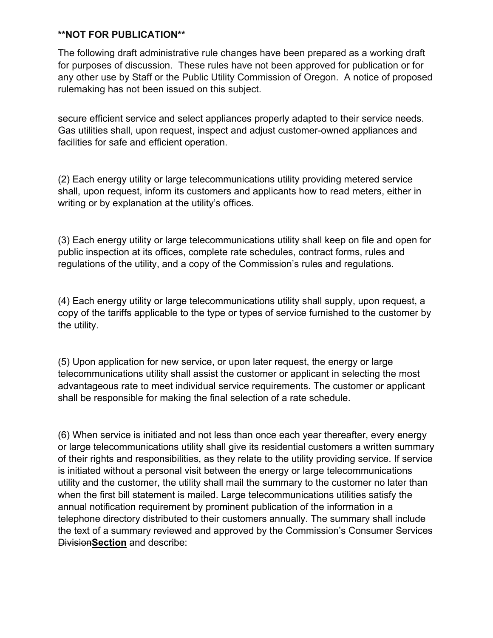The following draft administrative rule changes have been prepared as a working draft for purposes of discussion. These rules have not been approved for publication or for any other use by Staff or the Public Utility Commission of Oregon. A notice of proposed rulemaking has not been issued on this subject.

secure efficient service and select appliances properly adapted to their service needs. Gas utilities shall, upon request, inspect and adjust customer-owned appliances and facilities for safe and efficient operation.

(2) Each energy utility or large telecommunications utility providing metered service shall, upon request, inform its customers and applicants how to read meters, either in writing or by explanation at the utility's offices.

(3) Each energy utility or large telecommunications utility shall keep on file and open for public inspection at its offices, complete rate schedules, contract forms, rules and regulations of the utility, and a copy of the Commission's rules and regulations.

(4) Each energy utility or large telecommunications utility shall supply, upon request, a copy of the tariffs applicable to the type or types of service furnished to the customer by the utility.

(5) Upon application for new service, or upon later request, the energy or large telecommunications utility shall assist the customer or applicant in selecting the most advantageous rate to meet individual service requirements. The customer or applicant shall be responsible for making the final selection of a rate schedule.

(6) When service is initiated and not less than once each year thereafter, every energy or large telecommunications utility shall give its residential customers a written summary of their rights and responsibilities, as they relate to the utility providing service. If service is initiated without a personal visit between the energy or large telecommunications utility and the customer, the utility shall mail the summary to the customer no later than when the first bill statement is mailed. Large telecommunications utilities satisfy the annual notification requirement by prominent publication of the information in a telephone directory distributed to their customers annually. The summary shall include the text of a summary reviewed and approved by the Commission's Consumer Services Division**Section** and describe: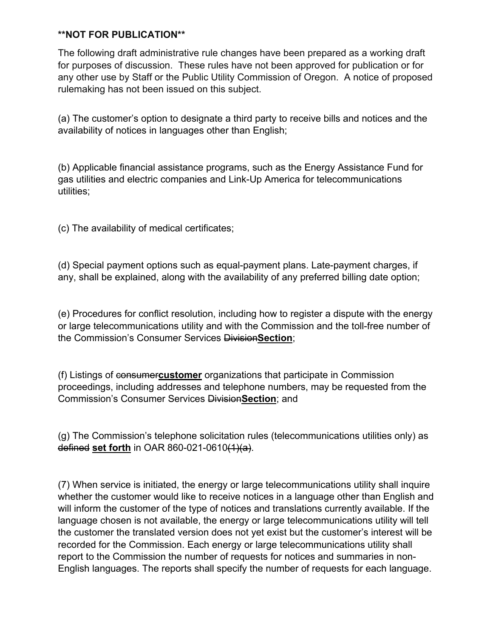The following draft administrative rule changes have been prepared as a working draft for purposes of discussion. These rules have not been approved for publication or for any other use by Staff or the Public Utility Commission of Oregon. A notice of proposed rulemaking has not been issued on this subject.

(a) The customer's option to designate a third party to receive bills and notices and the availability of notices in languages other than English;

(b) Applicable financial assistance programs, such as the Energy Assistance Fund for gas utilities and electric companies and Link-Up America for telecommunications utilities;

(c) The availability of medical certificates;

(d) Special payment options such as equal-payment plans. Late-payment charges, if any, shall be explained, along with the availability of any preferred billing date option;

(e) Procedures for conflict resolution, including how to register a dispute with the energy or large telecommunications utility and with the Commission and the toll-free number of the Commission's Consumer Services Division**Section**;

(f) Listings of consumer**customer** organizations that participate in Commission proceedings, including addresses and telephone numbers, may be requested from the Commission's Consumer Services Division**Section**; and

(g) The Commission's telephone solicitation rules (telecommunications utilities only) as defined **set forth** in OAR 860-021-0610(1)(a).

(7) When service is initiated, the energy or large telecommunications utility shall inquire whether the customer would like to receive notices in a language other than English and will inform the customer of the type of notices and translations currently available. If the language chosen is not available, the energy or large telecommunications utility will tell the customer the translated version does not yet exist but the customer's interest will be recorded for the Commission. Each energy or large telecommunications utility shall report to the Commission the number of requests for notices and summaries in non-English languages. The reports shall specify the number of requests for each language.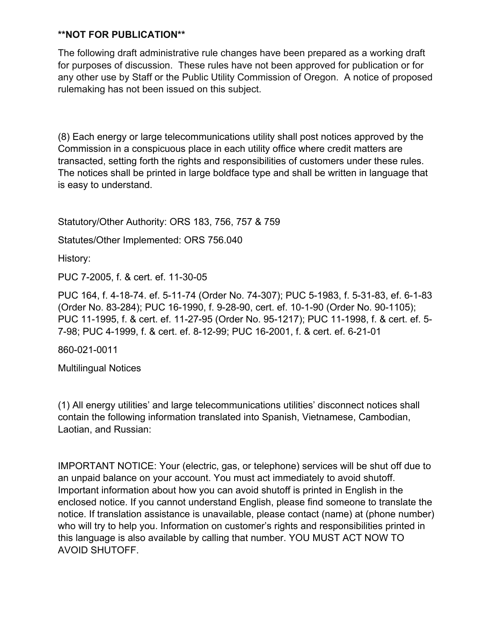The following draft administrative rule changes have been prepared as a working draft for purposes of discussion. These rules have not been approved for publication or for any other use by Staff or the Public Utility Commission of Oregon. A notice of proposed rulemaking has not been issued on this subject.

(8) Each energy or large telecommunications utility shall post notices approved by the Commission in a conspicuous place in each utility office where credit matters are transacted, setting forth the rights and responsibilities of customers under these rules. The notices shall be printed in large boldface type and shall be written in language that is easy to understand.

Statutory/Other Authority: ORS 183, 756, 757 & 759

Statutes/Other Implemented: ORS 756.040

History:

PUC 7-2005, f. & cert. ef. 11-30-05

PUC 164, f. 4-18-74. ef. 5-11-74 (Order No. 74-307); PUC 5-1983, f. 5-31-83, ef. 6-1-83 (Order No. 83-284); PUC 16-1990, f. 9-28-90, cert. ef. 10-1-90 (Order No. 90-1105); PUC 11-1995, f. & cert. ef. 11-27-95 (Order No. 95-1217); PUC 11-1998, f. & cert. ef. 5- 7-98; PUC 4-1999, f. & cert. ef. 8-12-99; PUC 16-2001, f. & cert. ef. 6-21-01

860-021-0011

Multilingual Notices

(1) All energy utilities' and large telecommunications utilities' disconnect notices shall contain the following information translated into Spanish, Vietnamese, Cambodian, Laotian, and Russian:

IMPORTANT NOTICE: Your (electric, gas, or telephone) services will be shut off due to an unpaid balance on your account. You must act immediately to avoid shutoff. Important information about how you can avoid shutoff is printed in English in the enclosed notice. If you cannot understand English, please find someone to translate the notice. If translation assistance is unavailable, please contact (name) at (phone number) who will try to help you. Information on customer's rights and responsibilities printed in this language is also available by calling that number. YOU MUST ACT NOW TO AVOID SHUTOFF.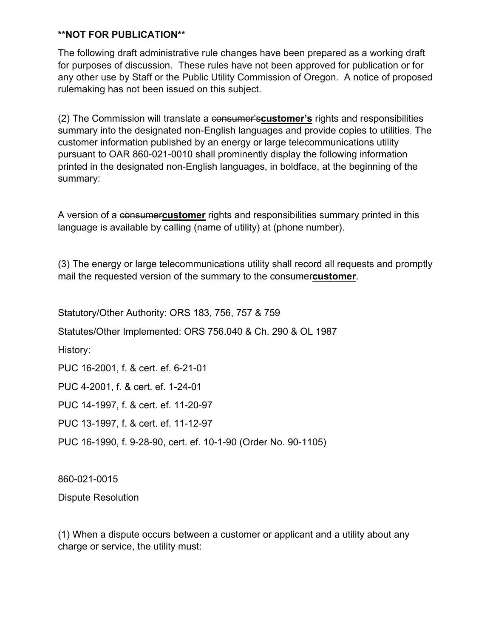The following draft administrative rule changes have been prepared as a working draft for purposes of discussion. These rules have not been approved for publication or for any other use by Staff or the Public Utility Commission of Oregon. A notice of proposed rulemaking has not been issued on this subject.

(2) The Commission will translate a consumer's**customer's** rights and responsibilities summary into the designated non-English languages and provide copies to utilities. The customer information published by an energy or large telecommunications utility pursuant to OAR 860-021-0010 shall prominently display the following information printed in the designated non-English languages, in boldface, at the beginning of the summary:

A version of a consumer**customer** rights and responsibilities summary printed in this language is available by calling (name of utility) at (phone number).

(3) The energy or large telecommunications utility shall record all requests and promptly mail the requested version of the summary to the consumer**customer**.

Statutory/Other Authority: ORS 183, 756, 757 & 759

Statutes/Other Implemented: ORS 756.040 & Ch. 290 & OL 1987

History:

PUC 16-2001, f. & cert. ef. 6-21-01

PUC 4-2001, f. & cert. ef. 1-24-01

PUC 14-1997, f. & cert. ef. 11-20-97

PUC 13-1997, f. & cert. ef. 11-12-97

PUC 16-1990, f. 9-28-90, cert. ef. 10-1-90 (Order No. 90-1105)

860-021-0015

Dispute Resolution

(1) When a dispute occurs between a customer or applicant and a utility about any charge or service, the utility must: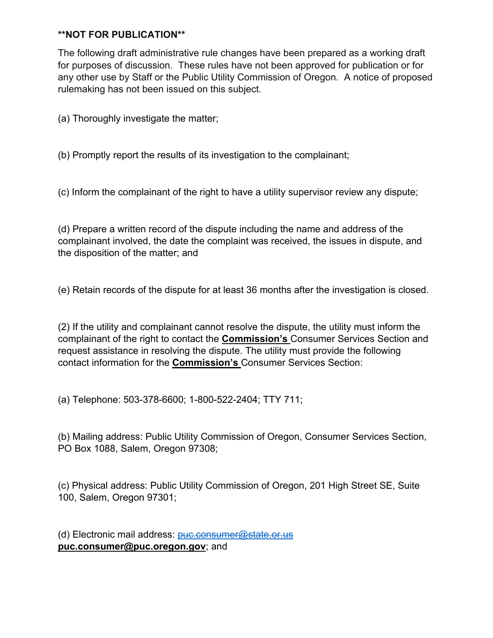The following draft administrative rule changes have been prepared as a working draft for purposes of discussion. These rules have not been approved for publication or for any other use by Staff or the Public Utility Commission of Oregon. A notice of proposed rulemaking has not been issued on this subject.

(a) Thoroughly investigate the matter;

(b) Promptly report the results of its investigation to the complainant;

(c) Inform the complainant of the right to have a utility supervisor review any dispute;

(d) Prepare a written record of the dispute including the name and address of the complainant involved, the date the complaint was received, the issues in dispute, and the disposition of the matter; and

(e) Retain records of the dispute for at least 36 months after the investigation is closed.

(2) If the utility and complainant cannot resolve the dispute, the utility must inform the complainant of the right to contact the **Commission's** Consumer Services Section and request assistance in resolving the dispute. The utility must provide the following contact information for the **Commission's** Consumer Services Section:

(a) Telephone: 503-378-6600; 1-800-522-2404; TTY 711;

(b) Mailing address: Public Utility Commission of Oregon, Consumer Services Section, PO Box 1088, Salem, Oregon 97308;

(c) Physical address: Public Utility Commission of Oregon, 201 High Street SE, Suite 100, Salem, Oregon 97301;

(d) Electronic mail address: [puc.consumer@state.or.us](mailto:puc.consumer@state.or.us) **puc.consumer@puc.oregon.gov**; and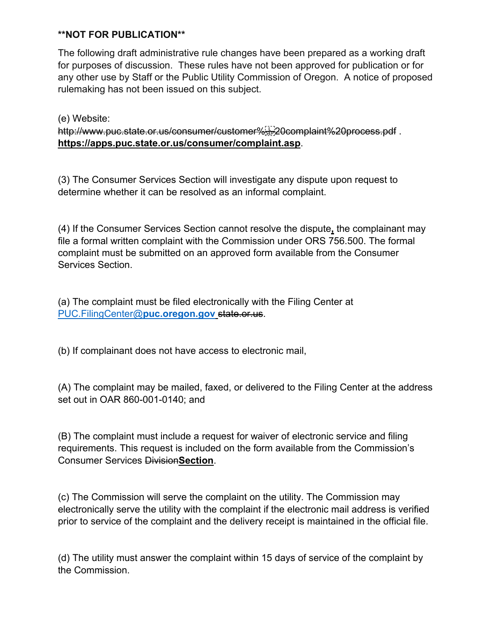The following draft administrative rule changes have been prepared as a working draft for purposes of discussion. These rules have not been approved for publication or for any other use by Staff or the Public Utility Commission of Oregon. A notice of proposed rulemaking has not been issued on this subject.

(e) Website: http://www.puc.state.or.us/consumer/customer%sp20complaint%20process.pdf. **https://apps.puc.state.or.us/consumer/complaint.asp**.

(3) The Consumer Services Section will investigate any dispute upon request to determine whether it can be resolved as an informal complaint.

(4) If the Consumer Services Section cannot resolve the dispute**,** the complainant may file a formal written complaint with the Commission under ORS 756.500. The formal complaint must be submitted on an approved form available from the Consumer Services Section.

(a) The complaint must be filed electronically with the Filing Center at [PUC.FilingCenter@](mailto:PUC.FilingCenter@puc.oregon.gov)**puc.oregon.gov** state.or.us.

(b) If complainant does not have access to electronic mail,

(A) The complaint may be mailed, faxed, or delivered to the Filing Center at the address set out in OAR 860-001-0140; and

(B) The complaint must include a request for waiver of electronic service and filing requirements. This request is included on the form available from the Commission's Consumer Services Division**Section**.

(c) The Commission will serve the complaint on the utility. The Commission may electronically serve the utility with the complaint if the electronic mail address is verified prior to service of the complaint and the delivery receipt is maintained in the official file.

(d) The utility must answer the complaint within 15 days of service of the complaint by the Commission.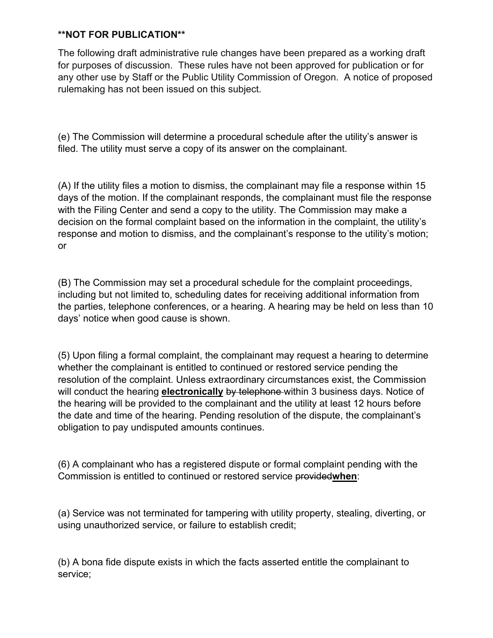The following draft administrative rule changes have been prepared as a working draft for purposes of discussion. These rules have not been approved for publication or for any other use by Staff or the Public Utility Commission of Oregon. A notice of proposed rulemaking has not been issued on this subject.

(e) The Commission will determine a procedural schedule after the utility's answer is filed. The utility must serve a copy of its answer on the complainant.

(A) If the utility files a motion to dismiss, the complainant may file a response within 15 days of the motion. If the complainant responds, the complainant must file the response with the Filing Center and send a copy to the utility. The Commission may make a decision on the formal complaint based on the information in the complaint, the utility's response and motion to dismiss, and the complainant's response to the utility's motion; or

(B) The Commission may set a procedural schedule for the complaint proceedings, including but not limited to, scheduling dates for receiving additional information from the parties, telephone conferences, or a hearing. A hearing may be held on less than 10 days' notice when good cause is shown.

(5) Upon filing a formal complaint, the complainant may request a hearing to determine whether the complainant is entitled to continued or restored service pending the resolution of the complaint. Unless extraordinary circumstances exist, the Commission will conduct the hearing **electronically** by telephone within 3 business days. Notice of the hearing will be provided to the complainant and the utility at least 12 hours before the date and time of the hearing. Pending resolution of the dispute, the complainant's obligation to pay undisputed amounts continues.

(6) A complainant who has a registered dispute or formal complaint pending with the Commission is entitled to continued or restored service provided**when**:

(a) Service was not terminated for tampering with utility property, stealing, diverting, or using unauthorized service, or failure to establish credit;

(b) A bona fide dispute exists in which the facts asserted entitle the complainant to service;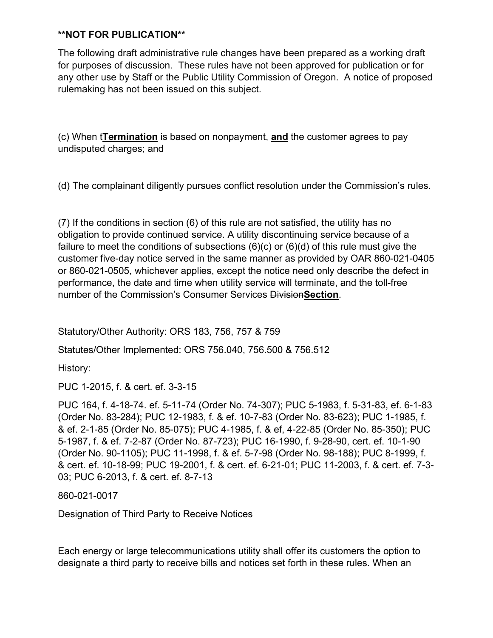The following draft administrative rule changes have been prepared as a working draft for purposes of discussion. These rules have not been approved for publication or for any other use by Staff or the Public Utility Commission of Oregon. A notice of proposed rulemaking has not been issued on this subject.

(c) When t**Termination** is based on nonpayment, **and** the customer agrees to pay undisputed charges; and

(d) The complainant diligently pursues conflict resolution under the Commission's rules.

(7) If the conditions in section (6) of this rule are not satisfied, the utility has no obligation to provide continued service. A utility discontinuing service because of a failure to meet the conditions of subsections  $(6)(c)$  or  $(6)(d)$  of this rule must give the customer five-day notice served in the same manner as provided by OAR 860-021-0405 or 860-021-0505, whichever applies, except the notice need only describe the defect in performance, the date and time when utility service will terminate, and the toll-free number of the Commission's Consumer Services Division**Section**.

Statutory/Other Authority: ORS 183, 756, 757 & 759

Statutes/Other Implemented: ORS 756.040, 756.500 & 756.512

History:

PUC 1-2015, f. & cert. ef. 3-3-15

PUC 164, f. 4-18-74. ef. 5-11-74 (Order No. 74-307); PUC 5-1983, f. 5-31-83, ef. 6-1-83 (Order No. 83-284); PUC 12-1983, f. & ef. 10-7-83 (Order No. 83-623); PUC 1-1985, f. & ef. 2-1-85 (Order No. 85-075); PUC 4-1985, f. & ef, 4-22-85 (Order No. 85-350); PUC 5-1987, f. & ef. 7-2-87 (Order No. 87-723); PUC 16-1990, f. 9-28-90, cert. ef. 10-1-90 (Order No. 90-1105); PUC 11-1998, f. & ef. 5-7-98 (Order No. 98-188); PUC 8-1999, f. & cert. ef. 10-18-99; PUC 19-2001, f. & cert. ef. 6-21-01; PUC 11-2003, f. & cert. ef. 7-3- 03; PUC 6-2013, f. & cert. ef. 8-7-13

860-021-0017

Designation of Third Party to Receive Notices

Each energy or large telecommunications utility shall offer its customers the option to designate a third party to receive bills and notices set forth in these rules. When an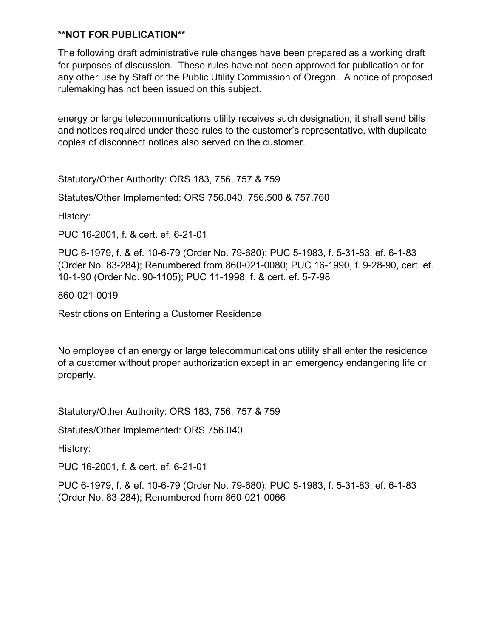The following draft administrative rule changes have been prepared as a working draft for purposes of discussion. These rules have not been approved for publication or for any other use by Staff or the Public Utility Commission of Oregon. A notice of proposed rulemaking has not been issued on this subject.

energy or large telecommunications utility receives such designation, it shall send bills and notices required under these rules to the customer's representative, with duplicate copies of disconnect notices also served on the customer.

Statutory/Other Authority: ORS 183, 756, 757 & 759

Statutes/Other Implemented: ORS 756.040, 756.500 & 757.760

History:

PUC 16-2001, f. & cert. ef. 6-21-01

PUC 6-1979, f. & ef. 10-6-79 (Order No. 79-680); PUC 5-1983, f. 5-31-83, ef. 6-1-83 (Order No. 83-284); Renumbered from 860-021-0080; PUC 16-1990, f. 9-28-90, cert. ef. 10-1-90 (Order No. 90-1105); PUC 11-1998, f. & cert. ef. 5-7-98

860-021-0019

Restrictions on Entering a Customer Residence

No employee of an energy or large telecommunications utility shall enter the residence of a customer without proper authorization except in an emergency endangering life or property.

Statutory/Other Authority: ORS 183, 756, 757 & 759

Statutes/Other Implemented: ORS 756.040

History:

PUC 16-2001, f. & cert. ef. 6-21-01

PUC 6-1979, f. & ef. 10-6-79 (Order No. 79-680); PUC 5-1983, f. 5-31-83, ef. 6-1-83 (Order No. 83-284); Renumbered from 860-021-0066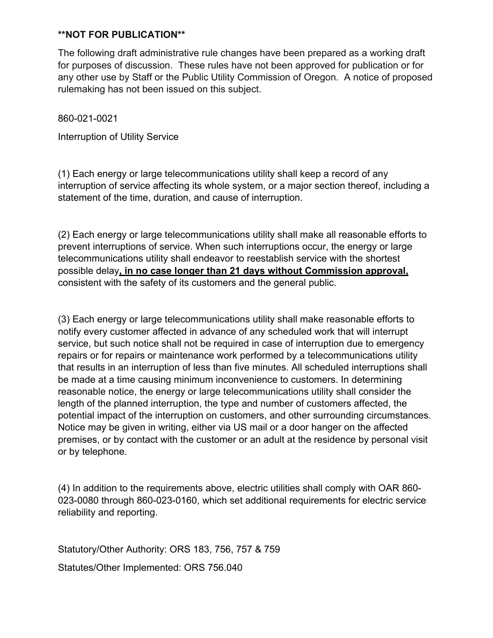The following draft administrative rule changes have been prepared as a working draft for purposes of discussion. These rules have not been approved for publication or for any other use by Staff or the Public Utility Commission of Oregon. A notice of proposed rulemaking has not been issued on this subject.

860-021-0021

Interruption of Utility Service

(1) Each energy or large telecommunications utility shall keep a record of any interruption of service affecting its whole system, or a major section thereof, including a statement of the time, duration, and cause of interruption.

(2) Each energy or large telecommunications utility shall make all reasonable efforts to prevent interruptions of service. When such interruptions occur, the energy or large telecommunications utility shall endeavor to reestablish service with the shortest possible delay**, in no case longer than 21 days without Commission approval,** consistent with the safety of its customers and the general public.

(3) Each energy or large telecommunications utility shall make reasonable efforts to notify every customer affected in advance of any scheduled work that will interrupt service, but such notice shall not be required in case of interruption due to emergency repairs or for repairs or maintenance work performed by a telecommunications utility that results in an interruption of less than five minutes. All scheduled interruptions shall be made at a time causing minimum inconvenience to customers. In determining reasonable notice, the energy or large telecommunications utility shall consider the length of the planned interruption, the type and number of customers affected, the potential impact of the interruption on customers, and other surrounding circumstances. Notice may be given in writing, either via US mail or a door hanger on the affected premises, or by contact with the customer or an adult at the residence by personal visit or by telephone.

(4) In addition to the requirements above, electric utilities shall comply with OAR 860- 023-0080 through 860-023-0160, which set additional requirements for electric service reliability and reporting.

Statutory/Other Authority: ORS 183, 756, 757 & 759

Statutes/Other Implemented: ORS 756.040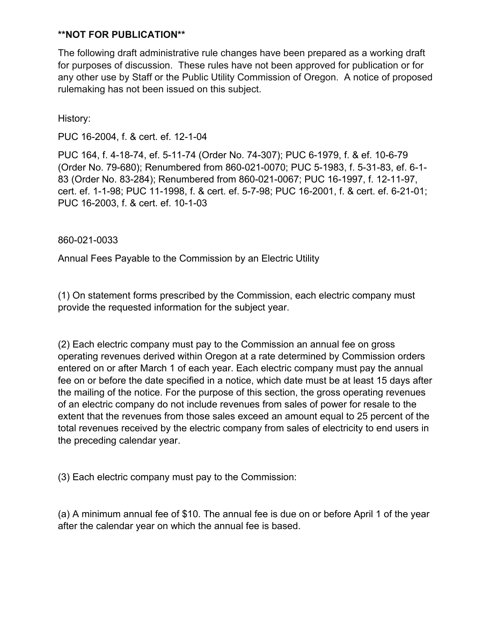The following draft administrative rule changes have been prepared as a working draft for purposes of discussion. These rules have not been approved for publication or for any other use by Staff or the Public Utility Commission of Oregon. A notice of proposed rulemaking has not been issued on this subject.

History:

PUC 16-2004, f. & cert. ef. 12-1-04

PUC 164, f. 4-18-74, ef. 5-11-74 (Order No. 74-307); PUC 6-1979, f. & ef. 10-6-79 (Order No. 79-680); Renumbered from 860-021-0070; PUC 5-1983, f. 5-31-83, ef. 6-1- 83 (Order No. 83-284); Renumbered from 860-021-0067; PUC 16-1997, f. 12-11-97, cert. ef. 1-1-98; PUC 11-1998, f. & cert. ef. 5-7-98; PUC 16-2001, f. & cert. ef. 6-21-01; PUC 16-2003, f. & cert. ef. 10-1-03

860-021-0033

Annual Fees Payable to the Commission by an Electric Utility

(1) On statement forms prescribed by the Commission, each electric company must provide the requested information for the subject year.

(2) Each electric company must pay to the Commission an annual fee on gross operating revenues derived within Oregon at a rate determined by Commission orders entered on or after March 1 of each year. Each electric company must pay the annual fee on or before the date specified in a notice, which date must be at least 15 days after the mailing of the notice. For the purpose of this section, the gross operating revenues of an electric company do not include revenues from sales of power for resale to the extent that the revenues from those sales exceed an amount equal to 25 percent of the total revenues received by the electric company from sales of electricity to end users in the preceding calendar year.

(3) Each electric company must pay to the Commission:

(a) A minimum annual fee of \$10. The annual fee is due on or before April 1 of the year after the calendar year on which the annual fee is based.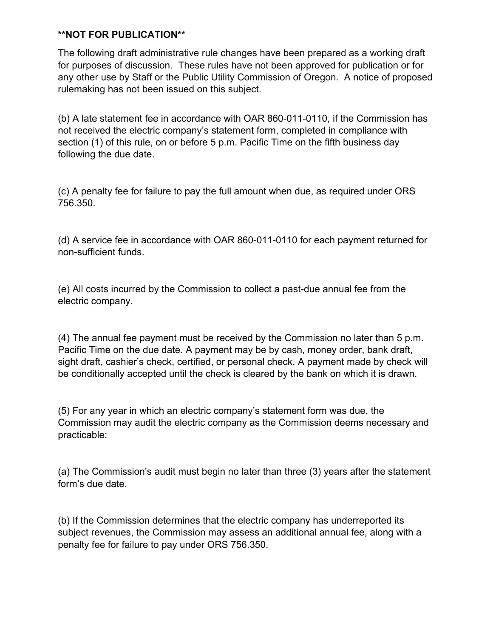The following draft administrative rule changes have been prepared as a working draft for purposes of discussion. These rules have not been approved for publication or for any other use by Staff or the Public Utility Commission of Oregon. A notice of proposed rulemaking has not been issued on this subject.

(b) A late statement fee in accordance with OAR 860-011-0110, if the Commission has not received the electric company's statement form, completed in compliance with section (1) of this rule, on or before 5 p.m. Pacific Time on the fifth business day following the due date.

(c) A penalty fee for failure to pay the full amount when due, as required under ORS 756.350.

(d) A service fee in accordance with OAR 860-011-0110 for each payment returned for non-sufficient funds.

(e) All costs incurred by the Commission to collect a past-due annual fee from the electric company.

(4) The annual fee payment must be received by the Commission no later than 5 p.m. Pacific Time on the due date. A payment may be by cash, money order, bank draft, sight draft, cashier's check, certified, or personal check. A payment made by check will be conditionally accepted until the check is cleared by the bank on which it is drawn.

(5) For any year in which an electric company's statement form was due, the Commission may audit the electric company as the Commission deems necessary and practicable:

(a) The Commission's audit must begin no later than three (3) years after the statement form's due date.

(b) If the Commission determines that the electric company has underreported its subject revenues, the Commission may assess an additional annual fee, along with a penalty fee for failure to pay under ORS 756.350.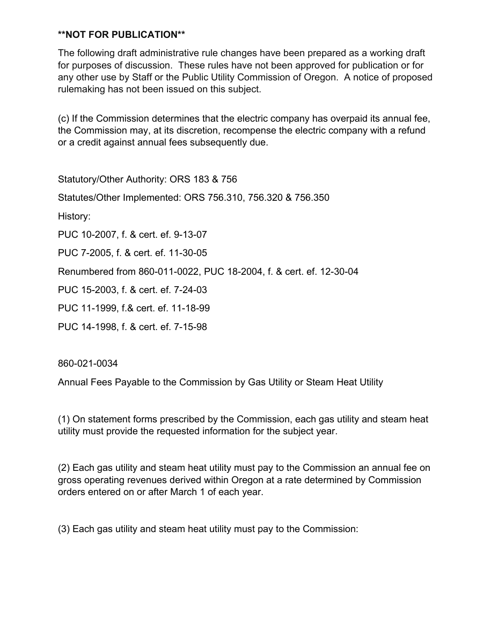The following draft administrative rule changes have been prepared as a working draft for purposes of discussion. These rules have not been approved for publication or for any other use by Staff or the Public Utility Commission of Oregon. A notice of proposed rulemaking has not been issued on this subject.

(c) If the Commission determines that the electric company has overpaid its annual fee, the Commission may, at its discretion, recompense the electric company with a refund or a credit against annual fees subsequently due.

Statutory/Other Authority: ORS 183 & 756

Statutes/Other Implemented: ORS 756.310, 756.320 & 756.350

History:

PUC 10-2007, f. & cert. ef. 9-13-07

PUC 7-2005, f. & cert. ef. 11-30-05

Renumbered from 860-011-0022, PUC 18-2004, f. & cert. ef. 12-30-04

PUC 15-2003, f. & cert. ef. 7-24-03

PUC 11-1999, f.& cert. ef. 11-18-99

PUC 14-1998, f. & cert. ef. 7-15-98

860-021-0034

Annual Fees Payable to the Commission by Gas Utility or Steam Heat Utility

(1) On statement forms prescribed by the Commission, each gas utility and steam heat utility must provide the requested information for the subject year.

(2) Each gas utility and steam heat utility must pay to the Commission an annual fee on gross operating revenues derived within Oregon at a rate determined by Commission orders entered on or after March 1 of each year.

(3) Each gas utility and steam heat utility must pay to the Commission: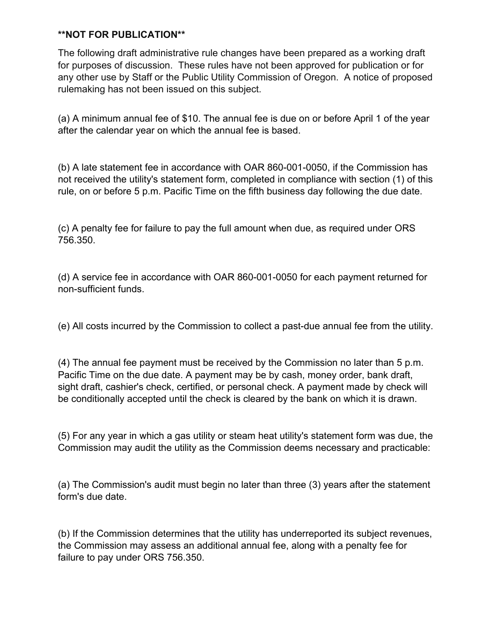The following draft administrative rule changes have been prepared as a working draft for purposes of discussion. These rules have not been approved for publication or for any other use by Staff or the Public Utility Commission of Oregon. A notice of proposed rulemaking has not been issued on this subject.

(a) A minimum annual fee of \$10. The annual fee is due on or before April 1 of the year after the calendar year on which the annual fee is based.

(b) A late statement fee in accordance with OAR 860-001-0050, if the Commission has not received the utility's statement form, completed in compliance with section (1) of this rule, on or before 5 p.m. Pacific Time on the fifth business day following the due date.

(c) A penalty fee for failure to pay the full amount when due, as required under ORS 756.350.

(d) A service fee in accordance with OAR 860-001-0050 for each payment returned for non-sufficient funds.

(e) All costs incurred by the Commission to collect a past-due annual fee from the utility.

(4) The annual fee payment must be received by the Commission no later than 5 p.m. Pacific Time on the due date. A payment may be by cash, money order, bank draft, sight draft, cashier's check, certified, or personal check. A payment made by check will be conditionally accepted until the check is cleared by the bank on which it is drawn.

(5) For any year in which a gas utility or steam heat utility's statement form was due, the Commission may audit the utility as the Commission deems necessary and practicable:

(a) The Commission's audit must begin no later than three (3) years after the statement form's due date.

(b) If the Commission determines that the utility has underreported its subject revenues, the Commission may assess an additional annual fee, along with a penalty fee for failure to pay under ORS 756.350.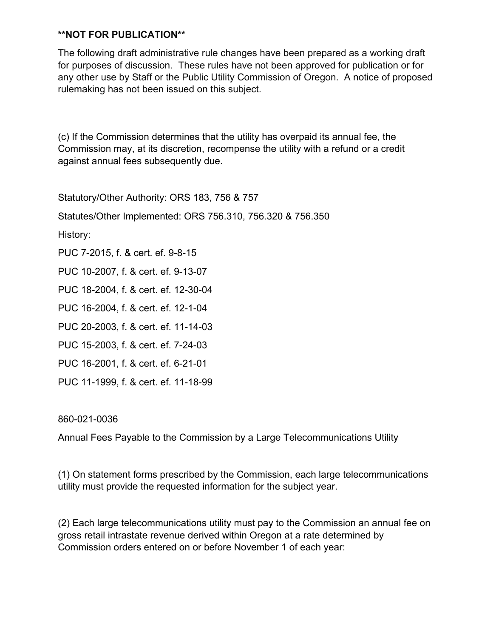The following draft administrative rule changes have been prepared as a working draft for purposes of discussion. These rules have not been approved for publication or for any other use by Staff or the Public Utility Commission of Oregon. A notice of proposed rulemaking has not been issued on this subject.

(c) If the Commission determines that the utility has overpaid its annual fee, the Commission may, at its discretion, recompense the utility with a refund or a credit against annual fees subsequently due.

Statutory/Other Authority: ORS 183, 756 & 757

Statutes/Other Implemented: ORS 756.310, 756.320 & 756.350

History:

PUC 7-2015, f. & cert. ef. 9-8-15

PUC 10-2007, f. & cert. ef. 9-13-07

PUC 18-2004, f. & cert. ef. 12-30-04

PUC 16-2004, f. & cert. ef. 12-1-04

PUC 20-2003, f. & cert. ef. 11-14-03

PUC 15-2003, f. & cert. ef. 7-24-03

PUC 16-2001, f. & cert. ef. 6-21-01

PUC 11-1999, f. & cert. ef. 11-18-99

860-021-0036

Annual Fees Payable to the Commission by a Large Telecommunications Utility

(1) On statement forms prescribed by the Commission, each large telecommunications utility must provide the requested information for the subject year.

(2) Each large telecommunications utility must pay to the Commission an annual fee on gross retail intrastate revenue derived within Oregon at a rate determined by Commission orders entered on or before November 1 of each year: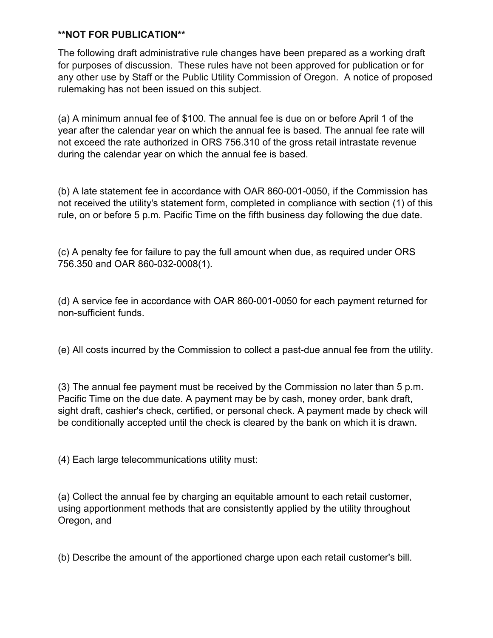The following draft administrative rule changes have been prepared as a working draft for purposes of discussion. These rules have not been approved for publication or for any other use by Staff or the Public Utility Commission of Oregon. A notice of proposed rulemaking has not been issued on this subject.

(a) A minimum annual fee of \$100. The annual fee is due on or before April 1 of the year after the calendar year on which the annual fee is based. The annual fee rate will not exceed the rate authorized in ORS 756.310 of the gross retail intrastate revenue during the calendar year on which the annual fee is based.

(b) A late statement fee in accordance with OAR 860-001-0050, if the Commission has not received the utility's statement form, completed in compliance with section (1) of this rule, on or before 5 p.m. Pacific Time on the fifth business day following the due date.

(c) A penalty fee for failure to pay the full amount when due, as required under ORS 756.350 and OAR 860-032-0008(1).

(d) A service fee in accordance with OAR 860-001-0050 for each payment returned for non-sufficient funds.

(e) All costs incurred by the Commission to collect a past-due annual fee from the utility.

(3) The annual fee payment must be received by the Commission no later than 5 p.m. Pacific Time on the due date. A payment may be by cash, money order, bank draft, sight draft, cashier's check, certified, or personal check. A payment made by check will be conditionally accepted until the check is cleared by the bank on which it is drawn.

(4) Each large telecommunications utility must:

(a) Collect the annual fee by charging an equitable amount to each retail customer, using apportionment methods that are consistently applied by the utility throughout Oregon, and

(b) Describe the amount of the apportioned charge upon each retail customer's bill.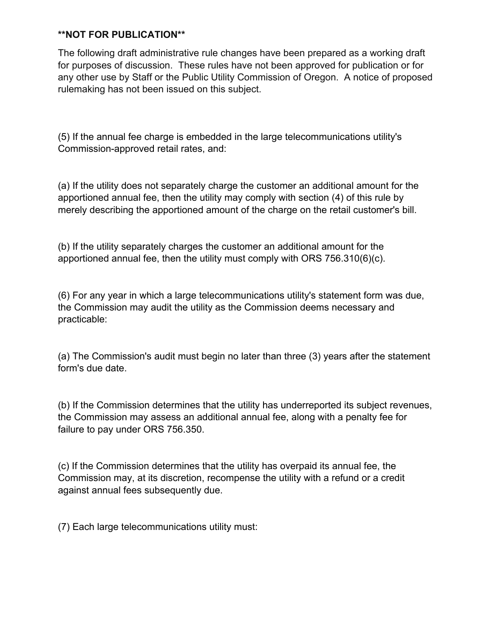The following draft administrative rule changes have been prepared as a working draft for purposes of discussion. These rules have not been approved for publication or for any other use by Staff or the Public Utility Commission of Oregon. A notice of proposed rulemaking has not been issued on this subject.

(5) If the annual fee charge is embedded in the large telecommunications utility's Commission-approved retail rates, and:

(a) If the utility does not separately charge the customer an additional amount for the apportioned annual fee, then the utility may comply with section (4) of this rule by merely describing the apportioned amount of the charge on the retail customer's bill.

(b) If the utility separately charges the customer an additional amount for the apportioned annual fee, then the utility must comply with ORS 756.310(6)(c).

(6) For any year in which a large telecommunications utility's statement form was due, the Commission may audit the utility as the Commission deems necessary and practicable:

(a) The Commission's audit must begin no later than three (3) years after the statement form's due date.

(b) If the Commission determines that the utility has underreported its subject revenues, the Commission may assess an additional annual fee, along with a penalty fee for failure to pay under ORS 756.350.

(c) If the Commission determines that the utility has overpaid its annual fee, the Commission may, at its discretion, recompense the utility with a refund or a credit against annual fees subsequently due.

(7) Each large telecommunications utility must: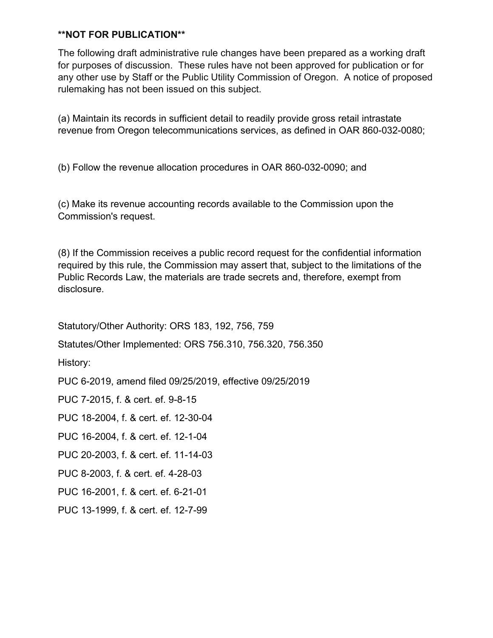The following draft administrative rule changes have been prepared as a working draft for purposes of discussion. These rules have not been approved for publication or for any other use by Staff or the Public Utility Commission of Oregon. A notice of proposed rulemaking has not been issued on this subject.

(a) Maintain its records in sufficient detail to readily provide gross retail intrastate revenue from Oregon telecommunications services, as defined in OAR 860-032-0080;

(b) Follow the revenue allocation procedures in OAR 860-032-0090; and

(c) Make its revenue accounting records available to the Commission upon the Commission's request.

(8) If the Commission receives a public record request for the confidential information required by this rule, the Commission may assert that, subject to the limitations of the Public Records Law, the materials are trade secrets and, therefore, exempt from disclosure.

Statutory/Other Authority: ORS 183, 192, 756, 759

Statutes/Other Implemented: ORS 756.310, 756.320, 756.350

History:

PUC 6-2019, amend filed 09/25/2019, effective 09/25/2019

PUC 7-2015, f. & cert. ef. 9-8-15

PUC 18-2004, f. & cert. ef. 12-30-04

PUC 16-2004, f. & cert. ef. 12-1-04

PUC 20-2003, f. & cert. ef. 11-14-03

PUC 8-2003, f. & cert. ef. 4-28-03

PUC 16-2001, f. & cert. ef. 6-21-01

PUC 13-1999, f. & cert. ef. 12-7-99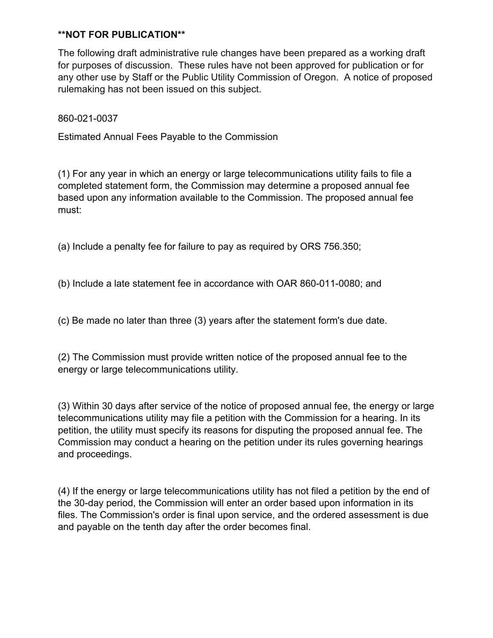The following draft administrative rule changes have been prepared as a working draft for purposes of discussion. These rules have not been approved for publication or for any other use by Staff or the Public Utility Commission of Oregon. A notice of proposed rulemaking has not been issued on this subject.

860-021-0037

Estimated Annual Fees Payable to the Commission

(1) For any year in which an energy or large telecommunications utility fails to file a completed statement form, the Commission may determine a proposed annual fee based upon any information available to the Commission. The proposed annual fee must:

(a) Include a penalty fee for failure to pay as required by ORS 756.350;

(b) Include a late statement fee in accordance with OAR 860-011-0080; and

(c) Be made no later than three (3) years after the statement form's due date.

(2) The Commission must provide written notice of the proposed annual fee to the energy or large telecommunications utility.

(3) Within 30 days after service of the notice of proposed annual fee, the energy or large telecommunications utility may file a petition with the Commission for a hearing. In its petition, the utility must specify its reasons for disputing the proposed annual fee. The Commission may conduct a hearing on the petition under its rules governing hearings and proceedings.

(4) If the energy or large telecommunications utility has not filed a petition by the end of the 30-day period, the Commission will enter an order based upon information in its files. The Commission's order is final upon service, and the ordered assessment is due and payable on the tenth day after the order becomes final.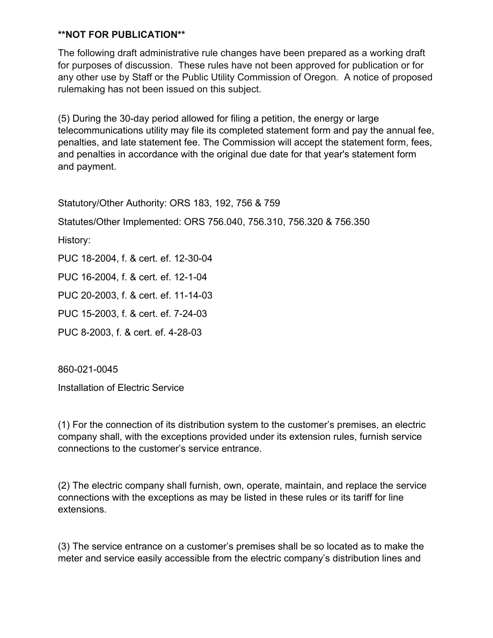The following draft administrative rule changes have been prepared as a working draft for purposes of discussion. These rules have not been approved for publication or for any other use by Staff or the Public Utility Commission of Oregon. A notice of proposed rulemaking has not been issued on this subject.

(5) During the 30-day period allowed for filing a petition, the energy or large telecommunications utility may file its completed statement form and pay the annual fee, penalties, and late statement fee. The Commission will accept the statement form, fees, and penalties in accordance with the original due date for that year's statement form and payment.

Statutory/Other Authority: ORS 183, 192, 756 & 759

Statutes/Other Implemented: ORS 756.040, 756.310, 756.320 & 756.350

History:

PUC 18-2004, f. & cert. ef. 12-30-04

PUC 16-2004, f. & cert. ef. 12-1-04

PUC 20-2003, f. & cert. ef. 11-14-03

PUC 15-2003, f. & cert. ef. 7-24-03

PUC 8-2003, f. & cert. ef. 4-28-03

860-021-0045

Installation of Electric Service

(1) For the connection of its distribution system to the customer's premises, an electric company shall, with the exceptions provided under its extension rules, furnish service connections to the customer's service entrance.

(2) The electric company shall furnish, own, operate, maintain, and replace the service connections with the exceptions as may be listed in these rules or its tariff for line extensions.

(3) The service entrance on a customer's premises shall be so located as to make the meter and service easily accessible from the electric company's distribution lines and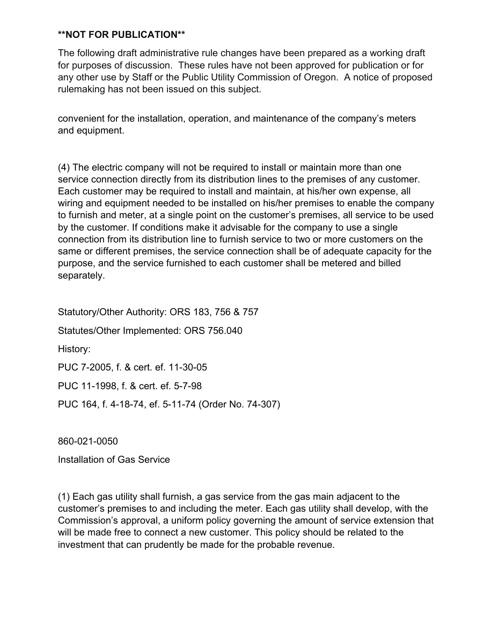The following draft administrative rule changes have been prepared as a working draft for purposes of discussion. These rules have not been approved for publication or for any other use by Staff or the Public Utility Commission of Oregon. A notice of proposed rulemaking has not been issued on this subject.

convenient for the installation, operation, and maintenance of the company's meters and equipment.

(4) The electric company will not be required to install or maintain more than one service connection directly from its distribution lines to the premises of any customer. Each customer may be required to install and maintain, at his/her own expense, all wiring and equipment needed to be installed on his/her premises to enable the company to furnish and meter, at a single point on the customer's premises, all service to be used by the customer. If conditions make it advisable for the company to use a single connection from its distribution line to furnish service to two or more customers on the same or different premises, the service connection shall be of adequate capacity for the purpose, and the service furnished to each customer shall be metered and billed separately.

Statutory/Other Authority: ORS 183, 756 & 757 Statutes/Other Implemented: ORS 756.040 History: PUC 7-2005, f. & cert. ef. 11-30-05 PUC 11-1998, f. & cert. ef. 5-7-98 PUC 164, f. 4-18-74, ef. 5-11-74 (Order No. 74-307)

860-021-0050

Installation of Gas Service

(1) Each gas utility shall furnish, a gas service from the gas main adjacent to the customer's premises to and including the meter. Each gas utility shall develop, with the Commission's approval, a uniform policy governing the amount of service extension that will be made free to connect a new customer. This policy should be related to the investment that can prudently be made for the probable revenue.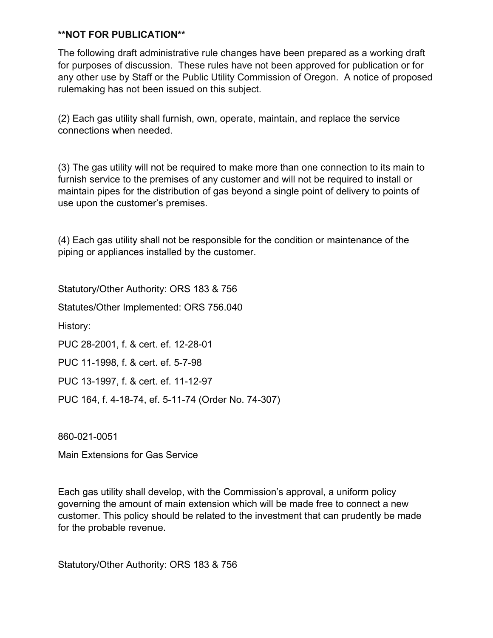The following draft administrative rule changes have been prepared as a working draft for purposes of discussion. These rules have not been approved for publication or for any other use by Staff or the Public Utility Commission of Oregon. A notice of proposed rulemaking has not been issued on this subject.

(2) Each gas utility shall furnish, own, operate, maintain, and replace the service connections when needed.

(3) The gas utility will not be required to make more than one connection to its main to furnish service to the premises of any customer and will not be required to install or maintain pipes for the distribution of gas beyond a single point of delivery to points of use upon the customer's premises.

(4) Each gas utility shall not be responsible for the condition or maintenance of the piping or appliances installed by the customer.

Statutory/Other Authority: ORS 183 & 756

Statutes/Other Implemented: ORS 756.040

History:

PUC 28-2001, f. & cert. ef. 12-28-01

PUC 11-1998, f. & cert. ef. 5-7-98

PUC 13-1997, f. & cert. ef. 11-12-97

PUC 164, f. 4-18-74, ef. 5-11-74 (Order No. 74-307)

860-021-0051

Main Extensions for Gas Service

Each gas utility shall develop, with the Commission's approval, a uniform policy governing the amount of main extension which will be made free to connect a new customer. This policy should be related to the investment that can prudently be made for the probable revenue.

Statutory/Other Authority: ORS 183 & 756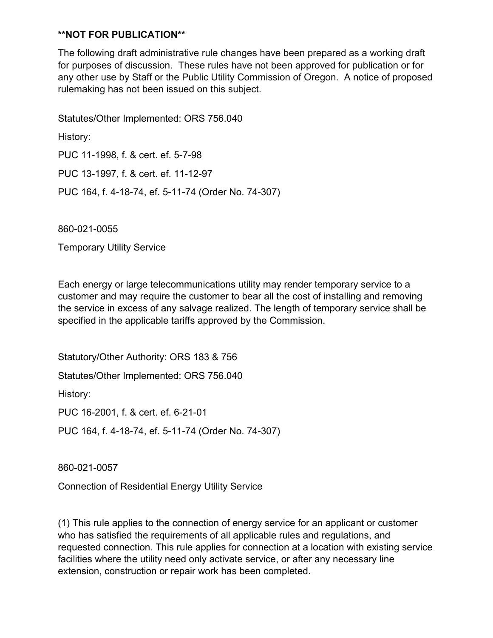The following draft administrative rule changes have been prepared as a working draft for purposes of discussion. These rules have not been approved for publication or for any other use by Staff or the Public Utility Commission of Oregon. A notice of proposed rulemaking has not been issued on this subject.

Statutes/Other Implemented: ORS 756.040 History: PUC 11-1998, f. & cert. ef. 5-7-98 PUC 13-1997, f. & cert. ef. 11-12-97 PUC 164, f. 4-18-74, ef. 5-11-74 (Order No. 74-307)

860-021-0055

Temporary Utility Service

Each energy or large telecommunications utility may render temporary service to a customer and may require the customer to bear all the cost of installing and removing the service in excess of any salvage realized. The length of temporary service shall be specified in the applicable tariffs approved by the Commission.

Statutory/Other Authority: ORS 183 & 756 Statutes/Other Implemented: ORS 756.040 History: PUC 16-2001, f. & cert. ef. 6-21-01 PUC 164, f. 4-18-74, ef. 5-11-74 (Order No. 74-307)

860-021-0057

Connection of Residential Energy Utility Service

(1) This rule applies to the connection of energy service for an applicant or customer who has satisfied the requirements of all applicable rules and regulations, and requested connection. This rule applies for connection at a location with existing service facilities where the utility need only activate service, or after any necessary line extension, construction or repair work has been completed.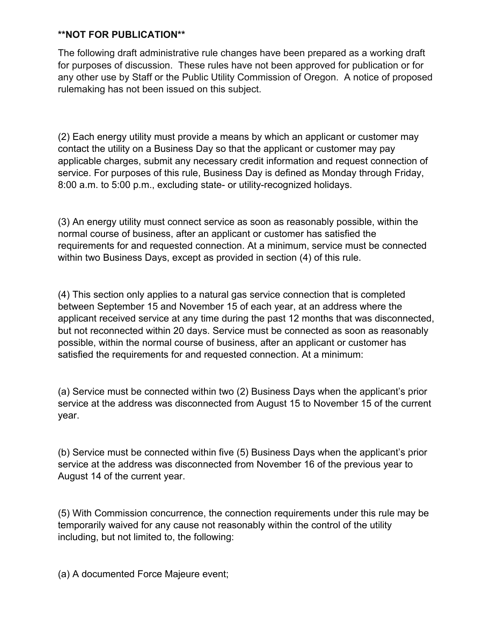The following draft administrative rule changes have been prepared as a working draft for purposes of discussion. These rules have not been approved for publication or for any other use by Staff or the Public Utility Commission of Oregon. A notice of proposed rulemaking has not been issued on this subject.

(2) Each energy utility must provide a means by which an applicant or customer may contact the utility on a Business Day so that the applicant or customer may pay applicable charges, submit any necessary credit information and request connection of service. For purposes of this rule, Business Day is defined as Monday through Friday, 8:00 a.m. to 5:00 p.m., excluding state- or utility-recognized holidays.

(3) An energy utility must connect service as soon as reasonably possible, within the normal course of business, after an applicant or customer has satisfied the requirements for and requested connection. At a minimum, service must be connected within two Business Days, except as provided in section (4) of this rule.

(4) This section only applies to a natural gas service connection that is completed between September 15 and November 15 of each year, at an address where the applicant received service at any time during the past 12 months that was disconnected, but not reconnected within 20 days. Service must be connected as soon as reasonably possible, within the normal course of business, after an applicant or customer has satisfied the requirements for and requested connection. At a minimum:

(a) Service must be connected within two (2) Business Days when the applicant's prior service at the address was disconnected from August 15 to November 15 of the current year.

(b) Service must be connected within five (5) Business Days when the applicant's prior service at the address was disconnected from November 16 of the previous year to August 14 of the current year.

(5) With Commission concurrence, the connection requirements under this rule may be temporarily waived for any cause not reasonably within the control of the utility including, but not limited to, the following:

(a) A documented Force Majeure event;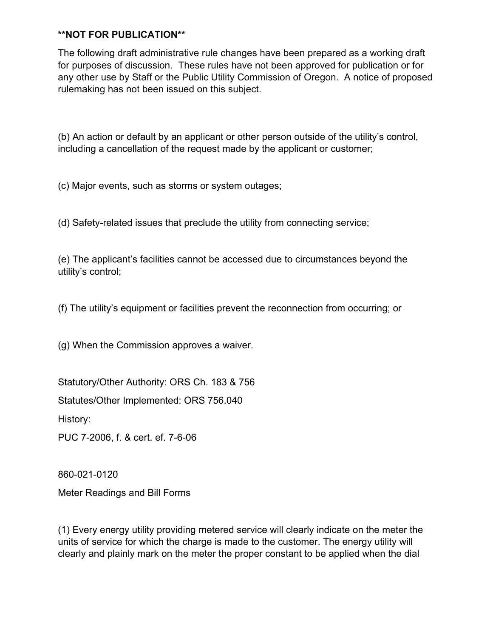The following draft administrative rule changes have been prepared as a working draft for purposes of discussion. These rules have not been approved for publication or for any other use by Staff or the Public Utility Commission of Oregon. A notice of proposed rulemaking has not been issued on this subject.

(b) An action or default by an applicant or other person outside of the utility's control, including a cancellation of the request made by the applicant or customer;

(c) Major events, such as storms or system outages;

(d) Safety-related issues that preclude the utility from connecting service;

(e) The applicant's facilities cannot be accessed due to circumstances beyond the utility's control;

(f) The utility's equipment or facilities prevent the reconnection from occurring; or

(g) When the Commission approves a waiver.

Statutory/Other Authority: ORS Ch. 183 & 756

Statutes/Other Implemented: ORS 756.040

History:

PUC 7-2006, f. & cert. ef. 7-6-06

860-021-0120

Meter Readings and Bill Forms

(1) Every energy utility providing metered service will clearly indicate on the meter the units of service for which the charge is made to the customer. The energy utility will clearly and plainly mark on the meter the proper constant to be applied when the dial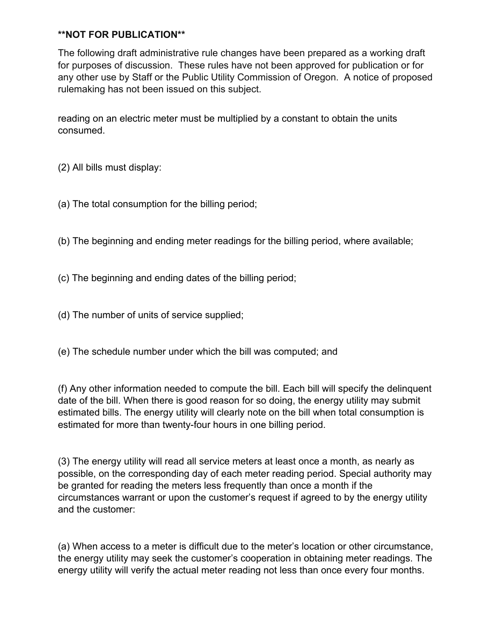The following draft administrative rule changes have been prepared as a working draft for purposes of discussion. These rules have not been approved for publication or for any other use by Staff or the Public Utility Commission of Oregon. A notice of proposed rulemaking has not been issued on this subject.

reading on an electric meter must be multiplied by a constant to obtain the units consumed.

(2) All bills must display:

(a) The total consumption for the billing period;

(b) The beginning and ending meter readings for the billing period, where available;

(c) The beginning and ending dates of the billing period;

(d) The number of units of service supplied;

(e) The schedule number under which the bill was computed; and

(f) Any other information needed to compute the bill. Each bill will specify the delinquent date of the bill. When there is good reason for so doing, the energy utility may submit estimated bills. The energy utility will clearly note on the bill when total consumption is estimated for more than twenty-four hours in one billing period.

(3) The energy utility will read all service meters at least once a month, as nearly as possible, on the corresponding day of each meter reading period. Special authority may be granted for reading the meters less frequently than once a month if the circumstances warrant or upon the customer's request if agreed to by the energy utility and the customer:

(a) When access to a meter is difficult due to the meter's location or other circumstance, the energy utility may seek the customer's cooperation in obtaining meter readings. The energy utility will verify the actual meter reading not less than once every four months.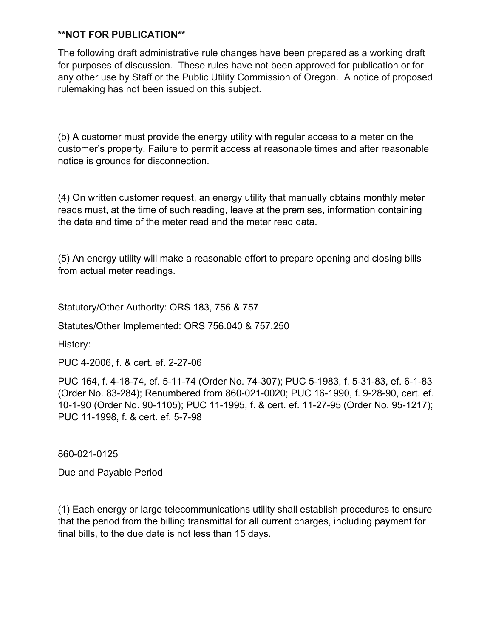The following draft administrative rule changes have been prepared as a working draft for purposes of discussion. These rules have not been approved for publication or for any other use by Staff or the Public Utility Commission of Oregon. A notice of proposed rulemaking has not been issued on this subject.

(b) A customer must provide the energy utility with regular access to a meter on the customer's property. Failure to permit access at reasonable times and after reasonable notice is grounds for disconnection.

(4) On written customer request, an energy utility that manually obtains monthly meter reads must, at the time of such reading, leave at the premises, information containing the date and time of the meter read and the meter read data.

(5) An energy utility will make a reasonable effort to prepare opening and closing bills from actual meter readings.

Statutory/Other Authority: ORS 183, 756 & 757

Statutes/Other Implemented: ORS 756.040 & 757.250

History:

PUC 4-2006, f. & cert. ef. 2-27-06

PUC 164, f. 4-18-74, ef. 5-11-74 (Order No. 74-307); PUC 5-1983, f. 5-31-83, ef. 6-1-83 (Order No. 83-284); Renumbered from 860-021-0020; PUC 16-1990, f. 9-28-90, cert. ef. 10-1-90 (Order No. 90-1105); PUC 11-1995, f. & cert. ef. 11-27-95 (Order No. 95-1217); PUC 11-1998, f. & cert. ef. 5-7-98

860-021-0125

Due and Payable Period

(1) Each energy or large telecommunications utility shall establish procedures to ensure that the period from the billing transmittal for all current charges, including payment for final bills, to the due date is not less than 15 days.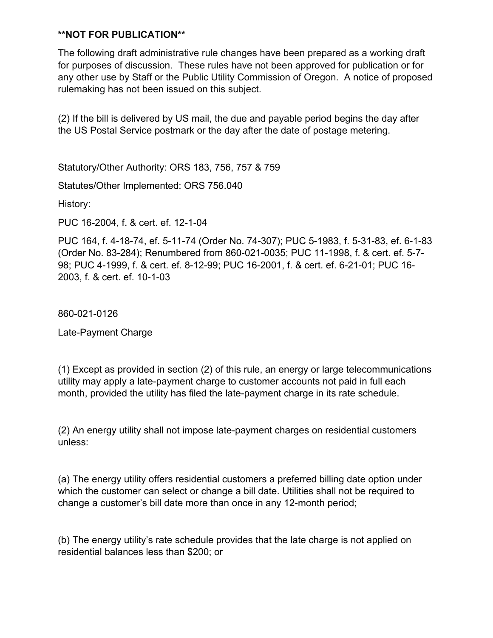The following draft administrative rule changes have been prepared as a working draft for purposes of discussion. These rules have not been approved for publication or for any other use by Staff or the Public Utility Commission of Oregon. A notice of proposed rulemaking has not been issued on this subject.

(2) If the bill is delivered by US mail, the due and payable period begins the day after the US Postal Service postmark or the day after the date of postage metering.

Statutory/Other Authority: ORS 183, 756, 757 & 759

Statutes/Other Implemented: ORS 756.040

History:

PUC 16-2004, f. & cert. ef. 12-1-04

PUC 164, f. 4-18-74, ef. 5-11-74 (Order No. 74-307); PUC 5-1983, f. 5-31-83, ef. 6-1-83 (Order No. 83-284); Renumbered from 860-021-0035; PUC 11-1998, f. & cert. ef. 5-7- 98; PUC 4-1999, f. & cert. ef. 8-12-99; PUC 16-2001, f. & cert. ef. 6-21-01; PUC 16- 2003, f. & cert. ef. 10-1-03

860-021-0126

Late-Payment Charge

(1) Except as provided in section (2) of this rule, an energy or large telecommunications utility may apply a late-payment charge to customer accounts not paid in full each month, provided the utility has filed the late-payment charge in its rate schedule.

(2) An energy utility shall not impose late-payment charges on residential customers unless:

(a) The energy utility offers residential customers a preferred billing date option under which the customer can select or change a bill date. Utilities shall not be required to change a customer's bill date more than once in any 12-month period;

(b) The energy utility's rate schedule provides that the late charge is not applied on residential balances less than \$200; or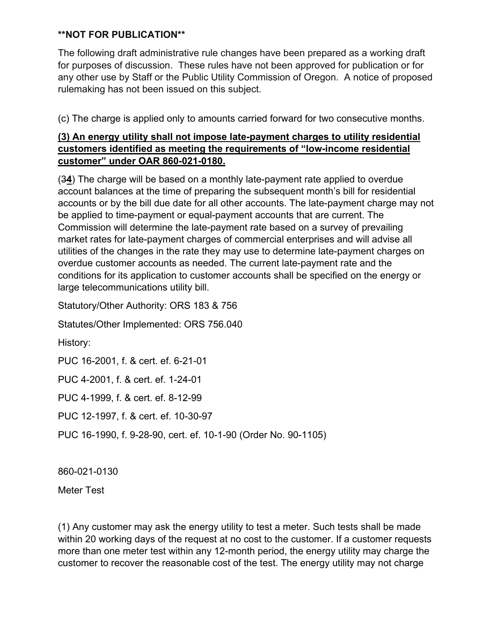The following draft administrative rule changes have been prepared as a working draft for purposes of discussion. These rules have not been approved for publication or for any other use by Staff or the Public Utility Commission of Oregon. A notice of proposed rulemaking has not been issued on this subject.

(c) The charge is applied only to amounts carried forward for two consecutive months.

# **(3) An energy utility shall not impose late-payment charges to utility residential customers identified as meeting the requirements of "low-income residential customer" under OAR 860-021-0180.**

(3**4**) The charge will be based on a monthly late-payment rate applied to overdue account balances at the time of preparing the subsequent month's bill for residential accounts or by the bill due date for all other accounts. The late-payment charge may not be applied to time-payment or equal-payment accounts that are current. The Commission will determine the late-payment rate based on a survey of prevailing market rates for late-payment charges of commercial enterprises and will advise all utilities of the changes in the rate they may use to determine late-payment charges on overdue customer accounts as needed. The current late-payment rate and the conditions for its application to customer accounts shall be specified on the energy or large telecommunications utility bill.

Statutory/Other Authority: ORS 183 & 756

Statutes/Other Implemented: ORS 756.040

History:

PUC 16-2001, f. & cert. ef. 6-21-01

PUC 4-2001, f. & cert. ef. 1-24-01

PUC 4-1999, f. & cert. ef. 8-12-99

PUC 12-1997, f. & cert. ef. 10-30-97

PUC 16-1990, f. 9-28-90, cert. ef. 10-1-90 (Order No. 90-1105)

860-021-0130

Meter Test

(1) Any customer may ask the energy utility to test a meter. Such tests shall be made within 20 working days of the request at no cost to the customer. If a customer requests more than one meter test within any 12-month period, the energy utility may charge the customer to recover the reasonable cost of the test. The energy utility may not charge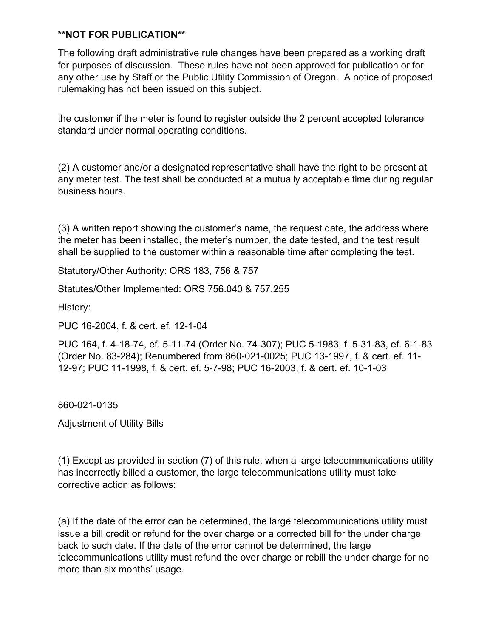The following draft administrative rule changes have been prepared as a working draft for purposes of discussion. These rules have not been approved for publication or for any other use by Staff or the Public Utility Commission of Oregon. A notice of proposed rulemaking has not been issued on this subject.

the customer if the meter is found to register outside the 2 percent accepted tolerance standard under normal operating conditions.

(2) A customer and/or a designated representative shall have the right to be present at any meter test. The test shall be conducted at a mutually acceptable time during regular business hours.

(3) A written report showing the customer's name, the request date, the address where the meter has been installed, the meter's number, the date tested, and the test result shall be supplied to the customer within a reasonable time after completing the test.

Statutory/Other Authority: ORS 183, 756 & 757

Statutes/Other Implemented: ORS 756.040 & 757.255

History:

PUC 16-2004, f. & cert. ef. 12-1-04

PUC 164, f. 4-18-74, ef. 5-11-74 (Order No. 74-307); PUC 5-1983, f. 5-31-83, ef. 6-1-83 (Order No. 83-284); Renumbered from 860-021-0025; PUC 13-1997, f. & cert. ef. 11- 12-97; PUC 11-1998, f. & cert. ef. 5-7-98; PUC 16-2003, f. & cert. ef. 10-1-03

860-021-0135

Adjustment of Utility Bills

(1) Except as provided in section (7) of this rule, when a large telecommunications utility has incorrectly billed a customer, the large telecommunications utility must take corrective action as follows:

(a) If the date of the error can be determined, the large telecommunications utility must issue a bill credit or refund for the over charge or a corrected bill for the under charge back to such date. If the date of the error cannot be determined, the large telecommunications utility must refund the over charge or rebill the under charge for no more than six months' usage.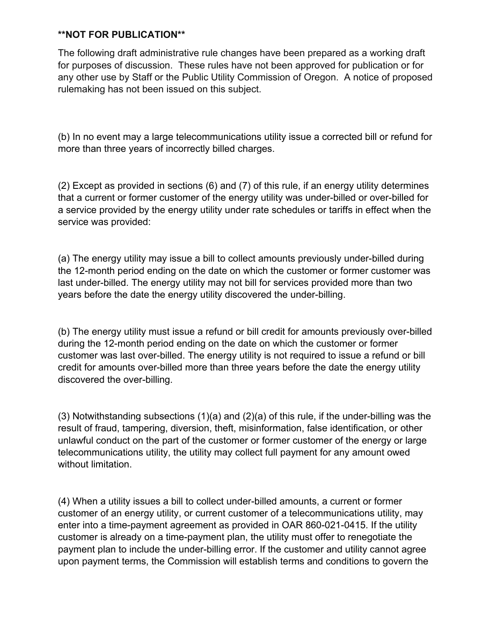The following draft administrative rule changes have been prepared as a working draft for purposes of discussion. These rules have not been approved for publication or for any other use by Staff or the Public Utility Commission of Oregon. A notice of proposed rulemaking has not been issued on this subject.

(b) In no event may a large telecommunications utility issue a corrected bill or refund for more than three years of incorrectly billed charges.

(2) Except as provided in sections (6) and (7) of this rule, if an energy utility determines that a current or former customer of the energy utility was under-billed or over-billed for a service provided by the energy utility under rate schedules or tariffs in effect when the service was provided:

(a) The energy utility may issue a bill to collect amounts previously under-billed during the 12-month period ending on the date on which the customer or former customer was last under-billed. The energy utility may not bill for services provided more than two years before the date the energy utility discovered the under-billing.

(b) The energy utility must issue a refund or bill credit for amounts previously over-billed during the 12-month period ending on the date on which the customer or former customer was last over-billed. The energy utility is not required to issue a refund or bill credit for amounts over-billed more than three years before the date the energy utility discovered the over-billing.

(3) Notwithstanding subsections (1)(a) and (2)(a) of this rule, if the under-billing was the result of fraud, tampering, diversion, theft, misinformation, false identification, or other unlawful conduct on the part of the customer or former customer of the energy or large telecommunications utility, the utility may collect full payment for any amount owed without limitation.

(4) When a utility issues a bill to collect under-billed amounts, a current or former customer of an energy utility, or current customer of a telecommunications utility, may enter into a time-payment agreement as provided in OAR 860-021-0415. If the utility customer is already on a time-payment plan, the utility must offer to renegotiate the payment plan to include the under-billing error. If the customer and utility cannot agree upon payment terms, the Commission will establish terms and conditions to govern the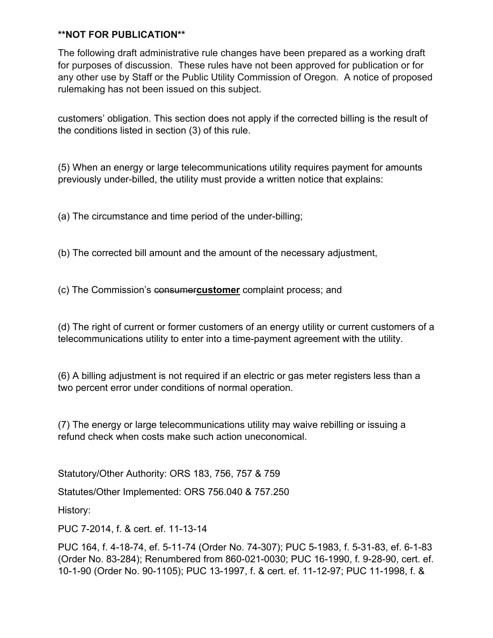The following draft administrative rule changes have been prepared as a working draft for purposes of discussion. These rules have not been approved for publication or for any other use by Staff or the Public Utility Commission of Oregon. A notice of proposed rulemaking has not been issued on this subject.

customers' obligation. This section does not apply if the corrected billing is the result of the conditions listed in section (3) of this rule.

(5) When an energy or large telecommunications utility requires payment for amounts previously under-billed, the utility must provide a written notice that explains:

(a) The circumstance and time period of the under-billing;

(b) The corrected bill amount and the amount of the necessary adjustment,

(c) The Commission's consumer**customer** complaint process; and

(d) The right of current or former customers of an energy utility or current customers of a telecommunications utility to enter into a time-payment agreement with the utility.

(6) A billing adjustment is not required if an electric or gas meter registers less than a two percent error under conditions of normal operation.

(7) The energy or large telecommunications utility may waive rebilling or issuing a refund check when costs make such action uneconomical.

Statutory/Other Authority: ORS 183, 756, 757 & 759

Statutes/Other Implemented: ORS 756.040 & 757.250

History:

PUC 7-2014, f. & cert. ef. 11-13-14

PUC 164, f. 4-18-74, ef. 5-11-74 (Order No. 74-307); PUC 5-1983, f. 5-31-83, ef. 6-1-83 (Order No. 83-284); Renumbered from 860-021-0030; PUC 16-1990, f. 9-28-90, cert. ef. 10-1-90 (Order No. 90-1105); PUC 13-1997, f. & cert. ef. 11-12-97; PUC 11-1998, f. &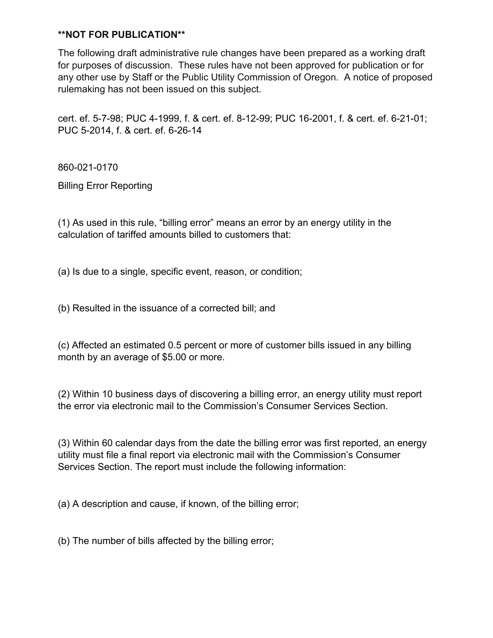The following draft administrative rule changes have been prepared as a working draft for purposes of discussion. These rules have not been approved for publication or for any other use by Staff or the Public Utility Commission of Oregon. A notice of proposed rulemaking has not been issued on this subject.

cert. ef. 5-7-98; PUC 4-1999, f. & cert. ef. 8-12-99; PUC 16-2001, f. & cert. ef. 6-21-01; PUC 5-2014, f. & cert. ef. 6-26-14

860-021-0170

Billing Error Reporting

(1) As used in this rule, "billing error" means an error by an energy utility in the calculation of tariffed amounts billed to customers that:

(a) Is due to a single, specific event, reason, or condition;

(b) Resulted in the issuance of a corrected bill; and

(c) Affected an estimated 0.5 percent or more of customer bills issued in any billing month by an average of \$5.00 or more.

(2) Within 10 business days of discovering a billing error, an energy utility must report the error via electronic mail to the Commission's Consumer Services Section.

(3) Within 60 calendar days from the date the billing error was first reported, an energy utility must file a final report via electronic mail with the Commission's Consumer Services Section. The report must include the following information:

(a) A description and cause, if known, of the billing error;

(b) The number of bills affected by the billing error;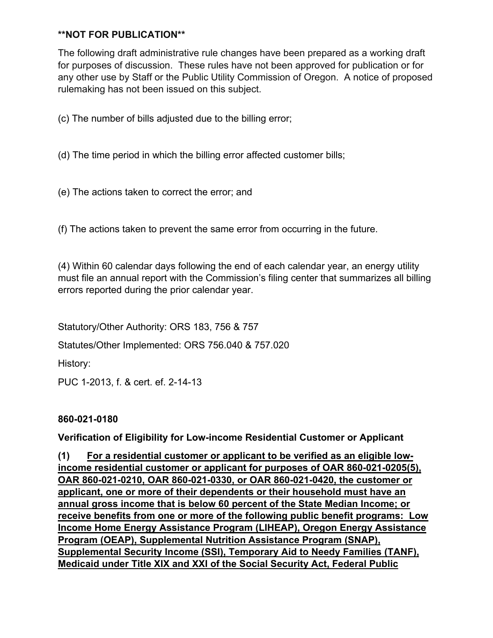The following draft administrative rule changes have been prepared as a working draft for purposes of discussion. These rules have not been approved for publication or for any other use by Staff or the Public Utility Commission of Oregon. A notice of proposed rulemaking has not been issued on this subject.

(c) The number of bills adjusted due to the billing error;

(d) The time period in which the billing error affected customer bills;

(e) The actions taken to correct the error; and

(f) The actions taken to prevent the same error from occurring in the future.

(4) Within 60 calendar days following the end of each calendar year, an energy utility must file an annual report with the Commission's filing center that summarizes all billing errors reported during the prior calendar year.

Statutory/Other Authority: ORS 183, 756 & 757

Statutes/Other Implemented: ORS 756.040 & 757.020

History:

PUC 1-2013, f. & cert. ef. 2-14-13

**860-021-0180**

**Verification of Eligibility for Low-income Residential Customer or Applicant**

**(1) For a residential customer or applicant to be verified as an eligible lowincome residential customer or applicant for purposes of OAR 860-021-0205(5), OAR 860-021-0210, OAR 860-021-0330, or OAR 860-021-0420, the customer or applicant, one or more of their dependents or their household must have an annual gross income that is below 60 percent of the State Median Income; or receive benefits from one or more of the following public benefit programs: Low Income Home Energy Assistance Program (LIHEAP), Oregon Energy Assistance Program (OEAP), Supplemental Nutrition Assistance Program (SNAP), Supplemental Security Income (SSI), Temporary Aid to Needy Families (TANF), Medicaid under Title XIX and XXI of the Social Security Act, Federal Public**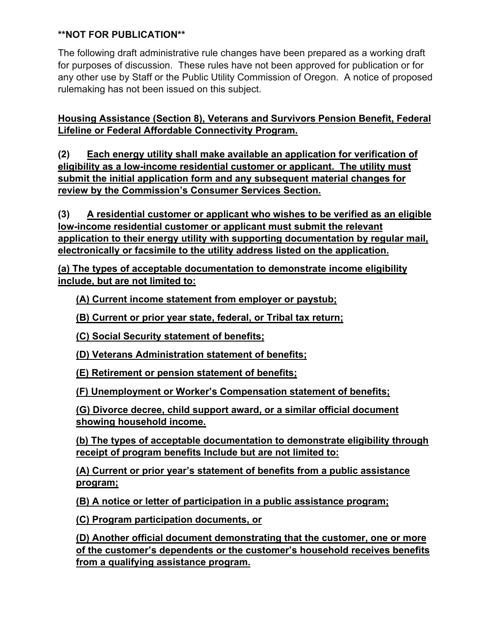The following draft administrative rule changes have been prepared as a working draft for purposes of discussion. These rules have not been approved for publication or for any other use by Staff or the Public Utility Commission of Oregon. A notice of proposed rulemaking has not been issued on this subject.

**Housing Assistance (Section 8), Veterans and Survivors Pension Benefit, Federal Lifeline or Federal Affordable Connectivity Program.** 

**(2) Each energy utility shall make available an application for verification of eligibility as a low-income residential customer or applicant. The utility must submit the initial application form and any subsequent material changes for review by the Commission's Consumer Services Section.** 

**(3) A residential customer or applicant who wishes to be verified as an eligible low-income residential customer or applicant must submit the relevant application to their energy utility with supporting documentation by regular mail, electronically or facsimile to the utility address listed on the application.**

**(a) The types of acceptable documentation to demonstrate income eligibility include, but are not limited to:**

**(A) Current income statement from employer or paystub;**

**(B) Current or prior year state, federal, or Tribal tax return;**

**(C) Social Security statement of benefits;**

**(D) Veterans Administration statement of benefits;**

**(E) Retirement or pension statement of benefits;**

**(F) Unemployment or Worker's Compensation statement of benefits;**

**(G) Divorce decree, child support award, or a similar official document showing household income.**

**(b) The types of acceptable documentation to demonstrate eligibility through receipt of program benefits Include but are not limited to:**

**(A) Current or prior year's statement of benefits from a public assistance program;**

**(B) A notice or letter of participation in a public assistance program;**

**(C) Program participation documents, or** 

**(D) Another official document demonstrating that the customer, one or more of the customer's dependents or the customer's household receives benefits from a qualifying assistance program.**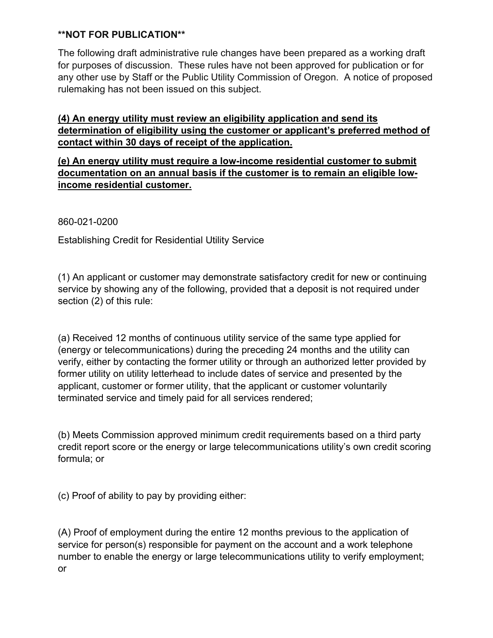The following draft administrative rule changes have been prepared as a working draft for purposes of discussion. These rules have not been approved for publication or for any other use by Staff or the Public Utility Commission of Oregon. A notice of proposed rulemaking has not been issued on this subject.

**(4) An energy utility must review an eligibility application and send its determination of eligibility using the customer or applicant's preferred method of contact within 30 days of receipt of the application.**

**(e) An energy utility must require a low-income residential customer to submit documentation on an annual basis if the customer is to remain an eligible lowincome residential customer.**

860-021-0200

Establishing Credit for Residential Utility Service

(1) An applicant or customer may demonstrate satisfactory credit for new or continuing service by showing any of the following, provided that a deposit is not required under section (2) of this rule:

(a) Received 12 months of continuous utility service of the same type applied for (energy or telecommunications) during the preceding 24 months and the utility can verify, either by contacting the former utility or through an authorized letter provided by former utility on utility letterhead to include dates of service and presented by the applicant, customer or former utility, that the applicant or customer voluntarily terminated service and timely paid for all services rendered;

(b) Meets Commission approved minimum credit requirements based on a third party credit report score or the energy or large telecommunications utility's own credit scoring formula; or

(c) Proof of ability to pay by providing either:

(A) Proof of employment during the entire 12 months previous to the application of service for person(s) responsible for payment on the account and a work telephone number to enable the energy or large telecommunications utility to verify employment; or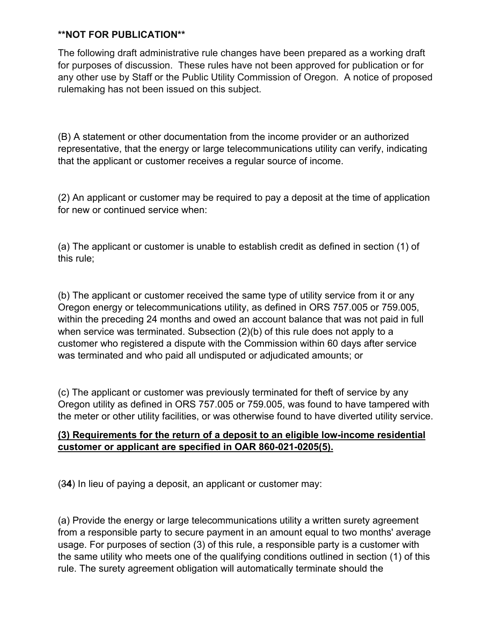The following draft administrative rule changes have been prepared as a working draft for purposes of discussion. These rules have not been approved for publication or for any other use by Staff or the Public Utility Commission of Oregon. A notice of proposed rulemaking has not been issued on this subject.

(B) A statement or other documentation from the income provider or an authorized representative, that the energy or large telecommunications utility can verify, indicating that the applicant or customer receives a regular source of income.

(2) An applicant or customer may be required to pay a deposit at the time of application for new or continued service when:

(a) The applicant or customer is unable to establish credit as defined in section (1) of this rule;

(b) The applicant or customer received the same type of utility service from it or any Oregon energy or telecommunications utility, as defined in ORS 757.005 or 759.005, within the preceding 24 months and owed an account balance that was not paid in full when service was terminated. Subsection (2)(b) of this rule does not apply to a customer who registered a dispute with the Commission within 60 days after service was terminated and who paid all undisputed or adjudicated amounts; or

(c) The applicant or customer was previously terminated for theft of service by any Oregon utility as defined in ORS 757.005 or 759.005, was found to have tampered with the meter or other utility facilities, or was otherwise found to have diverted utility service.

# **(3) Requirements for the return of a deposit to an eligible low-income residential customer or applicant are specified in OAR 860-021-0205(5).**

(3**4**) In lieu of paying a deposit, an applicant or customer may:

(a) Provide the energy or large telecommunications utility a written surety agreement from a responsible party to secure payment in an amount equal to two months' average usage. For purposes of section (3) of this rule, a responsible party is a customer with the same utility who meets one of the qualifying conditions outlined in section (1) of this rule. The surety agreement obligation will automatically terminate should the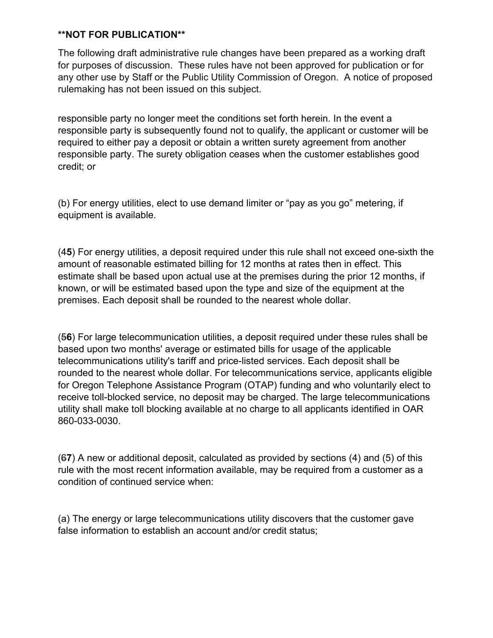The following draft administrative rule changes have been prepared as a working draft for purposes of discussion. These rules have not been approved for publication or for any other use by Staff or the Public Utility Commission of Oregon. A notice of proposed rulemaking has not been issued on this subject.

responsible party no longer meet the conditions set forth herein. In the event a responsible party is subsequently found not to qualify, the applicant or customer will be required to either pay a deposit or obtain a written surety agreement from another responsible party. The surety obligation ceases when the customer establishes good credit; or

(b) For energy utilities, elect to use demand limiter or "pay as you go" metering, if equipment is available.

(4**5**) For energy utilities, a deposit required under this rule shall not exceed one-sixth the amount of reasonable estimated billing for 12 months at rates then in effect. This estimate shall be based upon actual use at the premises during the prior 12 months, if known, or will be estimated based upon the type and size of the equipment at the premises. Each deposit shall be rounded to the nearest whole dollar.

(5**6**) For large telecommunication utilities, a deposit required under these rules shall be based upon two months' average or estimated bills for usage of the applicable telecommunications utility's tariff and price-listed services. Each deposit shall be rounded to the nearest whole dollar. For telecommunications service, applicants eligible for Oregon Telephone Assistance Program (OTAP) funding and who voluntarily elect to receive toll-blocked service, no deposit may be charged. The large telecommunications utility shall make toll blocking available at no charge to all applicants identified in OAR 860-033-0030.

(6**7**) A new or additional deposit, calculated as provided by sections (4) and (5) of this rule with the most recent information available, may be required from a customer as a condition of continued service when:

(a) The energy or large telecommunications utility discovers that the customer gave false information to establish an account and/or credit status;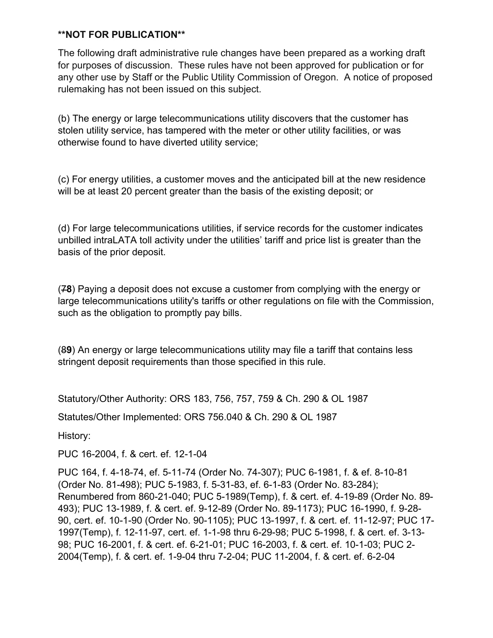The following draft administrative rule changes have been prepared as a working draft for purposes of discussion. These rules have not been approved for publication or for any other use by Staff or the Public Utility Commission of Oregon. A notice of proposed rulemaking has not been issued on this subject.

(b) The energy or large telecommunications utility discovers that the customer has stolen utility service, has tampered with the meter or other utility facilities, or was otherwise found to have diverted utility service;

(c) For energy utilities, a customer moves and the anticipated bill at the new residence will be at least 20 percent greater than the basis of the existing deposit; or

(d) For large telecommunications utilities, if service records for the customer indicates unbilled intraLATA toll activity under the utilities' tariff and price list is greater than the basis of the prior deposit.

(7**8**) Paying a deposit does not excuse a customer from complying with the energy or large telecommunications utility's tariffs or other regulations on file with the Commission, such as the obligation to promptly pay bills.

(8**9**) An energy or large telecommunications utility may file a tariff that contains less stringent deposit requirements than those specified in this rule.

Statutory/Other Authority: ORS 183, 756, 757, 759 & Ch. 290 & OL 1987

Statutes/Other Implemented: ORS 756.040 & Ch. 290 & OL 1987

History:

PUC 16-2004, f. & cert. ef. 12-1-04

PUC 164, f. 4-18-74, ef. 5-11-74 (Order No. 74-307); PUC 6-1981, f. & ef. 8-10-81 (Order No. 81-498); PUC 5-1983, f. 5-31-83, ef. 6-1-83 (Order No. 83-284); Renumbered from 860-21-040; PUC 5-1989(Temp), f. & cert. ef. 4-19-89 (Order No. 89- 493); PUC 13-1989, f. & cert. ef. 9-12-89 (Order No. 89-1173); PUC 16-1990, f. 9-28- 90, cert. ef. 10-1-90 (Order No. 90-1105); PUC 13-1997, f. & cert. ef. 11-12-97; PUC 17- 1997(Temp), f. 12-11-97, cert. ef. 1-1-98 thru 6-29-98; PUC 5-1998, f. & cert. ef. 3-13- 98; PUC 16-2001, f. & cert. ef. 6-21-01; PUC 16-2003, f. & cert. ef. 10-1-03; PUC 2- 2004(Temp), f. & cert. ef. 1-9-04 thru 7-2-04; PUC 11-2004, f. & cert. ef. 6-2-04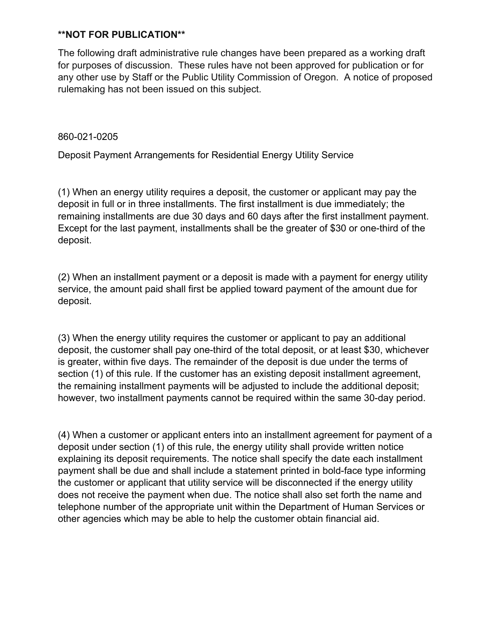The following draft administrative rule changes have been prepared as a working draft for purposes of discussion. These rules have not been approved for publication or for any other use by Staff or the Public Utility Commission of Oregon. A notice of proposed rulemaking has not been issued on this subject.

860-021-0205

Deposit Payment Arrangements for Residential Energy Utility Service

(1) When an energy utility requires a deposit, the customer or applicant may pay the deposit in full or in three installments. The first installment is due immediately; the remaining installments are due 30 days and 60 days after the first installment payment. Except for the last payment, installments shall be the greater of \$30 or one-third of the deposit.

(2) When an installment payment or a deposit is made with a payment for energy utility service, the amount paid shall first be applied toward payment of the amount due for deposit.

(3) When the energy utility requires the customer or applicant to pay an additional deposit, the customer shall pay one-third of the total deposit, or at least \$30, whichever is greater, within five days. The remainder of the deposit is due under the terms of section (1) of this rule. If the customer has an existing deposit installment agreement, the remaining installment payments will be adjusted to include the additional deposit; however, two installment payments cannot be required within the same 30-day period.

(4) When a customer or applicant enters into an installment agreement for payment of a deposit under section (1) of this rule, the energy utility shall provide written notice explaining its deposit requirements. The notice shall specify the date each installment payment shall be due and shall include a statement printed in bold-face type informing the customer or applicant that utility service will be disconnected if the energy utility does not receive the payment when due. The notice shall also set forth the name and telephone number of the appropriate unit within the Department of Human Services or other agencies which may be able to help the customer obtain financial aid.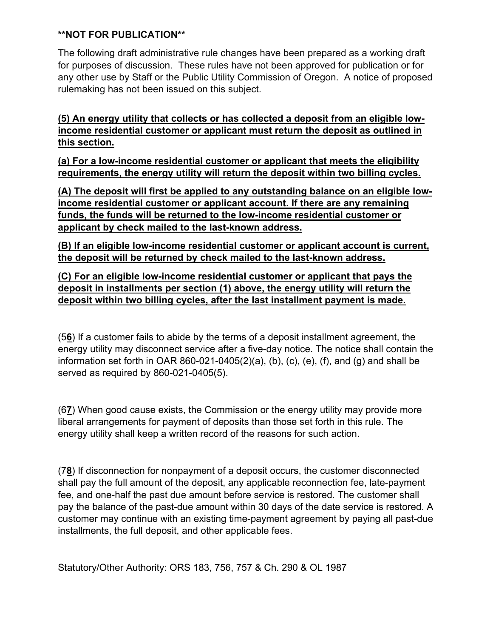The following draft administrative rule changes have been prepared as a working draft for purposes of discussion. These rules have not been approved for publication or for any other use by Staff or the Public Utility Commission of Oregon. A notice of proposed rulemaking has not been issued on this subject.

**(5) An energy utility that collects or has collected a deposit from an eligible lowincome residential customer or applicant must return the deposit as outlined in this section.**

**(a) For a low-income residential customer or applicant that meets the eligibility requirements, the energy utility will return the deposit within two billing cycles.**

**(A) The deposit will first be applied to any outstanding balance on an eligible lowincome residential customer or applicant account. If there are any remaining funds, the funds will be returned to the low-income residential customer or applicant by check mailed to the last-known address.**

**(B) If an eligible low-income residential customer or applicant account is current, the deposit will be returned by check mailed to the last-known address.**

**(C) For an eligible low-income residential customer or applicant that pays the deposit in installments per section (1) above, the energy utility will return the deposit within two billing cycles, after the last installment payment is made.**

(5**6**) If a customer fails to abide by the terms of a deposit installment agreement, the energy utility may disconnect service after a five-day notice. The notice shall contain the information set forth in OAR 860-021-0405(2)(a), (b), (c), (e), (f), and (g) and shall be served as required by 860-021-0405(5).

(6**7**) When good cause exists, the Commission or the energy utility may provide more liberal arrangements for payment of deposits than those set forth in this rule. The energy utility shall keep a written record of the reasons for such action.

(7**8**) If disconnection for nonpayment of a deposit occurs, the customer disconnected shall pay the full amount of the deposit, any applicable reconnection fee, late-payment fee, and one-half the past due amount before service is restored. The customer shall pay the balance of the past-due amount within 30 days of the date service is restored. A customer may continue with an existing time-payment agreement by paying all past-due installments, the full deposit, and other applicable fees.

Statutory/Other Authority: ORS 183, 756, 757 & Ch. 290 & OL 1987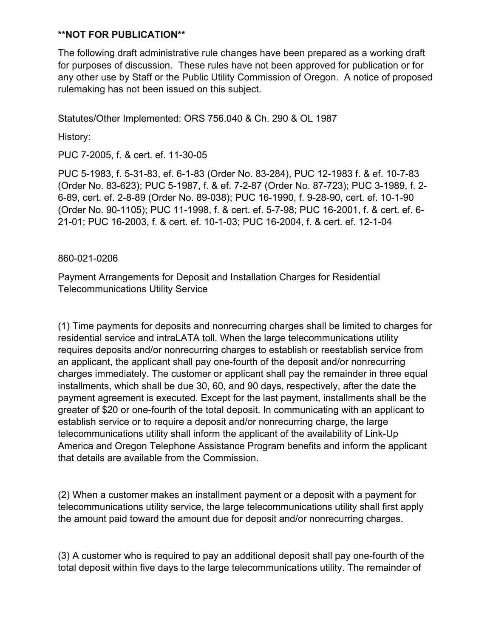The following draft administrative rule changes have been prepared as a working draft for purposes of discussion. These rules have not been approved for publication or for any other use by Staff or the Public Utility Commission of Oregon. A notice of proposed rulemaking has not been issued on this subject.

Statutes/Other Implemented: ORS 756.040 & Ch. 290 & OL 1987

History:

PUC 7-2005, f. & cert. ef. 11-30-05

PUC 5-1983, f. 5-31-83, ef. 6-1-83 (Order No. 83-284), PUC 12-1983 f. & ef. 10-7-83 (Order No. 83-623); PUC 5-1987, f. & ef. 7-2-87 (Order No. 87-723); PUC 3-1989, f. 2- 6-89, cert. ef. 2-8-89 (Order No. 89-038); PUC 16-1990, f. 9-28-90, cert. ef. 10-1-90 (Order No. 90-1105); PUC 11-1998, f. & cert. ef. 5-7-98; PUC 16-2001, f. & cert. ef. 6- 21-01; PUC 16-2003, f. & cert. ef. 10-1-03; PUC 16-2004, f. & cert. ef. 12-1-04

#### 860-021-0206

Payment Arrangements for Deposit and Installation Charges for Residential Telecommunications Utility Service

(1) Time payments for deposits and nonrecurring charges shall be limited to charges for residential service and intraLATA toll. When the large telecommunications utility requires deposits and/or nonrecurring charges to establish or reestablish service from an applicant, the applicant shall pay one-fourth of the deposit and/or nonrecurring charges immediately. The customer or applicant shall pay the remainder in three equal installments, which shall be due 30, 60, and 90 days, respectively, after the date the payment agreement is executed. Except for the last payment, installments shall be the greater of \$20 or one-fourth of the total deposit. In communicating with an applicant to establish service or to require a deposit and/or nonrecurring charge, the large telecommunications utility shall inform the applicant of the availability of Link-Up America and Oregon Telephone Assistance Program benefits and inform the applicant that details are available from the Commission.

(2) When a customer makes an installment payment or a deposit with a payment for telecommunications utility service, the large telecommunications utility shall first apply the amount paid toward the amount due for deposit and/or nonrecurring charges.

(3) A customer who is required to pay an additional deposit shall pay one-fourth of the total deposit within five days to the large telecommunications utility. The remainder of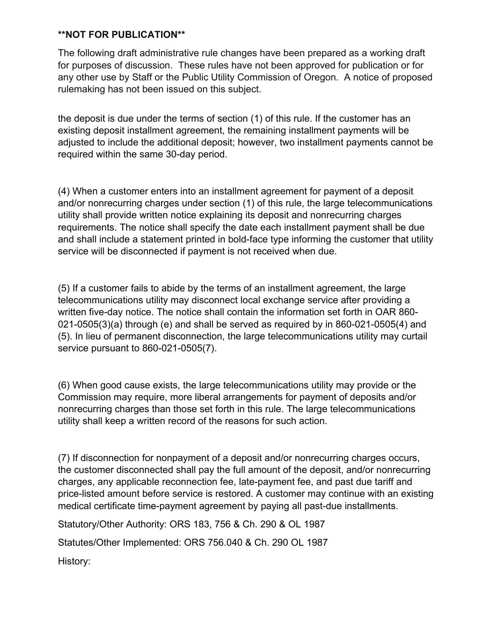The following draft administrative rule changes have been prepared as a working draft for purposes of discussion. These rules have not been approved for publication or for any other use by Staff or the Public Utility Commission of Oregon. A notice of proposed rulemaking has not been issued on this subject.

the deposit is due under the terms of section (1) of this rule. If the customer has an existing deposit installment agreement, the remaining installment payments will be adjusted to include the additional deposit; however, two installment payments cannot be required within the same 30-day period.

(4) When a customer enters into an installment agreement for payment of a deposit and/or nonrecurring charges under section (1) of this rule, the large telecommunications utility shall provide written notice explaining its deposit and nonrecurring charges requirements. The notice shall specify the date each installment payment shall be due and shall include a statement printed in bold-face type informing the customer that utility service will be disconnected if payment is not received when due.

(5) If a customer fails to abide by the terms of an installment agreement, the large telecommunications utility may disconnect local exchange service after providing a written five-day notice. The notice shall contain the information set forth in OAR 860- 021-0505(3)(a) through (e) and shall be served as required by in 860-021-0505(4) and (5). In lieu of permanent disconnection, the large telecommunications utility may curtail service pursuant to 860-021-0505(7).

(6) When good cause exists, the large telecommunications utility may provide or the Commission may require, more liberal arrangements for payment of deposits and/or nonrecurring charges than those set forth in this rule. The large telecommunications utility shall keep a written record of the reasons for such action.

(7) If disconnection for nonpayment of a deposit and/or nonrecurring charges occurs, the customer disconnected shall pay the full amount of the deposit, and/or nonrecurring charges, any applicable reconnection fee, late-payment fee, and past due tariff and price-listed amount before service is restored. A customer may continue with an existing medical certificate time-payment agreement by paying all past-due installments.

Statutory/Other Authority: ORS 183, 756 & Ch. 290 & OL 1987

Statutes/Other Implemented: ORS 756.040 & Ch. 290 OL 1987

History: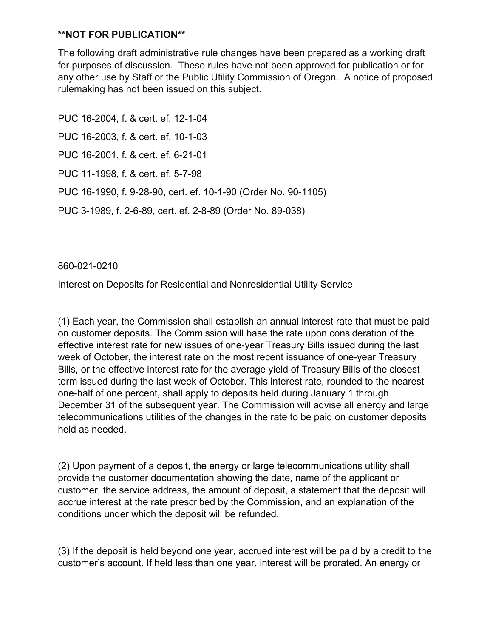The following draft administrative rule changes have been prepared as a working draft for purposes of discussion. These rules have not been approved for publication or for any other use by Staff or the Public Utility Commission of Oregon. A notice of proposed rulemaking has not been issued on this subject.

PUC 16-2004, f. & cert. ef. 12-1-04 PUC 16-2003, f. & cert. ef. 10-1-03 PUC 16-2001, f. & cert. ef. 6-21-01 PUC 11-1998, f. & cert. ef. 5-7-98 PUC 16-1990, f. 9-28-90, cert. ef. 10-1-90 (Order No. 90-1105) PUC 3-1989, f. 2-6-89, cert. ef. 2-8-89 (Order No. 89-038)

860-021-0210

Interest on Deposits for Residential and Nonresidential Utility Service

(1) Each year, the Commission shall establish an annual interest rate that must be paid on customer deposits. The Commission will base the rate upon consideration of the effective interest rate for new issues of one-year Treasury Bills issued during the last week of October, the interest rate on the most recent issuance of one-year Treasury Bills, or the effective interest rate for the average yield of Treasury Bills of the closest term issued during the last week of October. This interest rate, rounded to the nearest one-half of one percent, shall apply to deposits held during January 1 through December 31 of the subsequent year. The Commission will advise all energy and large telecommunications utilities of the changes in the rate to be paid on customer deposits held as needed.

(2) Upon payment of a deposit, the energy or large telecommunications utility shall provide the customer documentation showing the date, name of the applicant or customer, the service address, the amount of deposit, a statement that the deposit will accrue interest at the rate prescribed by the Commission, and an explanation of the conditions under which the deposit will be refunded.

(3) If the deposit is held beyond one year, accrued interest will be paid by a credit to the customer's account. If held less than one year, interest will be prorated. An energy or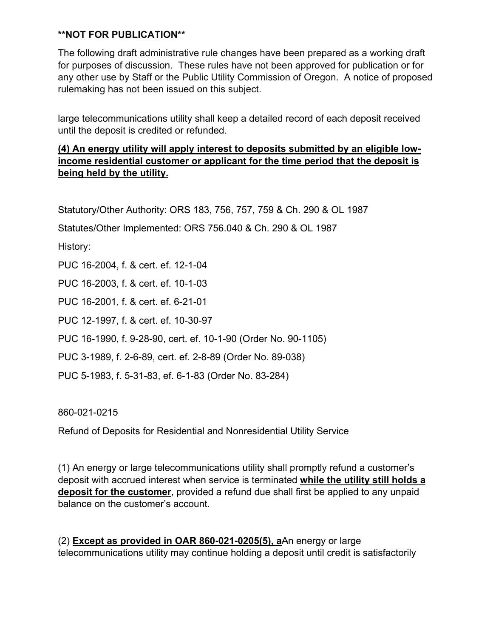The following draft administrative rule changes have been prepared as a working draft for purposes of discussion. These rules have not been approved for publication or for any other use by Staff or the Public Utility Commission of Oregon. A notice of proposed rulemaking has not been issued on this subject.

large telecommunications utility shall keep a detailed record of each deposit received until the deposit is credited or refunded.

# **(4) An energy utility will apply interest to deposits submitted by an eligible lowincome residential customer or applicant for the time period that the deposit is being held by the utility.**

Statutory/Other Authority: ORS 183, 756, 757, 759 & Ch. 290 & OL 1987

Statutes/Other Implemented: ORS 756.040 & Ch. 290 & OL 1987

History:

PUC 16-2004, f. & cert. ef. 12-1-04

PUC 16-2003, f. & cert. ef. 10-1-03

PUC 16-2001, f. & cert. ef. 6-21-01

PUC 12-1997, f. & cert. ef. 10-30-97

PUC 16-1990, f. 9-28-90, cert. ef. 10-1-90 (Order No. 90-1105)

PUC 3-1989, f. 2-6-89, cert. ef. 2-8-89 (Order No. 89-038)

PUC 5-1983, f. 5-31-83, ef. 6-1-83 (Order No. 83-284)

860-021-0215

Refund of Deposits for Residential and Nonresidential Utility Service

(1) An energy or large telecommunications utility shall promptly refund a customer's deposit with accrued interest when service is terminated **while the utility still holds a deposit for the customer**, provided a refund due shall first be applied to any unpaid balance on the customer's account.

(2) **Except as provided in OAR 860-021-0205(5), a**An energy or large telecommunications utility may continue holding a deposit until credit is satisfactorily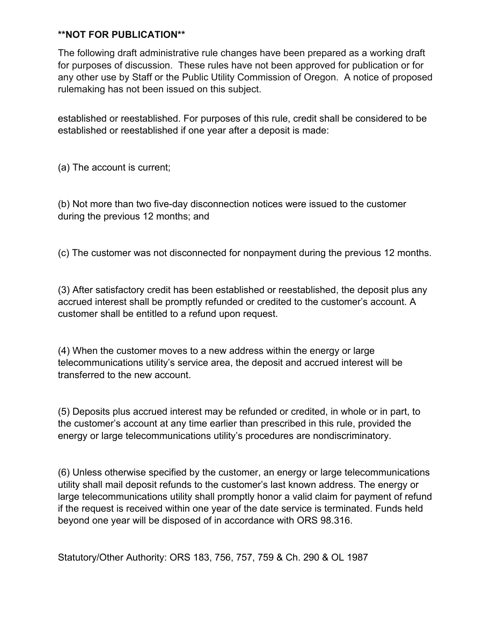The following draft administrative rule changes have been prepared as a working draft for purposes of discussion. These rules have not been approved for publication or for any other use by Staff or the Public Utility Commission of Oregon. A notice of proposed rulemaking has not been issued on this subject.

established or reestablished. For purposes of this rule, credit shall be considered to be established or reestablished if one year after a deposit is made:

(a) The account is current;

(b) Not more than two five-day disconnection notices were issued to the customer during the previous 12 months; and

(c) The customer was not disconnected for nonpayment during the previous 12 months.

(3) After satisfactory credit has been established or reestablished, the deposit plus any accrued interest shall be promptly refunded or credited to the customer's account. A customer shall be entitled to a refund upon request.

(4) When the customer moves to a new address within the energy or large telecommunications utility's service area, the deposit and accrued interest will be transferred to the new account.

(5) Deposits plus accrued interest may be refunded or credited, in whole or in part, to the customer's account at any time earlier than prescribed in this rule, provided the energy or large telecommunications utility's procedures are nondiscriminatory.

(6) Unless otherwise specified by the customer, an energy or large telecommunications utility shall mail deposit refunds to the customer's last known address. The energy or large telecommunications utility shall promptly honor a valid claim for payment of refund if the request is received within one year of the date service is terminated. Funds held beyond one year will be disposed of in accordance with ORS 98.316.

Statutory/Other Authority: ORS 183, 756, 757, 759 & Ch. 290 & OL 1987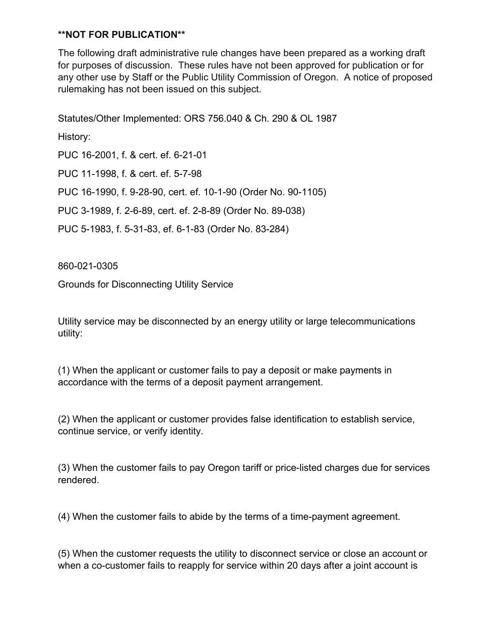The following draft administrative rule changes have been prepared as a working draft for purposes of discussion. These rules have not been approved for publication or for any other use by Staff or the Public Utility Commission of Oregon. A notice of proposed rulemaking has not been issued on this subject.

Statutes/Other Implemented: ORS 756.040 & Ch. 290 & OL 1987 History: PUC 16-2001, f. & cert. ef. 6-21-01 PUC 11-1998, f. & cert. ef. 5-7-98 PUC 16-1990, f. 9-28-90, cert. ef. 10-1-90 (Order No. 90-1105) PUC 3-1989, f. 2-6-89, cert. ef. 2-8-89 (Order No. 89-038) PUC 5-1983, f. 5-31-83, ef. 6-1-83 (Order No. 83-284)

860-021-0305

Grounds for Disconnecting Utility Service

Utility service may be disconnected by an energy utility or large telecommunications utility:

(1) When the applicant or customer fails to pay a deposit or make payments in accordance with the terms of a deposit payment arrangement.

(2) When the applicant or customer provides false identification to establish service, continue service, or verify identity.

(3) When the customer fails to pay Oregon tariff or price-listed charges due for services rendered.

(4) When the customer fails to abide by the terms of a time-payment agreement.

(5) When the customer requests the utility to disconnect service or close an account or when a co-customer fails to reapply for service within 20 days after a joint account is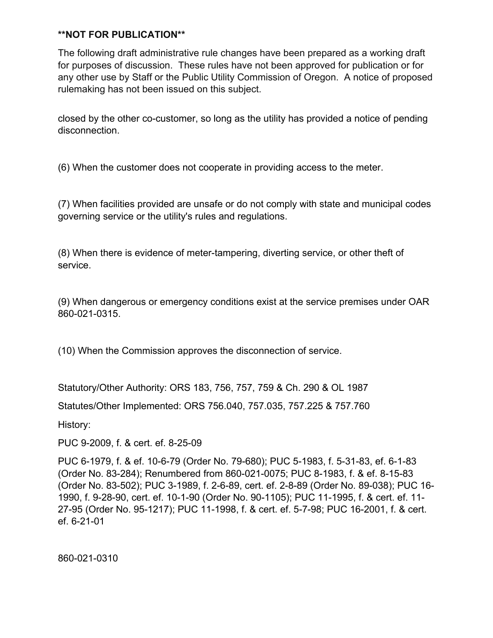The following draft administrative rule changes have been prepared as a working draft for purposes of discussion. These rules have not been approved for publication or for any other use by Staff or the Public Utility Commission of Oregon. A notice of proposed rulemaking has not been issued on this subject.

closed by the other co-customer, so long as the utility has provided a notice of pending disconnection.

(6) When the customer does not cooperate in providing access to the meter.

(7) When facilities provided are unsafe or do not comply with state and municipal codes governing service or the utility's rules and regulations.

(8) When there is evidence of meter-tampering, diverting service, or other theft of service.

(9) When dangerous or emergency conditions exist at the service premises under OAR 860-021-0315.

(10) When the Commission approves the disconnection of service.

Statutory/Other Authority: ORS 183, 756, 757, 759 & Ch. 290 & OL 1987

Statutes/Other Implemented: ORS 756.040, 757.035, 757.225 & 757.760

History:

PUC 9-2009, f. & cert. ef. 8-25-09

PUC 6-1979, f. & ef. 10-6-79 (Order No. 79-680); PUC 5-1983, f. 5-31-83, ef. 6-1-83 (Order No. 83-284); Renumbered from 860-021-0075; PUC 8-1983, f. & ef. 8-15-83 (Order No. 83-502); PUC 3-1989, f. 2-6-89, cert. ef. 2-8-89 (Order No. 89-038); PUC 16- 1990, f. 9-28-90, cert. ef. 10-1-90 (Order No. 90-1105); PUC 11-1995, f. & cert. ef. 11- 27-95 (Order No. 95-1217); PUC 11-1998, f. & cert. ef. 5-7-98; PUC 16-2001, f. & cert. ef. 6-21-01

860-021-0310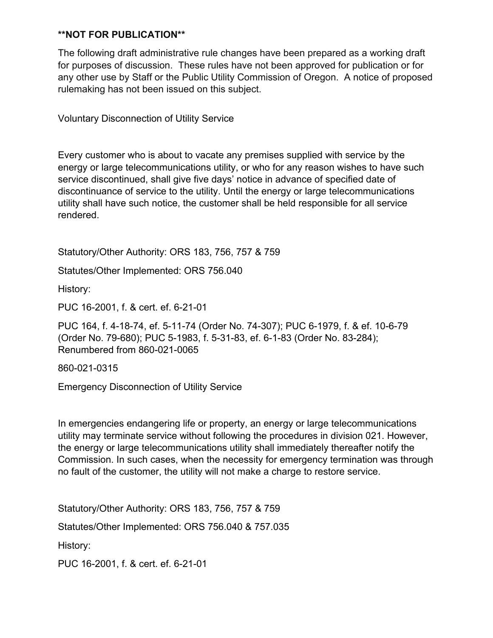The following draft administrative rule changes have been prepared as a working draft for purposes of discussion. These rules have not been approved for publication or for any other use by Staff or the Public Utility Commission of Oregon. A notice of proposed rulemaking has not been issued on this subject.

Voluntary Disconnection of Utility Service

Every customer who is about to vacate any premises supplied with service by the energy or large telecommunications utility, or who for any reason wishes to have such service discontinued, shall give five days' notice in advance of specified date of discontinuance of service to the utility. Until the energy or large telecommunications utility shall have such notice, the customer shall be held responsible for all service rendered.

Statutory/Other Authority: ORS 183, 756, 757 & 759

Statutes/Other Implemented: ORS 756.040

History:

PUC 16-2001, f. & cert. ef. 6-21-01

PUC 164, f. 4-18-74, ef. 5-11-74 (Order No. 74-307); PUC 6-1979, f. & ef. 10-6-79 (Order No. 79-680); PUC 5-1983, f. 5-31-83, ef. 6-1-83 (Order No. 83-284); Renumbered from 860-021-0065

860-021-0315

Emergency Disconnection of Utility Service

In emergencies endangering life or property, an energy or large telecommunications utility may terminate service without following the procedures in division 021. However, the energy or large telecommunications utility shall immediately thereafter notify the Commission. In such cases, when the necessity for emergency termination was through no fault of the customer, the utility will not make a charge to restore service.

Statutory/Other Authority: ORS 183, 756, 757 & 759 Statutes/Other Implemented: ORS 756.040 & 757.035 History: PUC 16-2001, f. & cert. ef. 6-21-01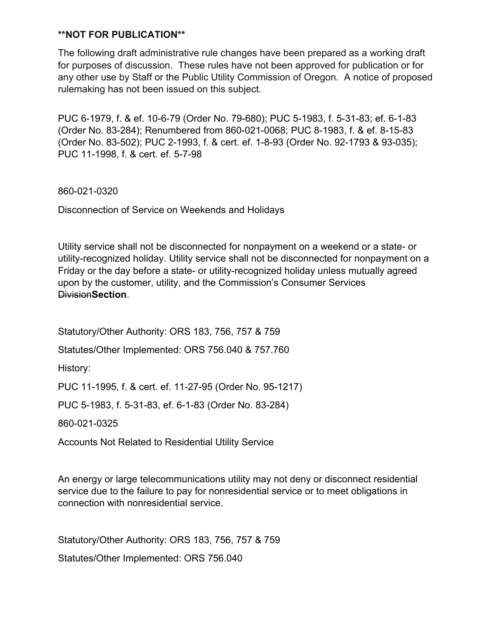The following draft administrative rule changes have been prepared as a working draft for purposes of discussion. These rules have not been approved for publication or for any other use by Staff or the Public Utility Commission of Oregon. A notice of proposed rulemaking has not been issued on this subject.

PUC 6-1979, f. & ef. 10-6-79 (Order No. 79-680); PUC 5-1983, f. 5-31-83; ef. 6-1-83 (Order No. 83-284); Renumbered from 860-021-0068; PUC 8-1983, f. & ef. 8-15-83 (Order No. 83-502); PUC 2-1993, f. & cert. ef. 1-8-93 (Order No. 92-1793 & 93-035); PUC 11-1998, f. & cert. ef. 5-7-98

860-021-0320

Disconnection of Service on Weekends and Holidays

Utility service shall not be disconnected for nonpayment on a weekend or a state- or utility-recognized holiday. Utility service shall not be disconnected for nonpayment on a Friday or the day before a state- or utility-recognized holiday unless mutually agreed upon by the customer, utility, and the Commission's Consumer Services Division**Section**.

Statutory/Other Authority: ORS 183, 756, 757 & 759

Statutes/Other Implemented: ORS 756.040 & 757.760

History:

PUC 11-1995, f. & cert. ef. 11-27-95 (Order No. 95-1217)

PUC 5-1983, f. 5-31-83, ef. 6-1-83 (Order No. 83-284)

860-021-0325

Accounts Not Related to Residential Utility Service

An energy or large telecommunications utility may not deny or disconnect residential service due to the failure to pay for nonresidential service or to meet obligations in connection with nonresidential service.

Statutory/Other Authority: ORS 183, 756, 757 & 759 Statutes/Other Implemented: ORS 756.040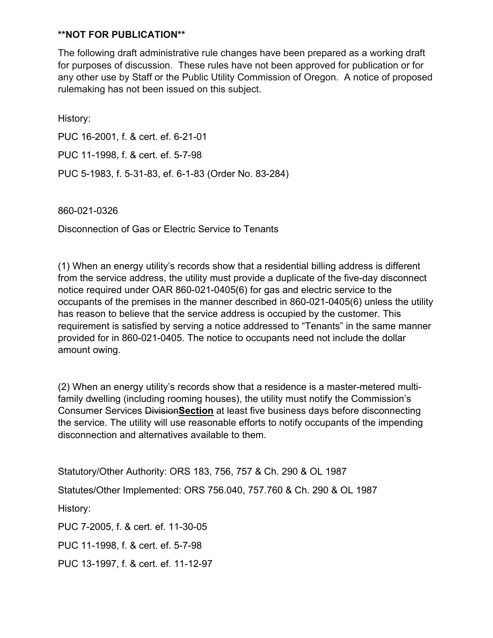The following draft administrative rule changes have been prepared as a working draft for purposes of discussion. These rules have not been approved for publication or for any other use by Staff or the Public Utility Commission of Oregon. A notice of proposed rulemaking has not been issued on this subject.

History: PUC 16-2001, f. & cert. ef. 6-21-01 PUC 11-1998, f. & cert. ef. 5-7-98 PUC 5-1983, f. 5-31-83, ef. 6-1-83 (Order No. 83-284)

860-021-0326

Disconnection of Gas or Electric Service to Tenants

(1) When an energy utility's records show that a residential billing address is different from the service address, the utility must provide a duplicate of the five-day disconnect notice required under OAR 860-021-0405(6) for gas and electric service to the occupants of the premises in the manner described in 860-021-0405(6) unless the utility has reason to believe that the service address is occupied by the customer. This requirement is satisfied by serving a notice addressed to "Tenants" in the same manner provided for in 860-021-0405. The notice to occupants need not include the dollar amount owing.

(2) When an energy utility's records show that a residence is a master-metered multifamily dwelling (including rooming houses), the utility must notify the Commission's Consumer Services Division**Section** at least five business days before disconnecting the service. The utility will use reasonable efforts to notify occupants of the impending disconnection and alternatives available to them.

Statutory/Other Authority: ORS 183, 756, 757 & Ch. 290 & OL 1987

Statutes/Other Implemented: ORS 756.040, 757.760 & Ch. 290 & OL 1987

History:

PUC 7-2005, f. & cert. ef. 11-30-05

PUC 11-1998, f. & cert. ef. 5-7-98

PUC 13-1997, f. & cert. ef. 11-12-97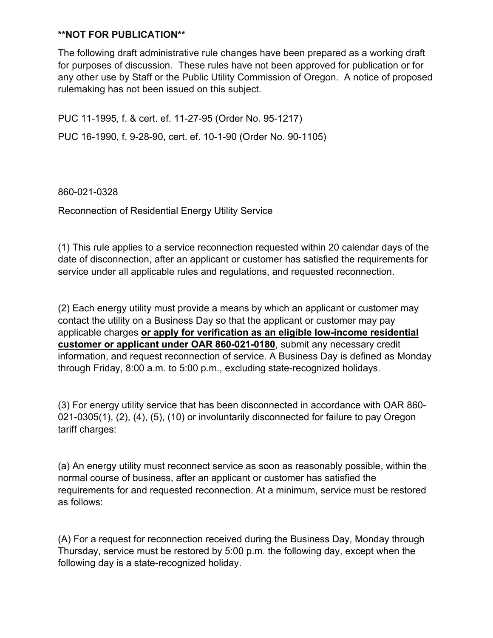The following draft administrative rule changes have been prepared as a working draft for purposes of discussion. These rules have not been approved for publication or for any other use by Staff or the Public Utility Commission of Oregon. A notice of proposed rulemaking has not been issued on this subject.

PUC 11-1995, f. & cert. ef. 11-27-95 (Order No. 95-1217) PUC 16-1990, f. 9-28-90, cert. ef. 10-1-90 (Order No. 90-1105)

860-021-0328

Reconnection of Residential Energy Utility Service

(1) This rule applies to a service reconnection requested within 20 calendar days of the date of disconnection, after an applicant or customer has satisfied the requirements for service under all applicable rules and regulations, and requested reconnection.

(2) Each energy utility must provide a means by which an applicant or customer may contact the utility on a Business Day so that the applicant or customer may pay applicable charges **or apply for verification as an eligible low-income residential customer or applicant under OAR 860-021-0180**, submit any necessary credit information, and request reconnection of service. A Business Day is defined as Monday through Friday, 8:00 a.m. to 5:00 p.m., excluding state-recognized holidays.

(3) For energy utility service that has been disconnected in accordance with OAR 860- 021-0305(1), (2), (4), (5), (10) or involuntarily disconnected for failure to pay Oregon tariff charges:

(a) An energy utility must reconnect service as soon as reasonably possible, within the normal course of business, after an applicant or customer has satisfied the requirements for and requested reconnection. At a minimum, service must be restored as follows:

(A) For a request for reconnection received during the Business Day, Monday through Thursday, service must be restored by 5:00 p.m. the following day, except when the following day is a state-recognized holiday.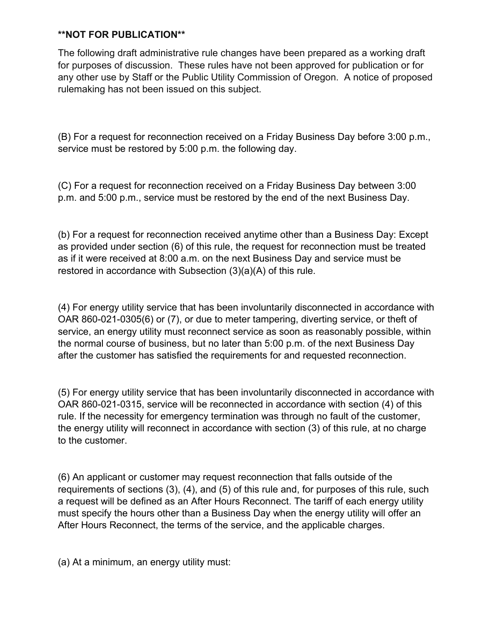The following draft administrative rule changes have been prepared as a working draft for purposes of discussion. These rules have not been approved for publication or for any other use by Staff or the Public Utility Commission of Oregon. A notice of proposed rulemaking has not been issued on this subject.

(B) For a request for reconnection received on a Friday Business Day before 3:00 p.m., service must be restored by 5:00 p.m. the following day.

(C) For a request for reconnection received on a Friday Business Day between 3:00 p.m. and 5:00 p.m., service must be restored by the end of the next Business Day.

(b) For a request for reconnection received anytime other than a Business Day: Except as provided under section (6) of this rule, the request for reconnection must be treated as if it were received at 8:00 a.m. on the next Business Day and service must be restored in accordance with Subsection (3)(a)(A) of this rule.

(4) For energy utility service that has been involuntarily disconnected in accordance with OAR 860-021-0305(6) or (7), or due to meter tampering, diverting service, or theft of service, an energy utility must reconnect service as soon as reasonably possible, within the normal course of business, but no later than 5:00 p.m. of the next Business Day after the customer has satisfied the requirements for and requested reconnection.

(5) For energy utility service that has been involuntarily disconnected in accordance with OAR 860-021-0315, service will be reconnected in accordance with section (4) of this rule. If the necessity for emergency termination was through no fault of the customer, the energy utility will reconnect in accordance with section (3) of this rule, at no charge to the customer.

(6) An applicant or customer may request reconnection that falls outside of the requirements of sections (3), (4), and (5) of this rule and, for purposes of this rule, such a request will be defined as an After Hours Reconnect. The tariff of each energy utility must specify the hours other than a Business Day when the energy utility will offer an After Hours Reconnect, the terms of the service, and the applicable charges.

(a) At a minimum, an energy utility must: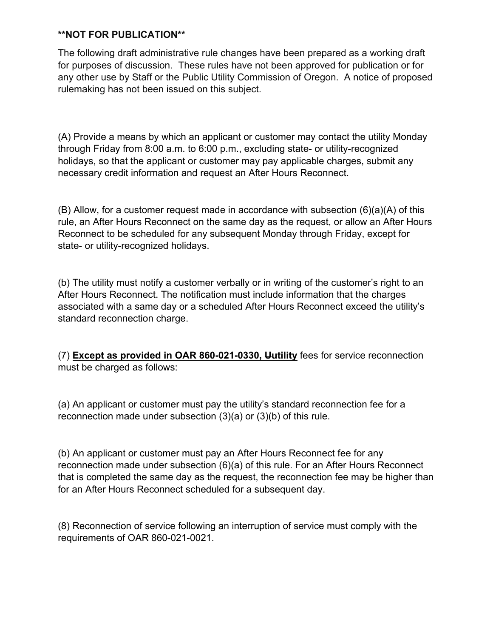The following draft administrative rule changes have been prepared as a working draft for purposes of discussion. These rules have not been approved for publication or for any other use by Staff or the Public Utility Commission of Oregon. A notice of proposed rulemaking has not been issued on this subject.

(A) Provide a means by which an applicant or customer may contact the utility Monday through Friday from 8:00 a.m. to 6:00 p.m., excluding state- or utility-recognized holidays, so that the applicant or customer may pay applicable charges, submit any necessary credit information and request an After Hours Reconnect.

(B) Allow, for a customer request made in accordance with subsection (6)(a)(A) of this rule, an After Hours Reconnect on the same day as the request, or allow an After Hours Reconnect to be scheduled for any subsequent Monday through Friday, except for state- or utility-recognized holidays.

(b) The utility must notify a customer verbally or in writing of the customer's right to an After Hours Reconnect. The notification must include information that the charges associated with a same day or a scheduled After Hours Reconnect exceed the utility's standard reconnection charge.

(7) **Except as provided in OAR 860-021-0330, Uutility** fees for service reconnection must be charged as follows:

(a) An applicant or customer must pay the utility's standard reconnection fee for a reconnection made under subsection (3)(a) or (3)(b) of this rule.

(b) An applicant or customer must pay an After Hours Reconnect fee for any reconnection made under subsection (6)(a) of this rule. For an After Hours Reconnect that is completed the same day as the request, the reconnection fee may be higher than for an After Hours Reconnect scheduled for a subsequent day.

(8) Reconnection of service following an interruption of service must comply with the requirements of OAR 860-021-0021.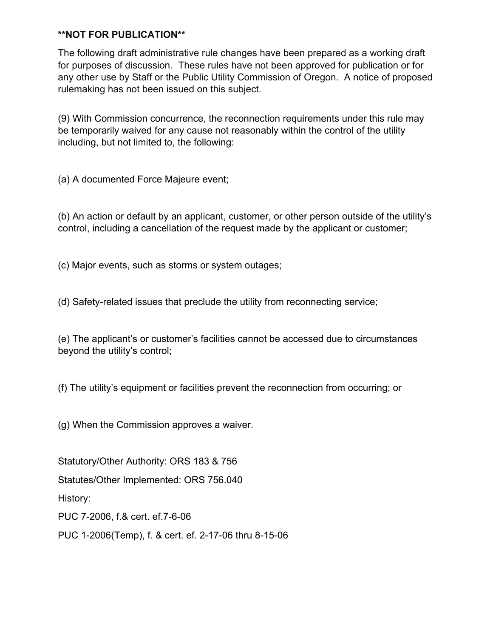The following draft administrative rule changes have been prepared as a working draft for purposes of discussion. These rules have not been approved for publication or for any other use by Staff or the Public Utility Commission of Oregon. A notice of proposed rulemaking has not been issued on this subject.

(9) With Commission concurrence, the reconnection requirements under this rule may be temporarily waived for any cause not reasonably within the control of the utility including, but not limited to, the following:

(a) A documented Force Majeure event;

(b) An action or default by an applicant, customer, or other person outside of the utility's control, including a cancellation of the request made by the applicant or customer;

(c) Major events, such as storms or system outages;

(d) Safety-related issues that preclude the utility from reconnecting service;

(e) The applicant's or customer's facilities cannot be accessed due to circumstances beyond the utility's control;

(f) The utility's equipment or facilities prevent the reconnection from occurring; or

(g) When the Commission approves a waiver.

Statutory/Other Authority: ORS 183 & 756

Statutes/Other Implemented: ORS 756.040

History:

PUC 7-2006, f.& cert. ef.7-6-06

PUC 1-2006(Temp), f. & cert. ef. 2-17-06 thru 8-15-06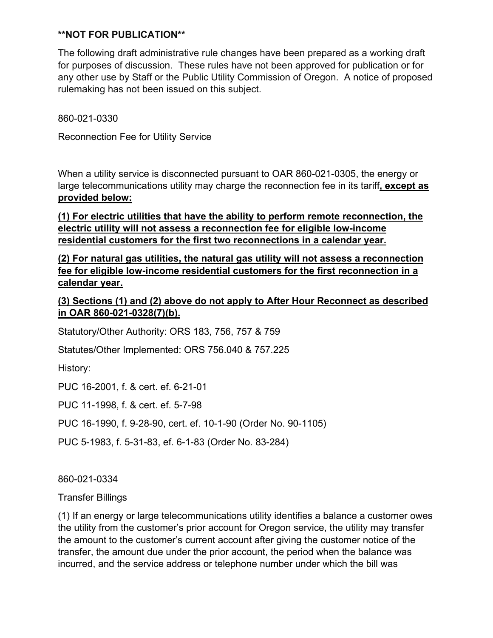The following draft administrative rule changes have been prepared as a working draft for purposes of discussion. These rules have not been approved for publication or for any other use by Staff or the Public Utility Commission of Oregon. A notice of proposed rulemaking has not been issued on this subject.

860-021-0330

Reconnection Fee for Utility Service

When a utility service is disconnected pursuant to OAR 860-021-0305, the energy or large telecommunications utility may charge the reconnection fee in its tariff**, except as provided below:**

**(1) For electric utilities that have the ability to perform remote reconnection, the electric utility will not assess a reconnection fee for eligible low-income residential customers for the first two reconnections in a calendar year.**

**(2) For natural gas utilities, the natural gas utility will not assess a reconnection fee for eligible low-income residential customers for the first reconnection in a calendar year.**

**(3) Sections (1) and (2) above do not apply to After Hour Reconnect as described in OAR 860-021-0328(7)(b).**

Statutory/Other Authority: ORS 183, 756, 757 & 759

Statutes/Other Implemented: ORS 756.040 & 757.225

History:

PUC 16-2001, f. & cert. ef. 6-21-01

PUC 11-1998, f. & cert. ef. 5-7-98

PUC 16-1990, f. 9-28-90, cert. ef. 10-1-90 (Order No. 90-1105)

PUC 5-1983, f. 5-31-83, ef. 6-1-83 (Order No. 83-284)

860-021-0334

Transfer Billings

(1) If an energy or large telecommunications utility identifies a balance a customer owes the utility from the customer's prior account for Oregon service, the utility may transfer the amount to the customer's current account after giving the customer notice of the transfer, the amount due under the prior account, the period when the balance was incurred, and the service address or telephone number under which the bill was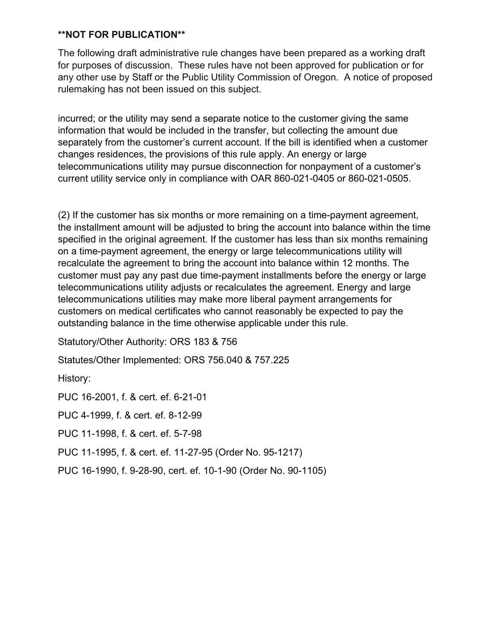The following draft administrative rule changes have been prepared as a working draft for purposes of discussion. These rules have not been approved for publication or for any other use by Staff or the Public Utility Commission of Oregon. A notice of proposed rulemaking has not been issued on this subject.

incurred; or the utility may send a separate notice to the customer giving the same information that would be included in the transfer, but collecting the amount due separately from the customer's current account. If the bill is identified when a customer changes residences, the provisions of this rule apply. An energy or large telecommunications utility may pursue disconnection for nonpayment of a customer's current utility service only in compliance with OAR 860-021-0405 or 860-021-0505.

(2) If the customer has six months or more remaining on a time-payment agreement, the installment amount will be adjusted to bring the account into balance within the time specified in the original agreement. If the customer has less than six months remaining on a time-payment agreement, the energy or large telecommunications utility will recalculate the agreement to bring the account into balance within 12 months. The customer must pay any past due time-payment installments before the energy or large telecommunications utility adjusts or recalculates the agreement. Energy and large telecommunications utilities may make more liberal payment arrangements for customers on medical certificates who cannot reasonably be expected to pay the outstanding balance in the time otherwise applicable under this rule.

Statutory/Other Authority: ORS 183 & 756

Statutes/Other Implemented: ORS 756.040 & 757.225

History:

PUC 16-2001, f. & cert. ef. 6-21-01 PUC 4-1999, f. & cert. ef. 8-12-99 PUC 11-1998, f. & cert. ef. 5-7-98

PUC 11-1995, f. & cert. ef. 11-27-95 (Order No. 95-1217)

PUC 16-1990, f. 9-28-90, cert. ef. 10-1-90 (Order No. 90-1105)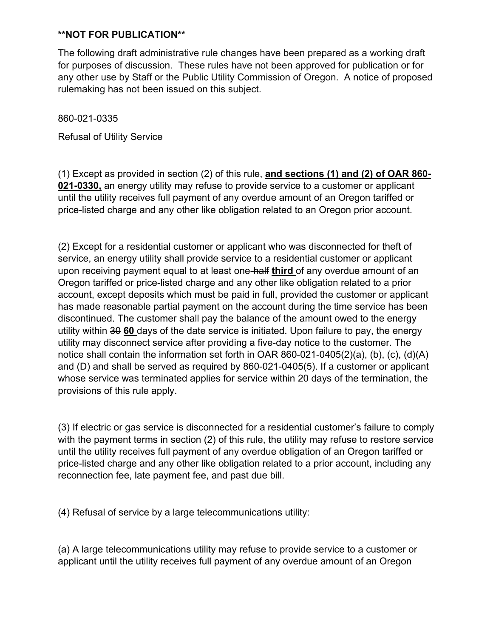The following draft administrative rule changes have been prepared as a working draft for purposes of discussion. These rules have not been approved for publication or for any other use by Staff or the Public Utility Commission of Oregon. A notice of proposed rulemaking has not been issued on this subject.

860-021-0335

Refusal of Utility Service

(1) Except as provided in section (2) of this rule, **and sections (1) and (2) of OAR 860- 021-0330,** an energy utility may refuse to provide service to a customer or applicant until the utility receives full payment of any overdue amount of an Oregon tariffed or price-listed charge and any other like obligation related to an Oregon prior account.

(2) Except for a residential customer or applicant who was disconnected for theft of service, an energy utility shall provide service to a residential customer or applicant upon receiving payment equal to at least one-half **third** of any overdue amount of an Oregon tariffed or price-listed charge and any other like obligation related to a prior account, except deposits which must be paid in full, provided the customer or applicant has made reasonable partial payment on the account during the time service has been discontinued. The customer shall pay the balance of the amount owed to the energy utility within 30 **60** days of the date service is initiated. Upon failure to pay, the energy utility may disconnect service after providing a five-day notice to the customer. The notice shall contain the information set forth in OAR 860-021-0405(2)(a), (b), (c), (d)(A) and (D) and shall be served as required by 860-021-0405(5). If a customer or applicant whose service was terminated applies for service within 20 days of the termination, the provisions of this rule apply.

(3) If electric or gas service is disconnected for a residential customer's failure to comply with the payment terms in section (2) of this rule, the utility may refuse to restore service until the utility receives full payment of any overdue obligation of an Oregon tariffed or price-listed charge and any other like obligation related to a prior account, including any reconnection fee, late payment fee, and past due bill.

(4) Refusal of service by a large telecommunications utility:

(a) A large telecommunications utility may refuse to provide service to a customer or applicant until the utility receives full payment of any overdue amount of an Oregon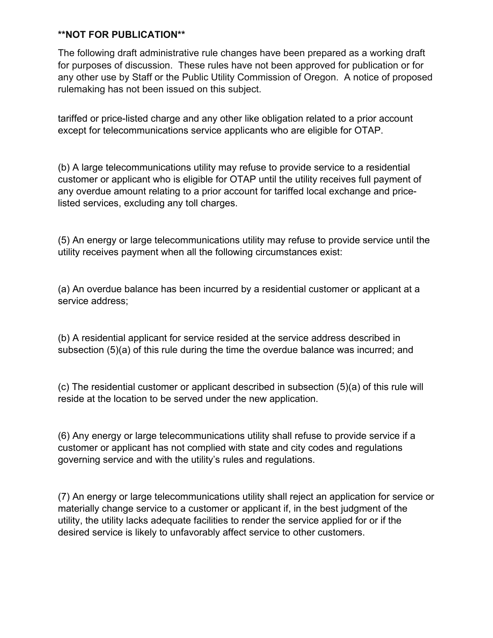The following draft administrative rule changes have been prepared as a working draft for purposes of discussion. These rules have not been approved for publication or for any other use by Staff or the Public Utility Commission of Oregon. A notice of proposed rulemaking has not been issued on this subject.

tariffed or price-listed charge and any other like obligation related to a prior account except for telecommunications service applicants who are eligible for OTAP.

(b) A large telecommunications utility may refuse to provide service to a residential customer or applicant who is eligible for OTAP until the utility receives full payment of any overdue amount relating to a prior account for tariffed local exchange and pricelisted services, excluding any toll charges.

(5) An energy or large telecommunications utility may refuse to provide service until the utility receives payment when all the following circumstances exist:

(a) An overdue balance has been incurred by a residential customer or applicant at a service address;

(b) A residential applicant for service resided at the service address described in subsection (5)(a) of this rule during the time the overdue balance was incurred; and

(c) The residential customer or applicant described in subsection (5)(a) of this rule will reside at the location to be served under the new application.

(6) Any energy or large telecommunications utility shall refuse to provide service if a customer or applicant has not complied with state and city codes and regulations governing service and with the utility's rules and regulations.

(7) An energy or large telecommunications utility shall reject an application for service or materially change service to a customer or applicant if, in the best judgment of the utility, the utility lacks adequate facilities to render the service applied for or if the desired service is likely to unfavorably affect service to other customers.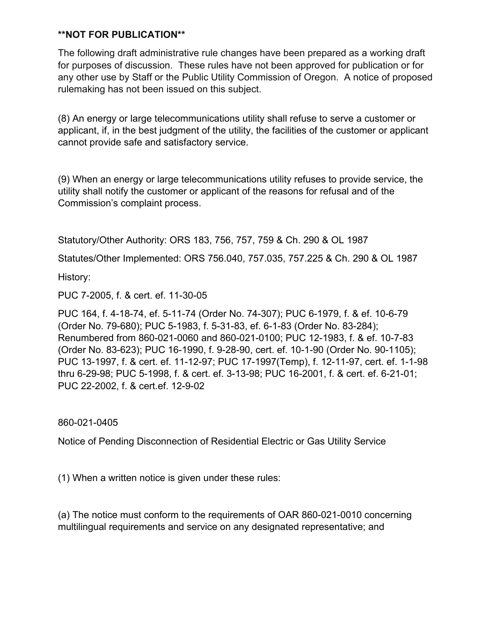The following draft administrative rule changes have been prepared as a working draft for purposes of discussion. These rules have not been approved for publication or for any other use by Staff or the Public Utility Commission of Oregon. A notice of proposed rulemaking has not been issued on this subject.

(8) An energy or large telecommunications utility shall refuse to serve a customer or applicant, if, in the best judgment of the utility, the facilities of the customer or applicant cannot provide safe and satisfactory service.

(9) When an energy or large telecommunications utility refuses to provide service, the utility shall notify the customer or applicant of the reasons for refusal and of the Commission's complaint process.

Statutory/Other Authority: ORS 183, 756, 757, 759 & Ch. 290 & OL 1987

Statutes/Other Implemented: ORS 756.040, 757.035, 757.225 & Ch. 290 & OL 1987

History:

PUC 7-2005, f. & cert. ef. 11-30-05

PUC 164, f. 4-18-74, ef. 5-11-74 (Order No. 74-307); PUC 6-1979, f. & ef. 10-6-79 (Order No. 79-680); PUC 5-1983, f. 5-31-83, ef. 6-1-83 (Order No. 83-284); Renumbered from 860-021-0060 and 860-021-0100; PUC 12-1983, f. & ef. 10-7-83 (Order No. 83-623); PUC 16-1990, f. 9-28-90, cert. ef. 10-1-90 (Order No. 90-1105); PUC 13-1997, f. & cert. ef. 11-12-97; PUC 17-1997(Temp), f. 12-11-97, cert. ef. 1-1-98 thru 6-29-98; PUC 5-1998, f. & cert. ef. 3-13-98; PUC 16-2001, f. & cert. ef. 6-21-01; PUC 22-2002, f. & cert.ef. 12-9-02

860-021-0405

Notice of Pending Disconnection of Residential Electric or Gas Utility Service

(1) When a written notice is given under these rules:

(a) The notice must conform to the requirements of OAR 860-021-0010 concerning multilingual requirements and service on any designated representative; and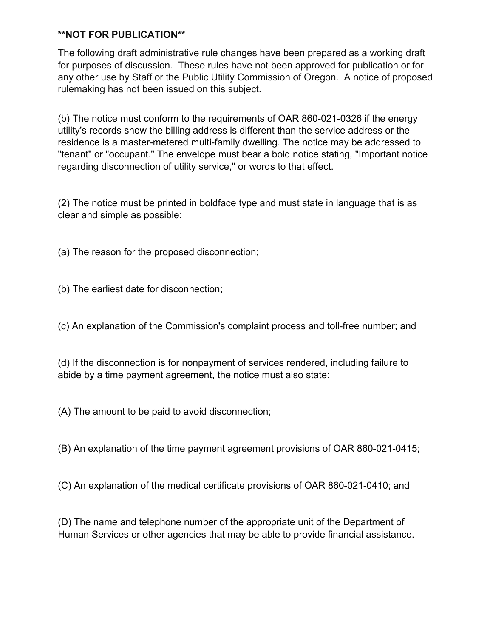The following draft administrative rule changes have been prepared as a working draft for purposes of discussion. These rules have not been approved for publication or for any other use by Staff or the Public Utility Commission of Oregon. A notice of proposed rulemaking has not been issued on this subject.

(b) The notice must conform to the requirements of OAR 860-021-0326 if the energy utility's records show the billing address is different than the service address or the residence is a master-metered multi-family dwelling. The notice may be addressed to "tenant" or "occupant." The envelope must bear a bold notice stating, "Important notice regarding disconnection of utility service," or words to that effect.

(2) The notice must be printed in boldface type and must state in language that is as clear and simple as possible:

(a) The reason for the proposed disconnection;

(b) The earliest date for disconnection;

(c) An explanation of the Commission's complaint process and toll-free number; and

(d) If the disconnection is for nonpayment of services rendered, including failure to abide by a time payment agreement, the notice must also state:

(A) The amount to be paid to avoid disconnection;

(B) An explanation of the time payment agreement provisions of OAR 860-021-0415;

(C) An explanation of the medical certificate provisions of OAR 860-021-0410; and

(D) The name and telephone number of the appropriate unit of the Department of Human Services or other agencies that may be able to provide financial assistance.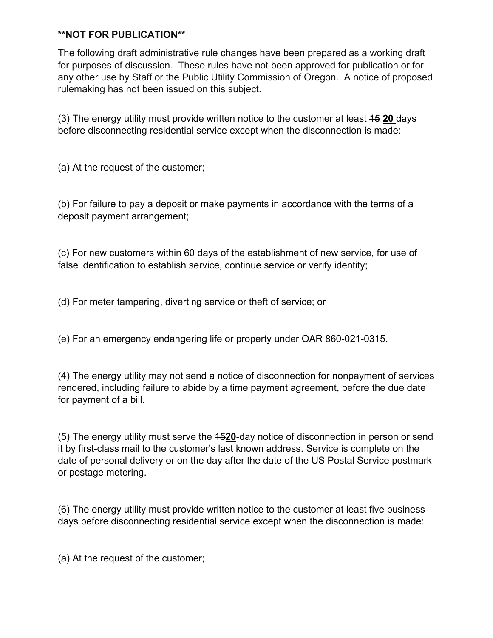The following draft administrative rule changes have been prepared as a working draft for purposes of discussion. These rules have not been approved for publication or for any other use by Staff or the Public Utility Commission of Oregon. A notice of proposed rulemaking has not been issued on this subject.

(3) The energy utility must provide written notice to the customer at least 15 **20** days before disconnecting residential service except when the disconnection is made:

(a) At the request of the customer;

(b) For failure to pay a deposit or make payments in accordance with the terms of a deposit payment arrangement;

(c) For new customers within 60 days of the establishment of new service, for use of false identification to establish service, continue service or verify identity;

(d) For meter tampering, diverting service or theft of service; or

(e) For an emergency endangering life or property under OAR 860-021-0315.

(4) The energy utility may not send a notice of disconnection for nonpayment of services rendered, including failure to abide by a time payment agreement, before the due date for payment of a bill.

(5) The energy utility must serve the 15**20**-day notice of disconnection in person or send it by first-class mail to the customer's last known address. Service is complete on the date of personal delivery or on the day after the date of the US Postal Service postmark or postage metering.

(6) The energy utility must provide written notice to the customer at least five business days before disconnecting residential service except when the disconnection is made:

(a) At the request of the customer;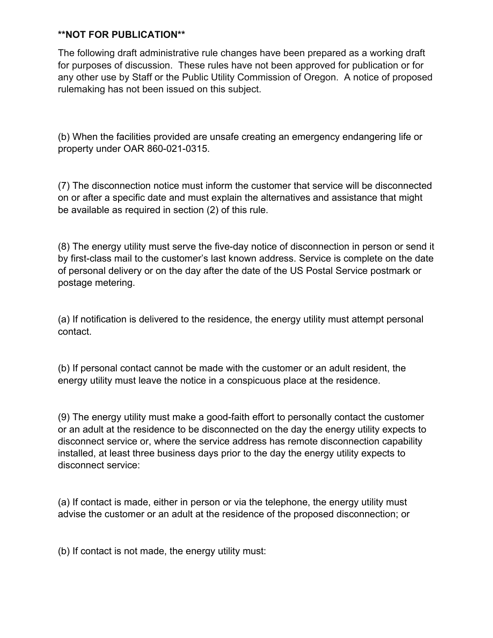The following draft administrative rule changes have been prepared as a working draft for purposes of discussion. These rules have not been approved for publication or for any other use by Staff or the Public Utility Commission of Oregon. A notice of proposed rulemaking has not been issued on this subject.

(b) When the facilities provided are unsafe creating an emergency endangering life or property under OAR 860-021-0315.

(7) The disconnection notice must inform the customer that service will be disconnected on or after a specific date and must explain the alternatives and assistance that might be available as required in section (2) of this rule.

(8) The energy utility must serve the five-day notice of disconnection in person or send it by first-class mail to the customer's last known address. Service is complete on the date of personal delivery or on the day after the date of the US Postal Service postmark or postage metering.

(a) If notification is delivered to the residence, the energy utility must attempt personal contact.

(b) If personal contact cannot be made with the customer or an adult resident, the energy utility must leave the notice in a conspicuous place at the residence.

(9) The energy utility must make a good-faith effort to personally contact the customer or an adult at the residence to be disconnected on the day the energy utility expects to disconnect service or, where the service address has remote disconnection capability installed, at least three business days prior to the day the energy utility expects to disconnect service:

(a) If contact is made, either in person or via the telephone, the energy utility must advise the customer or an adult at the residence of the proposed disconnection; or

(b) If contact is not made, the energy utility must: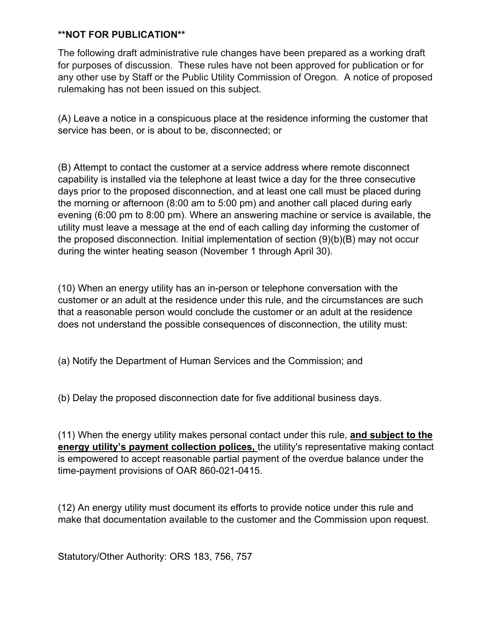The following draft administrative rule changes have been prepared as a working draft for purposes of discussion. These rules have not been approved for publication or for any other use by Staff or the Public Utility Commission of Oregon. A notice of proposed rulemaking has not been issued on this subject.

(A) Leave a notice in a conspicuous place at the residence informing the customer that service has been, or is about to be, disconnected; or

(B) Attempt to contact the customer at a service address where remote disconnect capability is installed via the telephone at least twice a day for the three consecutive days prior to the proposed disconnection, and at least one call must be placed during the morning or afternoon (8:00 am to 5:00 pm) and another call placed during early evening (6:00 pm to 8:00 pm). Where an answering machine or service is available, the utility must leave a message at the end of each calling day informing the customer of the proposed disconnection. Initial implementation of section (9)(b)(B) may not occur during the winter heating season (November 1 through April 30).

(10) When an energy utility has an in-person or telephone conversation with the customer or an adult at the residence under this rule, and the circumstances are such that a reasonable person would conclude the customer or an adult at the residence does not understand the possible consequences of disconnection, the utility must:

(a) Notify the Department of Human Services and the Commission; and

(b) Delay the proposed disconnection date for five additional business days.

(11) When the energy utility makes personal contact under this rule, **and subject to the energy utility's payment collection polices,** the utility's representative making contact is empowered to accept reasonable partial payment of the overdue balance under the time-payment provisions of OAR 860-021-0415.

(12) An energy utility must document its efforts to provide notice under this rule and make that documentation available to the customer and the Commission upon request.

Statutory/Other Authority: ORS 183, 756, 757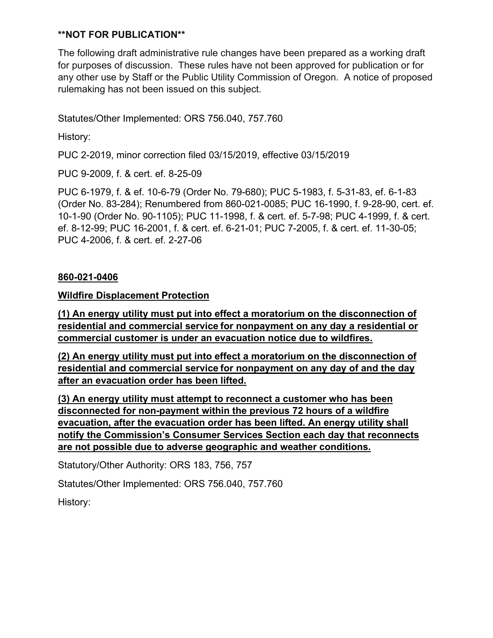The following draft administrative rule changes have been prepared as a working draft for purposes of discussion. These rules have not been approved for publication or for any other use by Staff or the Public Utility Commission of Oregon. A notice of proposed rulemaking has not been issued on this subject.

Statutes/Other Implemented: ORS 756.040, 757.760

History:

PUC 2-2019, minor correction filed 03/15/2019, effective 03/15/2019

PUC 9-2009, f. & cert. ef. 8-25-09

PUC 6-1979, f. & ef. 10-6-79 (Order No. 79-680); PUC 5-1983, f. 5-31-83, ef. 6-1-83 (Order No. 83-284); Renumbered from 860-021-0085; PUC 16-1990, f. 9-28-90, cert. ef. 10-1-90 (Order No. 90-1105); PUC 11-1998, f. & cert. ef. 5-7-98; PUC 4-1999, f. & cert. ef. 8-12-99; PUC 16-2001, f. & cert. ef. 6-21-01; PUC 7-2005, f. & cert. ef. 11-30-05; PUC 4-2006, f. & cert. ef. 2-27-06

#### **860-021-0406**

#### **Wildfire Displacement Protection**

**(1) An energy utility must put into effect a moratorium on the disconnection of residential and commercial service for nonpayment on any day a residential or commercial customer is under an evacuation notice due to wildfires.**

**(2) An energy utility must put into effect a moratorium on the disconnection of residential and commercial service for nonpayment on any day of and the day after an evacuation order has been lifted.**

**(3) An energy utility must attempt to reconnect a customer who has been disconnected for non-payment within the previous 72 hours of a wildfire evacuation, after the evacuation order has been lifted. An energy utility shall notify the Commission's Consumer Services Section each day that reconnects are not possible due to adverse geographic and weather conditions.**

Statutory/Other Authority: ORS 183, 756, 757

Statutes/Other Implemented: ORS 756.040, 757.760

History: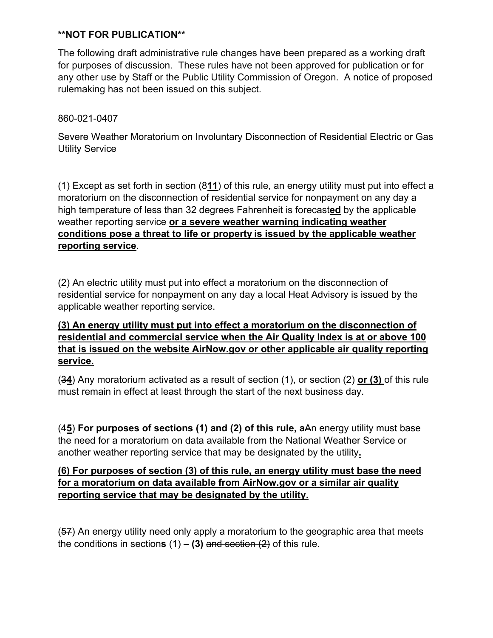The following draft administrative rule changes have been prepared as a working draft for purposes of discussion. These rules have not been approved for publication or for any other use by Staff or the Public Utility Commission of Oregon. A notice of proposed rulemaking has not been issued on this subject.

# 860-021-0407

Severe Weather Moratorium on Involuntary Disconnection of Residential Electric or Gas Utility Service

(1) Except as set forth in section (8**11**) of this rule, an energy utility must put into effect a moratorium on the disconnection of residential service for nonpayment on any day a high temperature of less than 32 degrees Fahrenheit is forecast**ed** by the applicable weather reporting service **or a severe weather warning indicating weather conditions pose a threat to life or property is issued by the applicable weather reporting service**.

(2) An electric utility must put into effect a moratorium on the disconnection of residential service for nonpayment on any day a local Heat Advisory is issued by the applicable weather reporting service.

# **(3) An energy utility must put into effect a moratorium on the disconnection of residential and commercial service when the Air Quality Index is at or above 100 that is issued on the website AirNow.gov or other applicable air quality reporting service.**

(3**4**) Any moratorium activated as a result of section (1), or section (2) **or (3)** of this rule must remain in effect at least through the start of the next business day.

(4**5**) **For purposes of sections (1) and (2) of this rule, a**An energy utility must base the need for a moratorium on data available from the National Weather Service or another weather reporting service that may be designated by the utility**.**

### **(6) For purposes of section (3) of this rule, an energy utility must base the need for a moratorium on data available from AirNow.gov or a similar air quality reporting service that may be designated by the utility.**

(57) An energy utility need only apply a moratorium to the geographic area that meets the conditions in section**s** (1) **– (3)** and section (2) of this rule.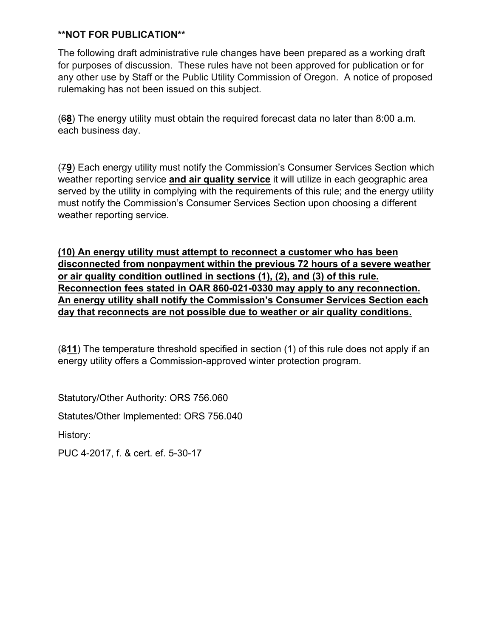The following draft administrative rule changes have been prepared as a working draft for purposes of discussion. These rules have not been approved for publication or for any other use by Staff or the Public Utility Commission of Oregon. A notice of proposed rulemaking has not been issued on this subject.

(6**8**) The energy utility must obtain the required forecast data no later than 8:00 a.m. each business day.

(7**9**) Each energy utility must notify the Commission's Consumer Services Section which weather reporting service **and air quality service** it will utilize in each geographic area served by the utility in complying with the requirements of this rule; and the energy utility must notify the Commission's Consumer Services Section upon choosing a different weather reporting service.

**(10) An energy utility must attempt to reconnect a customer who has been disconnected from nonpayment within the previous 72 hours of a severe weather or air quality condition outlined in sections (1), (2), and (3) of this rule. Reconnection fees stated in OAR 860-021-0330 may apply to any reconnection. An energy utility shall notify the Commission's Consumer Services Section each day that reconnects are not possible due to weather or air quality conditions.**

(8**11**) The temperature threshold specified in section (1) of this rule does not apply if an energy utility offers a Commission-approved winter protection program.

Statutory/Other Authority: ORS 756.060

Statutes/Other Implemented: ORS 756.040

History:

PUC 4-2017, f. & cert. ef. 5-30-17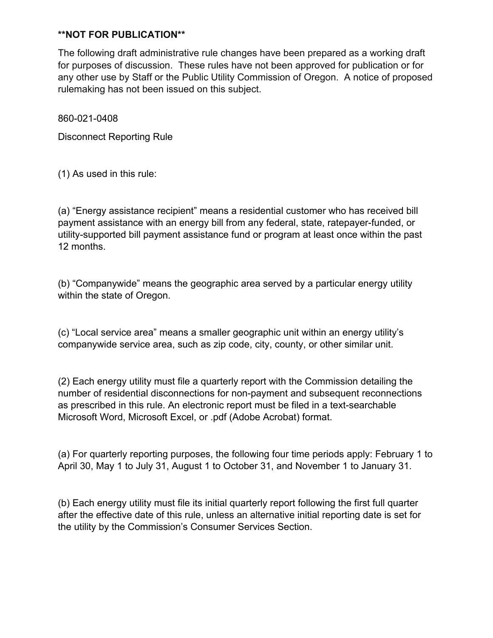The following draft administrative rule changes have been prepared as a working draft for purposes of discussion. These rules have not been approved for publication or for any other use by Staff or the Public Utility Commission of Oregon. A notice of proposed rulemaking has not been issued on this subject.

860-021-0408

Disconnect Reporting Rule

(1) As used in this rule:

(a) "Energy assistance recipient" means a residential customer who has received bill payment assistance with an energy bill from any federal, state, ratepayer-funded, or utility-supported bill payment assistance fund or program at least once within the past 12 months.

(b) "Companywide" means the geographic area served by a particular energy utility within the state of Oregon.

(c) "Local service area" means a smaller geographic unit within an energy utility's companywide service area, such as zip code, city, county, or other similar unit.

(2) Each energy utility must file a quarterly report with the Commission detailing the number of residential disconnections for non-payment and subsequent reconnections as prescribed in this rule. An electronic report must be filed in a text-searchable Microsoft Word, Microsoft Excel, or .pdf (Adobe Acrobat) format.

(a) For quarterly reporting purposes, the following four time periods apply: February 1 to April 30, May 1 to July 31, August 1 to October 31, and November 1 to January 31.

(b) Each energy utility must file its initial quarterly report following the first full quarter after the effective date of this rule, unless an alternative initial reporting date is set for the utility by the Commission's Consumer Services Section.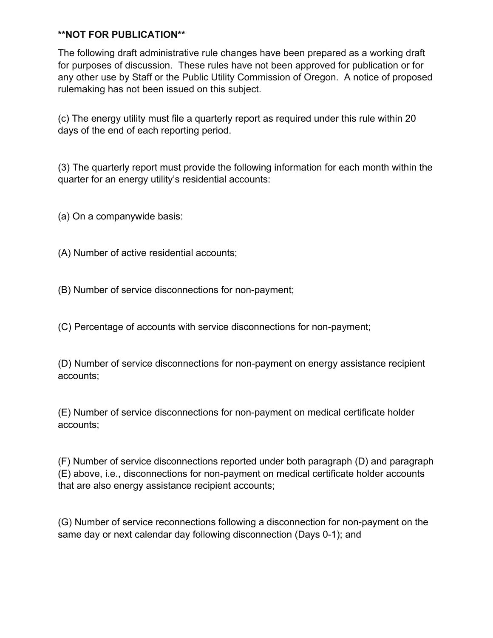The following draft administrative rule changes have been prepared as a working draft for purposes of discussion. These rules have not been approved for publication or for any other use by Staff or the Public Utility Commission of Oregon. A notice of proposed rulemaking has not been issued on this subject.

(c) The energy utility must file a quarterly report as required under this rule within 20 days of the end of each reporting period.

(3) The quarterly report must provide the following information for each month within the quarter for an energy utility's residential accounts:

(a) On a companywide basis:

(A) Number of active residential accounts;

(B) Number of service disconnections for non-payment;

(C) Percentage of accounts with service disconnections for non-payment;

(D) Number of service disconnections for non-payment on energy assistance recipient accounts;

(E) Number of service disconnections for non-payment on medical certificate holder accounts;

(F) Number of service disconnections reported under both paragraph (D) and paragraph (E) above, i.e., disconnections for non-payment on medical certificate holder accounts that are also energy assistance recipient accounts;

(G) Number of service reconnections following a disconnection for non-payment on the same day or next calendar day following disconnection (Days 0-1); and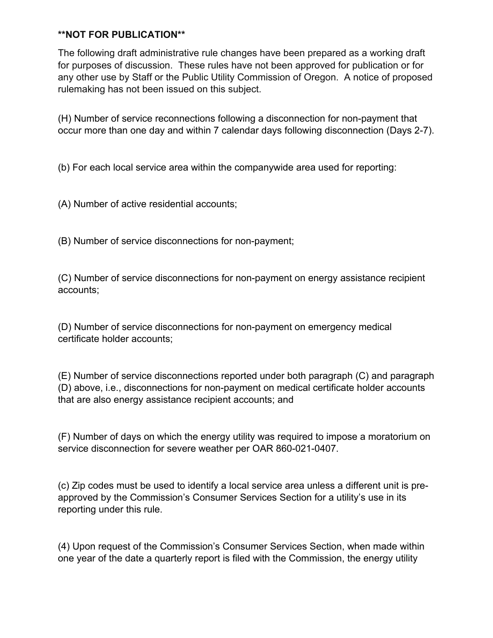The following draft administrative rule changes have been prepared as a working draft for purposes of discussion. These rules have not been approved for publication or for any other use by Staff or the Public Utility Commission of Oregon. A notice of proposed rulemaking has not been issued on this subject.

(H) Number of service reconnections following a disconnection for non-payment that occur more than one day and within 7 calendar days following disconnection (Days 2-7).

(b) For each local service area within the companywide area used for reporting:

(A) Number of active residential accounts;

(B) Number of service disconnections for non-payment;

(C) Number of service disconnections for non-payment on energy assistance recipient accounts;

(D) Number of service disconnections for non-payment on emergency medical certificate holder accounts;

(E) Number of service disconnections reported under both paragraph (C) and paragraph (D) above, i.e., disconnections for non-payment on medical certificate holder accounts that are also energy assistance recipient accounts; and

(F) Number of days on which the energy utility was required to impose a moratorium on service disconnection for severe weather per OAR 860-021-0407.

(c) Zip codes must be used to identify a local service area unless a different unit is preapproved by the Commission's Consumer Services Section for a utility's use in its reporting under this rule.

(4) Upon request of the Commission's Consumer Services Section, when made within one year of the date a quarterly report is filed with the Commission, the energy utility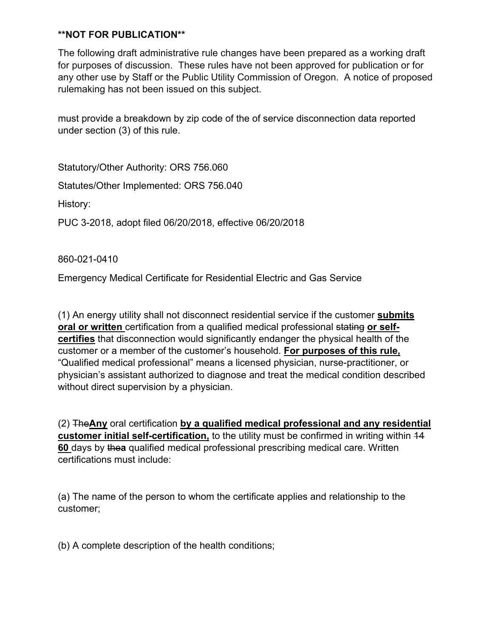The following draft administrative rule changes have been prepared as a working draft for purposes of discussion. These rules have not been approved for publication or for any other use by Staff or the Public Utility Commission of Oregon. A notice of proposed rulemaking has not been issued on this subject.

must provide a breakdown by zip code of the of service disconnection data reported under section (3) of this rule.

Statutory/Other Authority: ORS 756.060 Statutes/Other Implemented: ORS 756.040 History: PUC 3-2018, adopt filed 06/20/2018, effective 06/20/2018

860-021-0410

Emergency Medical Certificate for Residential Electric and Gas Service

(1) An energy utility shall not disconnect residential service if the customer **submits oral or written** certification from a qualified medical professional stating **or selfcertifies** that disconnection would significantly endanger the physical health of the customer or a member of the customer's household. **For purposes of this rule,** "Qualified medical professional" means a licensed physician, nurse-practitioner, or physician's assistant authorized to diagnose and treat the medical condition described without direct supervision by a physician.

(2) The**Any** oral certification **by a qualified medical professional and any residential customer initial self-certification,** to the utility must be confirmed in writing within 14 **60** days by the**a** qualified medical professional prescribing medical care. Written certifications must include:

(a) The name of the person to whom the certificate applies and relationship to the customer;

(b) A complete description of the health conditions;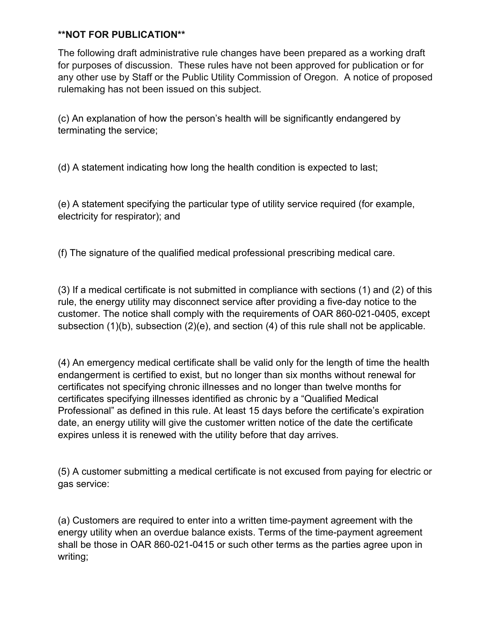The following draft administrative rule changes have been prepared as a working draft for purposes of discussion. These rules have not been approved for publication or for any other use by Staff or the Public Utility Commission of Oregon. A notice of proposed rulemaking has not been issued on this subject.

(c) An explanation of how the person's health will be significantly endangered by terminating the service;

(d) A statement indicating how long the health condition is expected to last;

(e) A statement specifying the particular type of utility service required (for example, electricity for respirator); and

(f) The signature of the qualified medical professional prescribing medical care.

(3) If a medical certificate is not submitted in compliance with sections (1) and (2) of this rule, the energy utility may disconnect service after providing a five-day notice to the customer. The notice shall comply with the requirements of OAR 860-021-0405, except subsection (1)(b), subsection (2)(e), and section (4) of this rule shall not be applicable.

(4) An emergency medical certificate shall be valid only for the length of time the health endangerment is certified to exist, but no longer than six months without renewal for certificates not specifying chronic illnesses and no longer than twelve months for certificates specifying illnesses identified as chronic by a "Qualified Medical Professional" as defined in this rule. At least 15 days before the certificate's expiration date, an energy utility will give the customer written notice of the date the certificate expires unless it is renewed with the utility before that day arrives.

(5) A customer submitting a medical certificate is not excused from paying for electric or gas service:

(a) Customers are required to enter into a written time-payment agreement with the energy utility when an overdue balance exists. Terms of the time-payment agreement shall be those in OAR 860-021-0415 or such other terms as the parties agree upon in writing;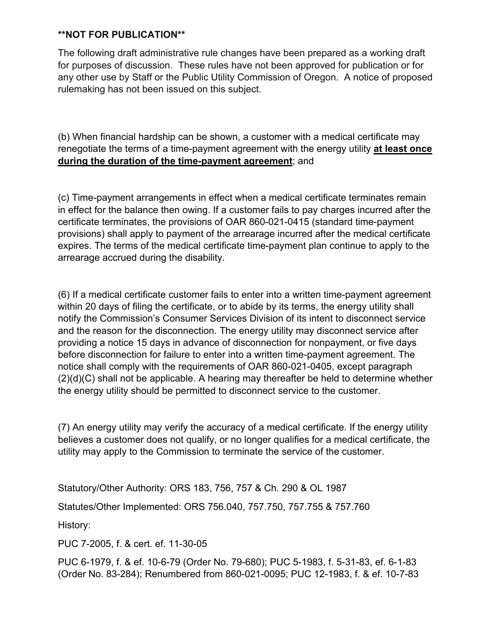The following draft administrative rule changes have been prepared as a working draft for purposes of discussion. These rules have not been approved for publication or for any other use by Staff or the Public Utility Commission of Oregon. A notice of proposed rulemaking has not been issued on this subject.

(b) When financial hardship can be shown, a customer with a medical certificate may renegotiate the terms of a time-payment agreement with the energy utility **at least once during the duration of the time-payment agreement**; and

(c) Time-payment arrangements in effect when a medical certificate terminates remain in effect for the balance then owing. If a customer fails to pay charges incurred after the certificate terminates, the provisions of OAR 860-021-0415 (standard time-payment provisions) shall apply to payment of the arrearage incurred after the medical certificate expires. The terms of the medical certificate time-payment plan continue to apply to the arrearage accrued during the disability.

(6) If a medical certificate customer fails to enter into a written time-payment agreement within 20 days of filing the certificate, or to abide by its terms, the energy utility shall notify the Commission's Consumer Services Division of its intent to disconnect service and the reason for the disconnection. The energy utility may disconnect service after providing a notice 15 days in advance of disconnection for nonpayment, or five days before disconnection for failure to enter into a written time-payment agreement. The notice shall comply with the requirements of OAR 860-021-0405, except paragraph (2)(d)(C) shall not be applicable. A hearing may thereafter be held to determine whether the energy utility should be permitted to disconnect service to the customer.

(7) An energy utility may verify the accuracy of a medical certificate. If the energy utility believes a customer does not qualify, or no longer qualifies for a medical certificate, the utility may apply to the Commission to terminate the service of the customer.

Statutory/Other Authority: ORS 183, 756, 757 & Ch. 290 & OL 1987

Statutes/Other Implemented: ORS 756.040, 757.750, 757.755 & 757.760

History:

PUC 7-2005, f. & cert. ef. 11-30-05

PUC 6-1979, f. & ef. 10-6-79 (Order No. 79-680); PUC 5-1983, f. 5-31-83, ef. 6-1-83 (Order No. 83-284); Renumbered from 860-021-0095; PUC 12-1983, f. & ef. 10-7-83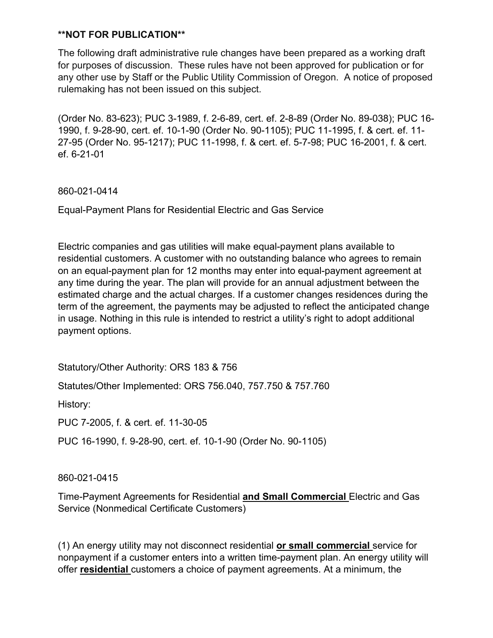The following draft administrative rule changes have been prepared as a working draft for purposes of discussion. These rules have not been approved for publication or for any other use by Staff or the Public Utility Commission of Oregon. A notice of proposed rulemaking has not been issued on this subject.

(Order No. 83-623); PUC 3-1989, f. 2-6-89, cert. ef. 2-8-89 (Order No. 89-038); PUC 16- 1990, f. 9-28-90, cert. ef. 10-1-90 (Order No. 90-1105); PUC 11-1995, f. & cert. ef. 11- 27-95 (Order No. 95-1217); PUC 11-1998, f. & cert. ef. 5-7-98; PUC 16-2001, f. & cert. ef. 6-21-01

860-021-0414

Equal-Payment Plans for Residential Electric and Gas Service

Electric companies and gas utilities will make equal-payment plans available to residential customers. A customer with no outstanding balance who agrees to remain on an equal-payment plan for 12 months may enter into equal-payment agreement at any time during the year. The plan will provide for an annual adjustment between the estimated charge and the actual charges. If a customer changes residences during the term of the agreement, the payments may be adjusted to reflect the anticipated change in usage. Nothing in this rule is intended to restrict a utility's right to adopt additional payment options.

Statutory/Other Authority: ORS 183 & 756

Statutes/Other Implemented: ORS 756.040, 757.750 & 757.760

History:

PUC 7-2005, f. & cert. ef. 11-30-05

PUC 16-1990, f. 9-28-90, cert. ef. 10-1-90 (Order No. 90-1105)

860-021-0415

Time-Payment Agreements for Residential **and Small Commercial** Electric and Gas Service (Nonmedical Certificate Customers)

(1) An energy utility may not disconnect residential **or small commercial** service for nonpayment if a customer enters into a written time-payment plan. An energy utility will offer **residential** customers a choice of payment agreements. At a minimum, the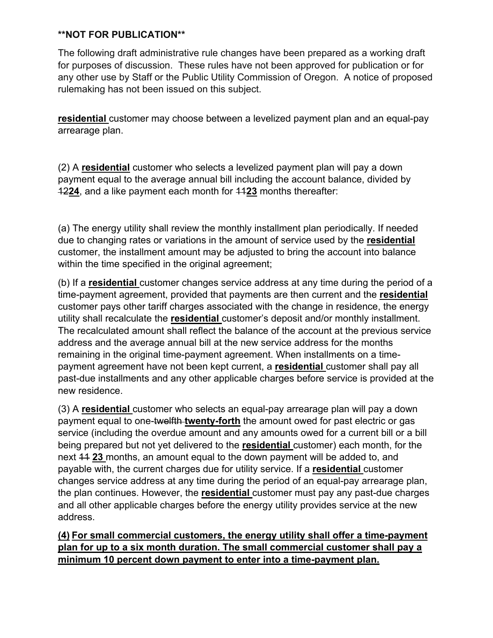The following draft administrative rule changes have been prepared as a working draft for purposes of discussion. These rules have not been approved for publication or for any other use by Staff or the Public Utility Commission of Oregon. A notice of proposed rulemaking has not been issued on this subject.

**residential** customer may choose between a levelized payment plan and an equal-pay arrearage plan.

(2) A **residential** customer who selects a levelized payment plan will pay a down payment equal to the average annual bill including the account balance, divided by 12**24**, and a like payment each month for 11**23** months thereafter:

(a) The energy utility shall review the monthly installment plan periodically. If needed due to changing rates or variations in the amount of service used by the **residential**  customer, the installment amount may be adjusted to bring the account into balance within the time specified in the original agreement;

(b) If a **residential** customer changes service address at any time during the period of a time-payment agreement, provided that payments are then current and the **residential**  customer pays other tariff charges associated with the change in residence, the energy utility shall recalculate the **residential** customer's deposit and/or monthly installment. The recalculated amount shall reflect the balance of the account at the previous service address and the average annual bill at the new service address for the months remaining in the original time-payment agreement. When installments on a timepayment agreement have not been kept current, a **residential** customer shall pay all past-due installments and any other applicable charges before service is provided at the new residence.

(3) A **residential** customer who selects an equal-pay arrearage plan will pay a down payment equal to one-twelfth **twenty-forth** the amount owed for past electric or gas service (including the overdue amount and any amounts owed for a current bill or a bill being prepared but not yet delivered to the **residential** customer) each month, for the next 11 **23** months, an amount equal to the down payment will be added to, and payable with, the current charges due for utility service. If a **residential** customer changes service address at any time during the period of an equal-pay arrearage plan, the plan continues. However, the **residential** customer must pay any past-due charges and all other applicable charges before the energy utility provides service at the new address.

**(4) For small commercial customers, the energy utility shall offer a time-payment plan for up to a six month duration. The small commercial customer shall pay a minimum 10 percent down payment to enter into a time-payment plan.**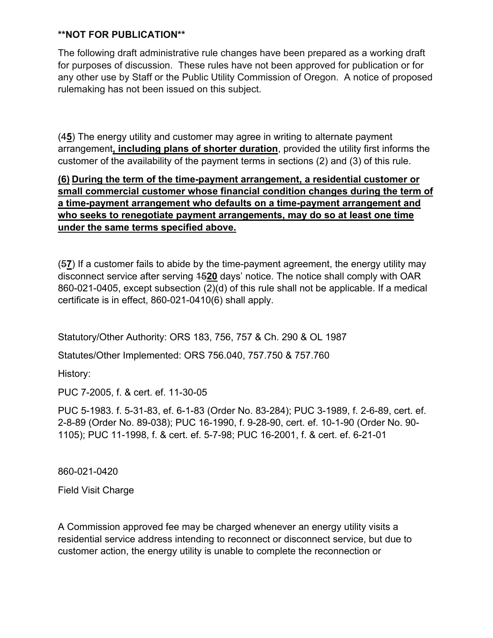The following draft administrative rule changes have been prepared as a working draft for purposes of discussion. These rules have not been approved for publication or for any other use by Staff or the Public Utility Commission of Oregon. A notice of proposed rulemaking has not been issued on this subject.

(4**5**) The energy utility and customer may agree in writing to alternate payment arrangement**, including plans of shorter duration**, provided the utility first informs the customer of the availability of the payment terms in sections (2) and (3) of this rule.

# **(6) During the term of the time-payment arrangement, a residential customer or small commercial customer whose financial condition changes during the term of a time-payment arrangement who defaults on a time-payment arrangement and who seeks to renegotiate payment arrangements, may do so at least one time under the same terms specified above.**

(5**7**) If a customer fails to abide by the time-payment agreement, the energy utility may disconnect service after serving 15**20** days' notice. The notice shall comply with OAR 860-021-0405, except subsection (2)(d) of this rule shall not be applicable. If a medical certificate is in effect, 860-021-0410(6) shall apply.

Statutory/Other Authority: ORS 183, 756, 757 & Ch. 290 & OL 1987

Statutes/Other Implemented: ORS 756.040, 757.750 & 757.760

History:

PUC 7-2005, f. & cert. ef. 11-30-05

PUC 5-1983. f. 5-31-83, ef. 6-1-83 (Order No. 83-284); PUC 3-1989, f. 2-6-89, cert. ef. 2-8-89 (Order No. 89-038); PUC 16-1990, f. 9-28-90, cert. ef. 10-1-90 (Order No. 90- 1105); PUC 11-1998, f. & cert. ef. 5-7-98; PUC 16-2001, f. & cert. ef. 6-21-01

860-021-0420

Field Visit Charge

A Commission approved fee may be charged whenever an energy utility visits a residential service address intending to reconnect or disconnect service, but due to customer action, the energy utility is unable to complete the reconnection or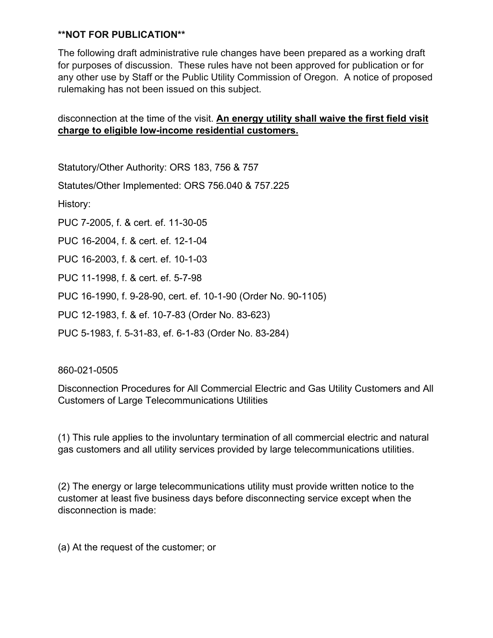The following draft administrative rule changes have been prepared as a working draft for purposes of discussion. These rules have not been approved for publication or for any other use by Staff or the Public Utility Commission of Oregon. A notice of proposed rulemaking has not been issued on this subject.

# disconnection at the time of the visit. **An energy utility shall waive the first field visit charge to eligible low-income residential customers.**

Statutory/Other Authority: ORS 183, 756 & 757

Statutes/Other Implemented: ORS 756.040 & 757.225

History:

PUC 7-2005, f. & cert. ef. 11-30-05

PUC 16-2004, f. & cert. ef. 12-1-04

PUC 16-2003, f. & cert. ef. 10-1-03

PUC 11-1998, f. & cert. ef. 5-7-98

PUC 16-1990, f. 9-28-90, cert. ef. 10-1-90 (Order No. 90-1105)

PUC 12-1983, f. & ef. 10-7-83 (Order No. 83-623)

PUC 5-1983, f. 5-31-83, ef. 6-1-83 (Order No. 83-284)

#### 860-021-0505

Disconnection Procedures for All Commercial Electric and Gas Utility Customers and All Customers of Large Telecommunications Utilities

(1) This rule applies to the involuntary termination of all commercial electric and natural gas customers and all utility services provided by large telecommunications utilities.

(2) The energy or large telecommunications utility must provide written notice to the customer at least five business days before disconnecting service except when the disconnection is made:

(a) At the request of the customer; or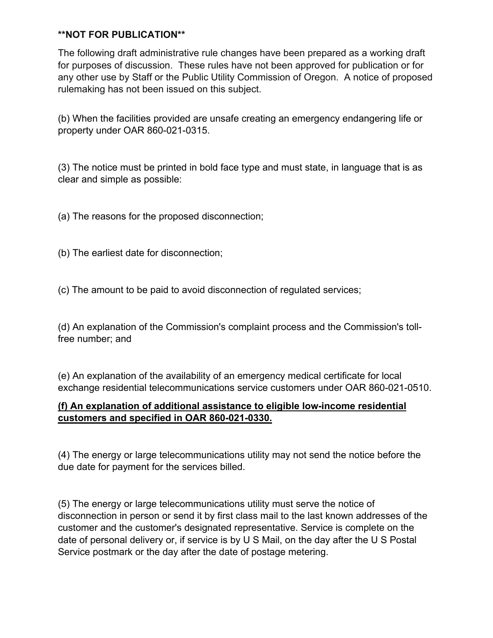The following draft administrative rule changes have been prepared as a working draft for purposes of discussion. These rules have not been approved for publication or for any other use by Staff or the Public Utility Commission of Oregon. A notice of proposed rulemaking has not been issued on this subject.

(b) When the facilities provided are unsafe creating an emergency endangering life or property under OAR 860-021-0315.

(3) The notice must be printed in bold face type and must state, in language that is as clear and simple as possible:

(a) The reasons for the proposed disconnection;

(b) The earliest date for disconnection;

(c) The amount to be paid to avoid disconnection of regulated services;

(d) An explanation of the Commission's complaint process and the Commission's tollfree number; and

(e) An explanation of the availability of an emergency medical certificate for local exchange residential telecommunications service customers under OAR 860-021-0510.

# **(f) An explanation of additional assistance to eligible low-income residential customers and specified in OAR 860-021-0330.**

(4) The energy or large telecommunications utility may not send the notice before the due date for payment for the services billed.

(5) The energy or large telecommunications utility must serve the notice of disconnection in person or send it by first class mail to the last known addresses of the customer and the customer's designated representative. Service is complete on the date of personal delivery or, if service is by U S Mail, on the day after the U S Postal Service postmark or the day after the date of postage metering.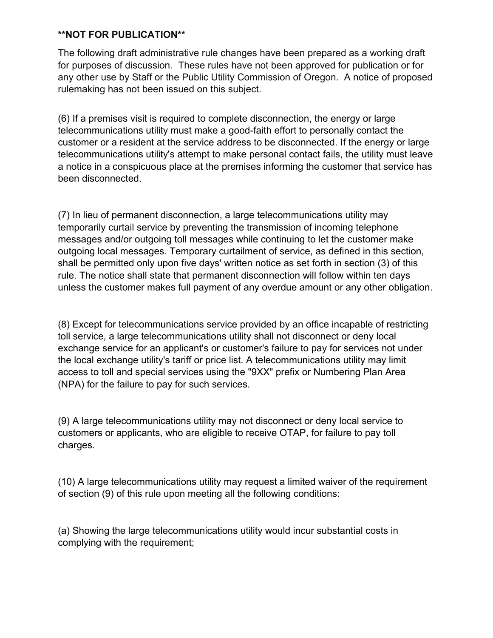The following draft administrative rule changes have been prepared as a working draft for purposes of discussion. These rules have not been approved for publication or for any other use by Staff or the Public Utility Commission of Oregon. A notice of proposed rulemaking has not been issued on this subject.

(6) If a premises visit is required to complete disconnection, the energy or large telecommunications utility must make a good-faith effort to personally contact the customer or a resident at the service address to be disconnected. If the energy or large telecommunications utility's attempt to make personal contact fails, the utility must leave a notice in a conspicuous place at the premises informing the customer that service has been disconnected.

(7) In lieu of permanent disconnection, a large telecommunications utility may temporarily curtail service by preventing the transmission of incoming telephone messages and/or outgoing toll messages while continuing to let the customer make outgoing local messages. Temporary curtailment of service, as defined in this section, shall be permitted only upon five days' written notice as set forth in section (3) of this rule. The notice shall state that permanent disconnection will follow within ten days unless the customer makes full payment of any overdue amount or any other obligation.

(8) Except for telecommunications service provided by an office incapable of restricting toll service, a large telecommunications utility shall not disconnect or deny local exchange service for an applicant's or customer's failure to pay for services not under the local exchange utility's tariff or price list. A telecommunications utility may limit access to toll and special services using the "9XX" prefix or Numbering Plan Area (NPA) for the failure to pay for such services.

(9) A large telecommunications utility may not disconnect or deny local service to customers or applicants, who are eligible to receive OTAP, for failure to pay toll charges.

(10) A large telecommunications utility may request a limited waiver of the requirement of section (9) of this rule upon meeting all the following conditions:

(a) Showing the large telecommunications utility would incur substantial costs in complying with the requirement;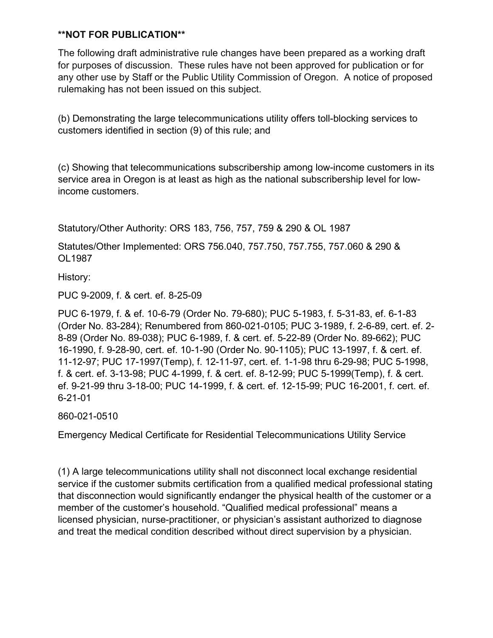The following draft administrative rule changes have been prepared as a working draft for purposes of discussion. These rules have not been approved for publication or for any other use by Staff or the Public Utility Commission of Oregon. A notice of proposed rulemaking has not been issued on this subject.

(b) Demonstrating the large telecommunications utility offers toll-blocking services to customers identified in section (9) of this rule; and

(c) Showing that telecommunications subscribership among low-income customers in its service area in Oregon is at least as high as the national subscribership level for lowincome customers.

Statutory/Other Authority: ORS 183, 756, 757, 759 & 290 & OL 1987

Statutes/Other Implemented: ORS 756.040, 757.750, 757.755, 757.060 & 290 & OL1987

History:

PUC 9-2009, f. & cert. ef. 8-25-09

PUC 6-1979, f. & ef. 10-6-79 (Order No. 79-680); PUC 5-1983, f. 5-31-83, ef. 6-1-83 (Order No. 83-284); Renumbered from 860-021-0105; PUC 3-1989, f. 2-6-89, cert. ef. 2- 8-89 (Order No. 89-038); PUC 6-1989, f. & cert. ef. 5-22-89 (Order No. 89-662); PUC 16-1990, f. 9-28-90, cert. ef. 10-1-90 (Order No. 90-1105); PUC 13-1997, f. & cert. ef. 11-12-97; PUC 17-1997(Temp), f. 12-11-97, cert. ef. 1-1-98 thru 6-29-98; PUC 5-1998, f. & cert. ef. 3-13-98; PUC 4-1999, f. & cert. ef. 8-12-99; PUC 5-1999(Temp), f. & cert. ef. 9-21-99 thru 3-18-00; PUC 14-1999, f. & cert. ef. 12-15-99; PUC 16-2001, f. cert. ef. 6-21-01

860-021-0510

Emergency Medical Certificate for Residential Telecommunications Utility Service

(1) A large telecommunications utility shall not disconnect local exchange residential service if the customer submits certification from a qualified medical professional stating that disconnection would significantly endanger the physical health of the customer or a member of the customer's household. "Qualified medical professional" means a licensed physician, nurse-practitioner, or physician's assistant authorized to diagnose and treat the medical condition described without direct supervision by a physician.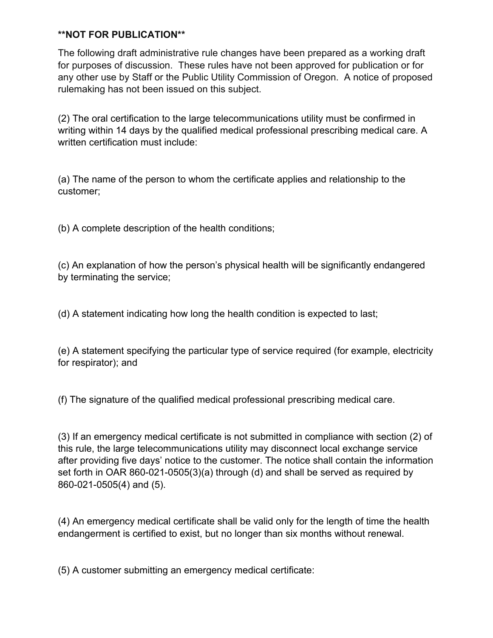The following draft administrative rule changes have been prepared as a working draft for purposes of discussion. These rules have not been approved for publication or for any other use by Staff or the Public Utility Commission of Oregon. A notice of proposed rulemaking has not been issued on this subject.

(2) The oral certification to the large telecommunications utility must be confirmed in writing within 14 days by the qualified medical professional prescribing medical care. A written certification must include:

(a) The name of the person to whom the certificate applies and relationship to the customer;

(b) A complete description of the health conditions;

(c) An explanation of how the person's physical health will be significantly endangered by terminating the service;

(d) A statement indicating how long the health condition is expected to last;

(e) A statement specifying the particular type of service required (for example, electricity for respirator); and

(f) The signature of the qualified medical professional prescribing medical care.

(3) If an emergency medical certificate is not submitted in compliance with section (2) of this rule, the large telecommunications utility may disconnect local exchange service after providing five days' notice to the customer. The notice shall contain the information set forth in OAR 860-021-0505(3)(a) through (d) and shall be served as required by 860-021-0505(4) and (5).

(4) An emergency medical certificate shall be valid only for the length of time the health endangerment is certified to exist, but no longer than six months without renewal.

(5) A customer submitting an emergency medical certificate: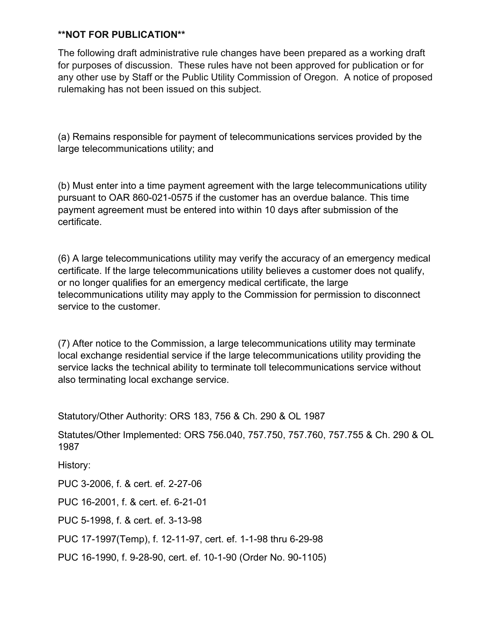The following draft administrative rule changes have been prepared as a working draft for purposes of discussion. These rules have not been approved for publication or for any other use by Staff or the Public Utility Commission of Oregon. A notice of proposed rulemaking has not been issued on this subject.

(a) Remains responsible for payment of telecommunications services provided by the large telecommunications utility; and

(b) Must enter into a time payment agreement with the large telecommunications utility pursuant to OAR 860-021-0575 if the customer has an overdue balance. This time payment agreement must be entered into within 10 days after submission of the certificate.

(6) A large telecommunications utility may verify the accuracy of an emergency medical certificate. If the large telecommunications utility believes a customer does not qualify, or no longer qualifies for an emergency medical certificate, the large telecommunications utility may apply to the Commission for permission to disconnect service to the customer.

(7) After notice to the Commission, a large telecommunications utility may terminate local exchange residential service if the large telecommunications utility providing the service lacks the technical ability to terminate toll telecommunications service without also terminating local exchange service.

Statutory/Other Authority: ORS 183, 756 & Ch. 290 & OL 1987

Statutes/Other Implemented: ORS 756.040, 757.750, 757.760, 757.755 & Ch. 290 & OL 1987

History:

PUC 3-2006, f. & cert. ef. 2-27-06

PUC 16-2001, f. & cert. ef. 6-21-01

PUC 5-1998, f. & cert. ef. 3-13-98

PUC 17-1997(Temp), f. 12-11-97, cert. ef. 1-1-98 thru 6-29-98

PUC 16-1990, f. 9-28-90, cert. ef. 10-1-90 (Order No. 90-1105)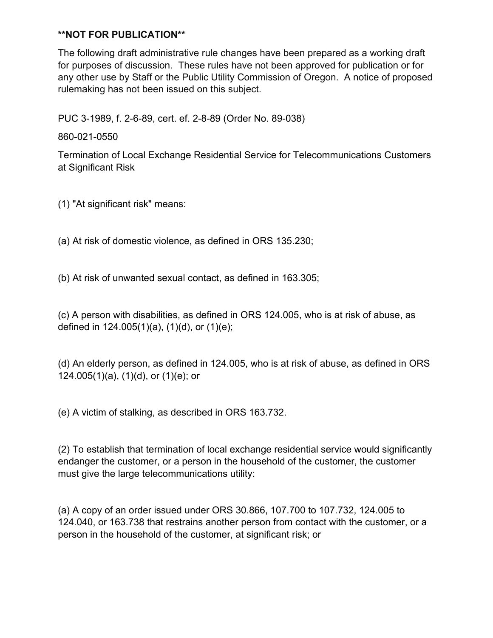The following draft administrative rule changes have been prepared as a working draft for purposes of discussion. These rules have not been approved for publication or for any other use by Staff or the Public Utility Commission of Oregon. A notice of proposed rulemaking has not been issued on this subject.

PUC 3-1989, f. 2-6-89, cert. ef. 2-8-89 (Order No. 89-038)

860-021-0550

Termination of Local Exchange Residential Service for Telecommunications Customers at Significant Risk

(1) "At significant risk" means:

(a) At risk of domestic violence, as defined in ORS 135.230;

(b) At risk of unwanted sexual contact, as defined in 163.305;

(c) A person with disabilities, as defined in ORS 124.005, who is at risk of abuse, as defined in 124.005(1)(a), (1)(d), or (1)(e);

(d) An elderly person, as defined in 124.005, who is at risk of abuse, as defined in ORS 124.005(1)(a), (1)(d), or (1)(e); or

(e) A victim of stalking, as described in ORS 163.732.

(2) To establish that termination of local exchange residential service would significantly endanger the customer, or a person in the household of the customer, the customer must give the large telecommunications utility:

(a) A copy of an order issued under ORS 30.866, 107.700 to 107.732, 124.005 to 124.040, or 163.738 that restrains another person from contact with the customer, or a person in the household of the customer, at significant risk; or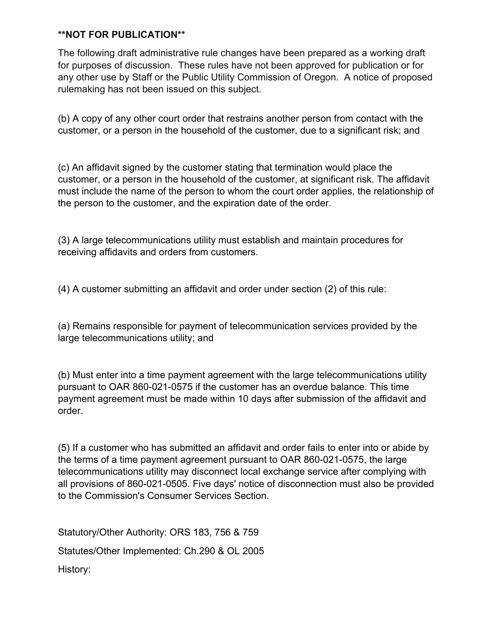The following draft administrative rule changes have been prepared as a working draft for purposes of discussion. These rules have not been approved for publication or for any other use by Staff or the Public Utility Commission of Oregon. A notice of proposed rulemaking has not been issued on this subject.

(b) A copy of any other court order that restrains another person from contact with the customer, or a person in the household of the customer, due to a significant risk; and

(c) An affidavit signed by the customer stating that termination would place the customer, or a person in the household of the customer, at significant risk. The affidavit must include the name of the person to whom the court order applies, the relationship of the person to the customer, and the expiration date of the order.

(3) A large telecommunications utility must establish and maintain procedures for receiving affidavits and orders from customers.

(4) A customer submitting an affidavit and order under section (2) of this rule:

(a) Remains responsible for payment of telecommunication services provided by the large telecommunications utility; and

(b) Must enter into a time payment agreement with the large telecommunications utility pursuant to OAR 860-021-0575 if the customer has an overdue balance. This time payment agreement must be made within 10 days after submission of the affidavit and order.

(5) If a customer who has submitted an affidavit and order fails to enter into or abide by the terms of a time payment agreement pursuant to OAR 860-021-0575, the large telecommunications utility may disconnect local exchange service after complying with all provisions of 860-021-0505. Five days' notice of disconnection must also be provided to the Commission's Consumer Services Section.

Statutory/Other Authority: ORS 183, 756 & 759 Statutes/Other Implemented: Ch.290 & OL 2005 History: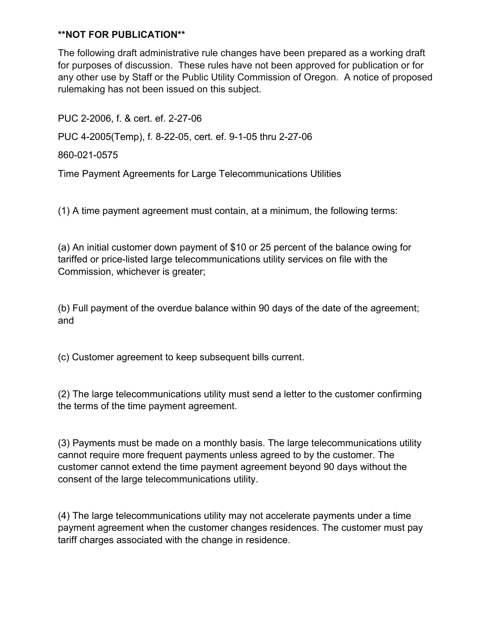The following draft administrative rule changes have been prepared as a working draft for purposes of discussion. These rules have not been approved for publication or for any other use by Staff or the Public Utility Commission of Oregon. A notice of proposed rulemaking has not been issued on this subject.

PUC 2-2006, f. & cert. ef. 2-27-06 PUC 4-2005(Temp), f. 8-22-05, cert. ef. 9-1-05 thru 2-27-06

860-021-0575

Time Payment Agreements for Large Telecommunications Utilities

(1) A time payment agreement must contain, at a minimum, the following terms:

(a) An initial customer down payment of \$10 or 25 percent of the balance owing for tariffed or price-listed large telecommunications utility services on file with the Commission, whichever is greater;

(b) Full payment of the overdue balance within 90 days of the date of the agreement; and

(c) Customer agreement to keep subsequent bills current.

(2) The large telecommunications utility must send a letter to the customer confirming the terms of the time payment agreement.

(3) Payments must be made on a monthly basis. The large telecommunications utility cannot require more frequent payments unless agreed to by the customer. The customer cannot extend the time payment agreement beyond 90 days without the consent of the large telecommunications utility.

(4) The large telecommunications utility may not accelerate payments under a time payment agreement when the customer changes residences. The customer must pay tariff charges associated with the change in residence.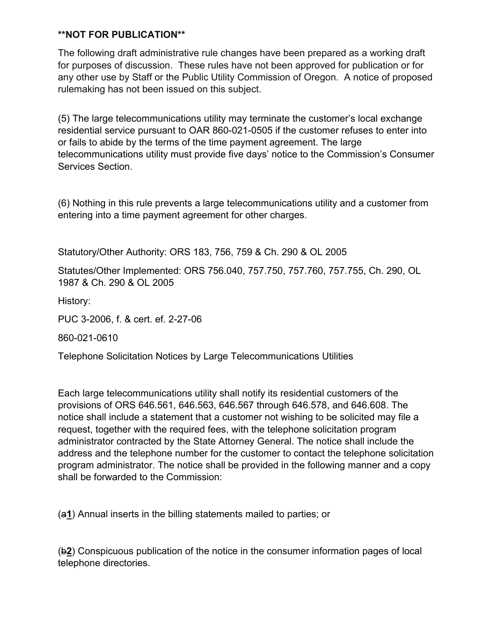The following draft administrative rule changes have been prepared as a working draft for purposes of discussion. These rules have not been approved for publication or for any other use by Staff or the Public Utility Commission of Oregon. A notice of proposed rulemaking has not been issued on this subject.

(5) The large telecommunications utility may terminate the customer's local exchange residential service pursuant to OAR 860-021-0505 if the customer refuses to enter into or fails to abide by the terms of the time payment agreement. The large telecommunications utility must provide five days' notice to the Commission's Consumer Services Section.

(6) Nothing in this rule prevents a large telecommunications utility and a customer from entering into a time payment agreement for other charges.

Statutory/Other Authority: ORS 183, 756, 759 & Ch. 290 & OL 2005

Statutes/Other Implemented: ORS 756.040, 757.750, 757.760, 757.755, Ch. 290, OL 1987 & Ch. 290 & OL 2005

History:

PUC 3-2006, f. & cert. ef. 2-27-06

860-021-0610

Telephone Solicitation Notices by Large Telecommunications Utilities

Each large telecommunications utility shall notify its residential customers of the provisions of ORS 646.561, 646.563, 646.567 through 646.578, and 646.608. The notice shall include a statement that a customer not wishing to be solicited may file a request, together with the required fees, with the telephone solicitation program administrator contracted by the State Attorney General. The notice shall include the address and the telephone number for the customer to contact the telephone solicitation program administrator. The notice shall be provided in the following manner and a copy shall be forwarded to the Commission:

(a**1**) Annual inserts in the billing statements mailed to parties; or

(b**2**) Conspicuous publication of the notice in the consumer information pages of local telephone directories.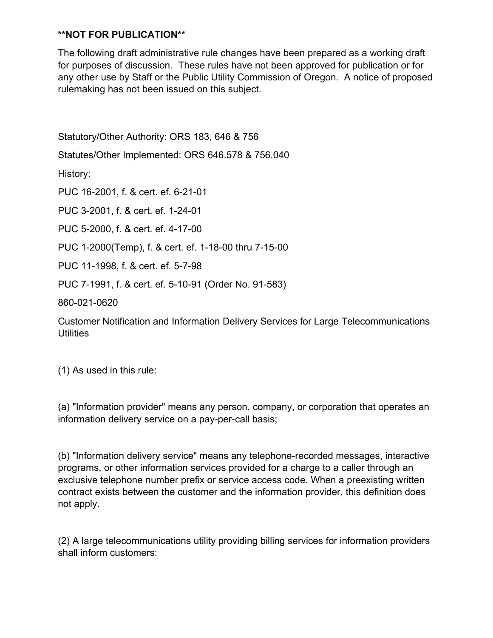The following draft administrative rule changes have been prepared as a working draft for purposes of discussion. These rules have not been approved for publication or for any other use by Staff or the Public Utility Commission of Oregon. A notice of proposed rulemaking has not been issued on this subject.

Statutory/Other Authority: ORS 183, 646 & 756

Statutes/Other Implemented: ORS 646.578 & 756.040

History:

PUC 16-2001, f. & cert. ef. 6-21-01

PUC 3-2001, f. & cert. ef. 1-24-01

PUC 5-2000, f. & cert. ef. 4-17-00

PUC 1-2000(Temp), f. & cert. ef. 1-18-00 thru 7-15-00

PUC 11-1998, f. & cert. ef. 5-7-98

PUC 7-1991, f. & cert. ef. 5-10-91 (Order No. 91-583)

860-021-0620

Customer Notification and Information Delivery Services for Large Telecommunications **Utilities** 

(1) As used in this rule:

(a) "Information provider" means any person, company, or corporation that operates an information delivery service on a pay-per-call basis;

(b) "Information delivery service" means any telephone-recorded messages, interactive programs, or other information services provided for a charge to a caller through an exclusive telephone number prefix or service access code. When a preexisting written contract exists between the customer and the information provider, this definition does not apply.

(2) A large telecommunications utility providing billing services for information providers shall inform customers: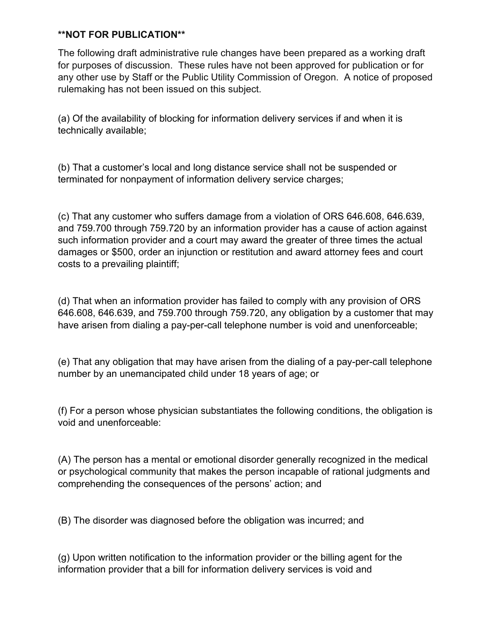The following draft administrative rule changes have been prepared as a working draft for purposes of discussion. These rules have not been approved for publication or for any other use by Staff or the Public Utility Commission of Oregon. A notice of proposed rulemaking has not been issued on this subject.

(a) Of the availability of blocking for information delivery services if and when it is technically available;

(b) That a customer's local and long distance service shall not be suspended or terminated for nonpayment of information delivery service charges;

(c) That any customer who suffers damage from a violation of ORS 646.608, 646.639, and 759.700 through 759.720 by an information provider has a cause of action against such information provider and a court may award the greater of three times the actual damages or \$500, order an injunction or restitution and award attorney fees and court costs to a prevailing plaintiff;

(d) That when an information provider has failed to comply with any provision of ORS 646.608, 646.639, and 759.700 through 759.720, any obligation by a customer that may have arisen from dialing a pay-per-call telephone number is void and unenforceable;

(e) That any obligation that may have arisen from the dialing of a pay-per-call telephone number by an unemancipated child under 18 years of age; or

(f) For a person whose physician substantiates the following conditions, the obligation is void and unenforceable:

(A) The person has a mental or emotional disorder generally recognized in the medical or psychological community that makes the person incapable of rational judgments and comprehending the consequences of the persons' action; and

(B) The disorder was diagnosed before the obligation was incurred; and

(g) Upon written notification to the information provider or the billing agent for the information provider that a bill for information delivery services is void and